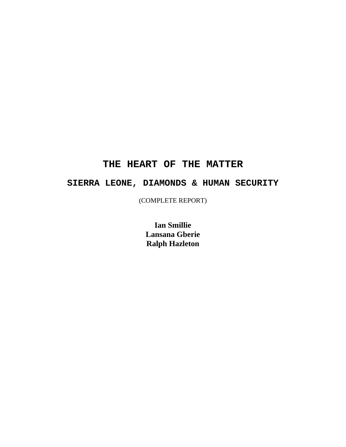# **THE HEART OF THE MATTER**

# **SIERRA LEONE, DIAMONDS & HUMAN SECURITY**

(COMPLETE REPORT)

**Ian Smillie Lansana Gberie Ralph Hazleton**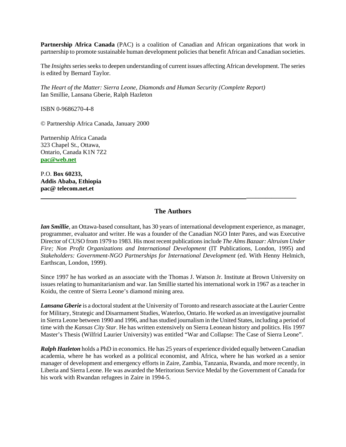**Partnership Africa Canada** (PAC) is a coalition of Canadian and African organizations that work in partnership to promote sustainable human development policies that benefit African and Canadian societies.

The *Insights* series seeks to deepen understanding of current issues affecting African development. The series is edited by Bernard Taylor.

*The Heart of the Matter: Sierra Leone, Diamonds and Human Security (Complete Report)* Ian Smillie, Lansana Gberie, Ralph Hazleton

ISBN 0-9686270-4-8

© Partnership Africa Canada, January 2000

Partnership Africa Canada 323 Chapel St., Ottawa, Ontario, Canada K1N 7Z2 **pac@web.net**

P.O. **Box 60233, Addis Ababa, Ethiopia pac@ telecom.net.et** 

### **The Authors**

 **\_\_\_\_\_\_\_\_\_\_\_\_\_\_\_\_** 

*Ian Smillie*, an Ottawa-based consultant, has 30 years of international development experience, as manager, programmer, evaluator and writer. He was a founder of the Canadian NGO Inter Pares, and was Executive Director of CUSO from 1979 to 1983. His most recent publications include *The Alms Bazaar: Altruism Under Fire; Non Profit Organizations and International Development* (IT Publications, London, 1995) and *Stakeholders: Government-NGO Partnerships for International Development* (ed. With Henny Helmich, Earthscan, London, 1999).

Since 1997 he has worked as an associate with the Thomas J. Watson Jr. Institute at Brown University on issues relating to humanitarianism and war. Ian Smillie started his international work in 1967 as a teacher in Koidu, the centre of Sierra Leone's diamond mining area.

*Lansana Gberie* is a doctoral student at the University of Toronto and research associate at the Laurier Centre for Military, Strategic and Disarmament Studies, Waterloo, Ontario. He worked as an investigative journalist in Sierra Leone between 1990 and 1996, and has studied journalism in the United States, including a period of time with the *Kansas City Star*. He has written extensively on Sierra Leonean history and politics. His 1997 Master's Thesis (Wilfrid Laurier University) was entitled "War and Collapse: The Case of Sierra Leone".

*Ralph Hazleton* holds a PhD in economics. He has 25 years of experience divided equally between Canadian academia, where he has worked as a political economist, and Africa, where he has worked as a senior manager of development and emergency efforts in Zaire, Zambia, Tanzania, Rwanda, and more recently, in Liberia and Sierra Leone. He was awarded the Meritorious Service Medal by the Government of Canada for his work with Rwandan refugees in Zaire in 1994-5.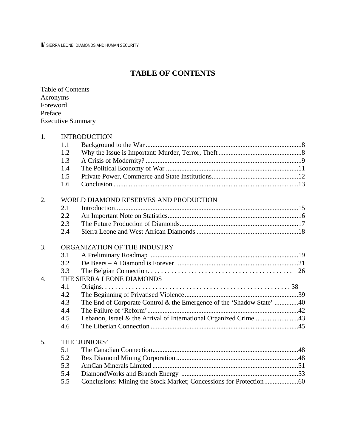ii/ SIERRA LEONE, DIAMONDS AND HUMAN SECURITY

# **TABLE OF CONTENTS**

| <b>Table of Contents</b> |
|--------------------------|
| Acronyms                 |
| Foreword                 |
| Preface                  |
| <b>Executive Summary</b> |

| 1.               |     | <b>INTRODUCTION</b>                                                   |  |
|------------------|-----|-----------------------------------------------------------------------|--|
|                  | 1.1 |                                                                       |  |
|                  | 1.2 |                                                                       |  |
|                  | 1.3 |                                                                       |  |
|                  | 1.4 |                                                                       |  |
|                  | 1.5 |                                                                       |  |
|                  | 1.6 |                                                                       |  |
| 2.               |     | WORLD DIAMOND RESERVES AND PRODUCTION                                 |  |
|                  | 2.1 |                                                                       |  |
|                  | 2.2 |                                                                       |  |
|                  | 2.3 |                                                                       |  |
|                  | 2.4 |                                                                       |  |
| 3.               |     | ORGANIZATION OF THE INDUSTRY                                          |  |
|                  | 3.1 |                                                                       |  |
|                  | 3.2 |                                                                       |  |
|                  | 3.3 |                                                                       |  |
| $\overline{4}$ . |     | THE SIERRA LEONE DIAMONDS                                             |  |
|                  | 4.1 |                                                                       |  |
|                  | 4.2 |                                                                       |  |
|                  | 4.3 | The End of Corporate Control & the Emergence of the 'Shadow State' 40 |  |
|                  | 4.4 |                                                                       |  |
|                  | 4.5 | Lebanon, Israel & the Arrival of International Organized Crime43      |  |
|                  | 4.6 |                                                                       |  |
| 5.               |     | THE 'JUNIORS'                                                         |  |
|                  | 5.1 |                                                                       |  |
|                  | 5.2 |                                                                       |  |
|                  | 5.3 |                                                                       |  |
|                  | 5.4 |                                                                       |  |
|                  | 5.5 | Conclusions: Mining the Stock Market; Concessions for Protection60    |  |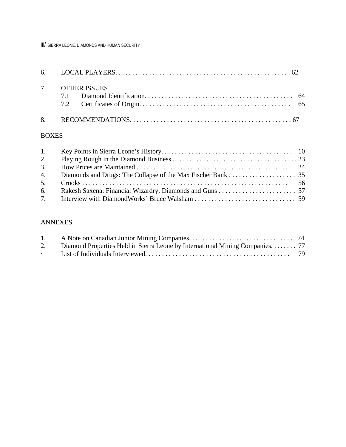iii/ SIERRA LEONE, DIAMONDS AND HUMAN SECURITY

| 7. OTHER ISSUES |
|-----------------|
|                 |

# BOXES

| 2. |  |
|----|--|
|    |  |
|    |  |
|    |  |
|    |  |

# ANNEXES

| 1.                   |                                                                              |  |
|----------------------|------------------------------------------------------------------------------|--|
| 2.                   | Diamond Properties Held in Sierra Leone by International Mining Companies 77 |  |
| $\ddot{\phantom{0}}$ |                                                                              |  |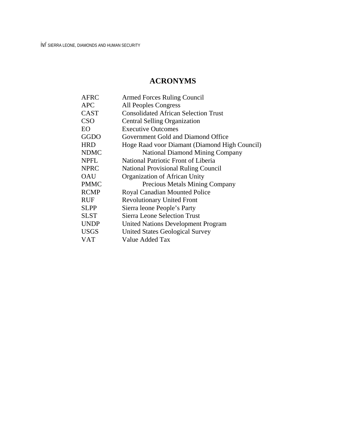# **ACRONYMS**

| <b>AFRC</b> | <b>Armed Forces Ruling Council</b>            |
|-------------|-----------------------------------------------|
| <b>APC</b>  | All Peoples Congress                          |
| CAST        | <b>Consolidated African Selection Trust</b>   |
| <b>CSO</b>  | <b>Central Selling Organization</b>           |
| EО          | <b>Executive Outcomes</b>                     |
| GGDO        | Government Gold and Diamond Office            |
| <b>HRD</b>  | Hoge Raad voor Diamant (Diamond High Council) |
| NDMC        | <b>National Diamond Mining Company</b>        |
| <b>NPFL</b> | National Patriotic Front of Liberia           |
| <b>NPRC</b> | <b>National Provisional Ruling Council</b>    |
| <b>OAU</b>  | Organization of African Unity                 |
| <b>PMMC</b> | Precious Metals Mining Company                |
| <b>RCMP</b> | Royal Canadian Mounted Police                 |
| RUF         | <b>Revolutionary United Front</b>             |
| <b>SLPP</b> | Sierra leone People's Party                   |
| SLST        | <b>Sierra Leone Selection Trust</b>           |
| UNDP        | <b>United Nations Development Program</b>     |
| USGS        | United States Geological Survey               |
| <b>VAT</b>  | Value Added Tax                               |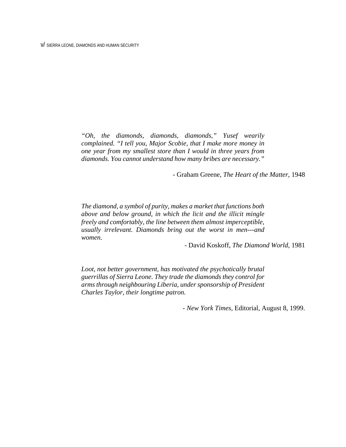*"Oh, the diamonds, diamonds, diamonds," Yusef wearily complained. "I tell you, Major Scobie, that I make more money in one year from my smallest store than I would in three years from diamonds. You cannot understand how many bribes are necessary."*

- Graham Greene, *The Heart of the Matter*, 1948

*The diamond, a symbol of purity, makes a market that functions both above and below ground, in which the licit and the illicit mingle freely and comfortably, the line between them almost imperceptible, usually irrelevant. Diamonds bring out the worst in men---and women.*

- David Koskoff, *The Diamond World,* 1981

*Loot, not better government, has motivated the psychotically brutal guerrillas of Sierra Leone. They trade the diamonds they control for arms through neighbouring Liberia, under sponsorship of President Charles Taylor, their longtime patron.* 

*- New York Times*, Editorial, August 8, 1999.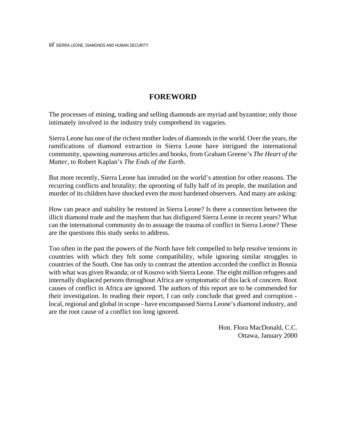# **FOREWORD**

The processes of mining, trading and selling diamonds are myriad and byzantine; only those intimately involved in the industry truly comprehend its vagaries.

Sierra Leone has one of the richest mother lodes of diamonds in the world. Over the years, the ramifications of diamond extraction in Sierra Leone have intrigued the international community, spawning numerous articles and books, from Graham Greene's *The Heart of the Matter*, to Robert Kaplan's *The Ends of the Earth*.

But more recently, Sierra Leone has intruded on the world's attention for other reasons. The recurring conflicts and brutality; the uprooting of fully half of its people, the mutilation and murder of its children have shocked even the most hardened observers. And many are asking:

How can peace and stability be restored in Sierra Leone? Is there a connection between the illicit diamond trade and the mayhem that has disfigured Sierra Leone in recent years? What can the international community do to assuage the trauma of conflict in Sierra Leone? These are the questions this study seeks to address.

Too often in the past the powers of the North have felt compelled to help resolve tensions in countries with which they felt some compatibility, while ignoring similar struggles in countries of the South. One has only to contrast the attention accorded the conflict in Bosnia with what was given Rwanda; or of Kosovo with Sierra Leone. The eight million refugees and internally displaced persons throughout Africa are symptomatic of this lack of concern. Root causes of conflict in Africa are ignored. The authors of this report are to be commended for their investigation. In reading their report, I can only conclude that greed and corruption local, regional and global in scope - have encompassed Sierra Leone's diamond industry, and are the root cause of a conflict too long ignored.

> Hon. Flora MacDonald, C.C. Ottawa, January 2000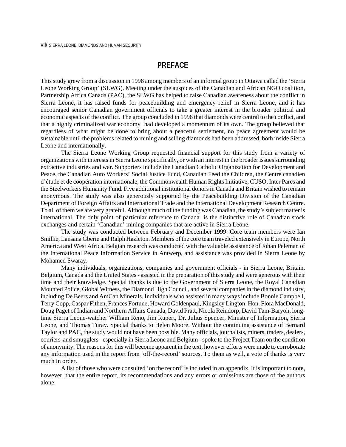## **PREFACE**

This study grew from a discussion in 1998 among members of an informal group in Ottawa called the 'Sierra Leone Working Group' (SLWG). Meeting under the auspices of the Canadian and African NGO coalition, Partnership Africa Canada (PAC), the SLWG has helped to raise Canadian awareness about the conflict in Sierra Leone, it has raised funds for peacebuilding and emergency relief in Sierra Leone, and it has encouraged senior Canadian government officials to take a greater interest in the broader political and economic aspects of the conflict. The group concluded in 1998 that diamonds were central to the conflict, and that a highly criminalized war economy had developed a momentum of its own. The group believed that regardless of what might be done to bring about a peaceful settlement, no peace agreement would be sustainable until the problems related to mining and selling diamonds had been addressed, both inside Sierra Leone and internationally.

The Sierra Leone Working Group requested financial support for this study from a variety of organizations with interests in Sierra Leone specifically, or with an interest in the broader issues surrounding extractive industries and war. Supporters include the Canadian Catholic Organization for Development and Peace, the Canadian Auto Workers' Social Justice Fund, Canadian Feed the Children, the Centre canadien d'étude et de coopération internationale, the Commonwealth Human Rights Initiative, CUSO, Inter Pares and the Steelworkers Humanity Fund. Five additional institutional donors in Canada and Britain wished to remain anonymous. The study was also generously supported by the Peacebuilding Division of the Canadian Department of Foreign Affairs and International Trade and the International Development Research Centre. To all of them we are very grateful. Although much of the funding was Canadian, the study's subject matter is international. The only point of particular reference to Canada is the distinctive role of Canadian stock exchanges and certain 'Canadian' mining companies that are active in Sierra Leone.

The study was conducted between February and December 1999. Core team members were Ian Smillie, Lansana Gberie and Ralph Hazleton. Members of the core team traveled extensively in Europe, North America and West Africa. Belgian research was conducted with the valuable assistance of Johan Peleman of the International Peace Information Service in Antwerp, and assistance was provided in Sierra Leone by Mohamed Swaray.

Many individuals, organizations, companies and government officials - in Sierra Leone, Britain, Belgium, Canada and the United States - assisted in the preparation of this study and were generous with their time and their knowledge. Special thanks is due to the Government of Sierra Leone, the Royal Canadian Mounted Police, Global Witness, the Diamond High Council, and several companies in the diamond industry, including De Beers and AmCan Minerals. Individuals who assisted in many ways include Bonnie Campbell, Terry Copp, Caspar Fithen, Frances Fortune, Howard Goldenpaul, Kingsley Lington, Hon. Flora MacDonald, Doug Paget of Indian and Northern Affairs Canada, David Pratt, Nicola Reindorp, David Tam-Baryoh, longtime Sierra Leone-watcher William Reno, Jim Rupert, Dr. Julius Spencer, Minister of Information, Sierra Leone, and Thomas Turay. Special thanks to Helen Moore. Without the continuing assistance of Bernard Taylor and PAC, the study would not have been possible. Many officials, journalists, miners, traders, dealers, couriers and smugglers - especially in Sierra Leone and Belgium - spoke to the Project Team on the condition of anonymity. The reasons for this will become apparent in the text, however efforts were made to corroborate any information used in the report from 'off-the-record' sources. To them as well, a vote of thanks is very much in order.

A list of those who were consulted 'on the record' is included in an appendix. It is important to note, however, that the entire report, its recommendations and any errors or omissions are those of the authors alone.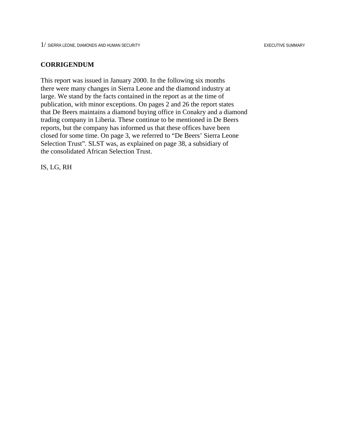### **CORRIGENDUM**

This report was issued in January 2000. In the following six months there were many changes in Sierra Leone and the diamond industry at large. We stand by the facts contained in the report as at the time of publication, with minor exceptions. On pages 2 and 26 the report states that De Beers maintains a diamond buying office in Conakry and a diamond trading company in Liberia. These continue to be mentioned in De Beers reports, but the company has informed us that these offices have been closed for some time. On page 3, we referred to "De Beers' Sierra Leone Selection Trust". SLST was, as explained on page 38, a subsidiary of the consolidated African Selection Trust.

IS, LG, RH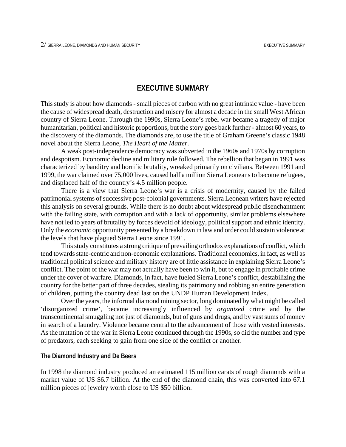## **EXECUTIVE SUMMARY**

This study is about how diamonds - small pieces of carbon with no great intrinsic value - have been the cause of widespread death, destruction and misery for almost a decade in the small West African country of Sierra Leone. Through the 1990s, Sierra Leone's rebel war became a tragedy of major humanitarian, political and historic proportions, but the story goes back further - almost 60 years, to the discovery of the diamonds. The diamonds are, to use the title of Graham Greene's classic 1948 novel about the Sierra Leone, *The Heart of the Matter*.

A weak post-independence democracy was subverted in the 1960s and 1970s by corruption and despotism. Economic decline and military rule followed. The rebellion that began in 1991 was characterized by banditry and horrific brutality, wreaked primarily on civilians. Between 1991 and 1999, the war claimed over 75,000 lives, caused half a million Sierra Leoneans to become refugees, and displaced half of the country's 4.5 million people.

There is a view that Sierra Leone's war is a crisis of modernity, caused by the failed patrimonial systems of successive post-colonial governments. Sierra Leonean writers have rejected this analysis on several grounds. While there is no doubt about widespread public disenchantment with the failing state, with corruption and with a lack of opportunity, similar problems elsewhere have not led to years of brutality by forces devoid of ideology, political support and ethnic identity. Only the *economic* opportunity presented by a breakdown in law and order could sustain violence at the levels that have plagued Sierra Leone since 1991.

This study constitutes a strong critique of prevailing orthodox explanations of conflict, which tend towards state-centric and non-economic explanations. Traditional economics, in fact, as well as traditional political science and military history are of little assistance in explaining Sierra Leone's conflict. The point of the war may not actually have been to win it, but to engage in profitable crime under the cover of warfare. Diamonds, in fact, have fueled Sierra Leone's conflict, destabilizing the country for the better part of three decades, stealing its patrimony and robbing an entire generation of children, putting the country dead last on the UNDP Human Development Index.

Over the years, the informal diamond mining sector, long dominated by what might be called 'disorganized crime', became increasingly influenced by *organized* crime and by the transcontinental smuggling not just of diamonds, but of guns and drugs, and by vast sums of money in search of a laundry. Violence became central to the advancement of those with vested interests. As the mutation of the war in Sierra Leone continued through the 1990s, so did the number and type of predators, each seeking to gain from one side of the conflict or another.

#### **The Diamond Industry and De Beers**

In 1998 the diamond industry produced an estimated 115 million carats of rough diamonds with a market value of US \$6.7 billion. At the end of the diamond chain, this was converted into 67.1 million pieces of jewelry worth close to US \$50 billion.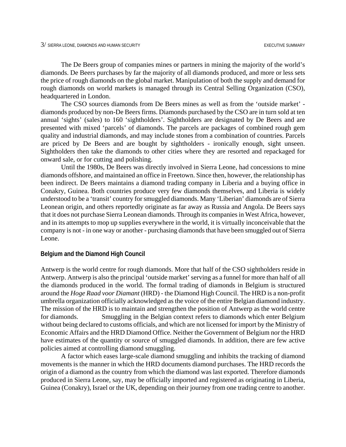The De Beers group of companies mines or partners in mining the majority of the world's diamonds. De Beers purchases by far the majority of all diamonds produced, and more or less sets the price of rough diamonds on the global market. Manipulation of both the supply and demand for rough diamonds on world markets is managed through its Central Selling Organization (CSO), headquartered in London.

The CSO sources diamonds from De Beers mines as well as from the 'outside market' diamonds produced by non-De Beers firms. Diamonds purchased by the CSO are in turn sold at ten annual 'sights' (sales) to 160 'sightholders'. Sightholders are designated by De Beers and are presented with mixed 'parcels' of diamonds. The parcels are packages of combined rough gem quality and industrial diamonds, and may include stones from a combination of countries. Parcels are priced by De Beers and are bought by sightholders - ironically enough, sight unseen. Sightholders then take the diamonds to other cities where they are resorted and repackaged for onward sale, or for cutting and polishing.

Until the 1980s, De Beers was directly involved in Sierra Leone, had concessions to mine diamonds offshore, and maintained an office in Freetown. Since then, however, the relationship has been indirect. De Beers maintains a diamond trading company in Liberia and a buying office in Conakry, Guinea. Both countries produce very few diamonds themselves, and Liberia is widely understood to be a 'transit' country for smuggled diamonds. Many 'Liberian' diamonds are of Sierra Leonean origin, and others reportedly originate as far away as Russia and Angola. De Beers says that it does not purchase Sierra Leonean diamonds. Through its companies in West Africa, however, and in its attempts to mop up supplies everywhere in the world, it is virtually inconceivable that the company is not - in one way or another - purchasing diamonds that have been smuggled out of Sierra Leone.

#### **Belgium and the Diamond High Council**

Antwerp is the world centre for rough diamonds. More that half of the CSO sightholders reside in Antwerp. Antwerp is also the principal 'outside market' serving as a funnel for more than half of all the diamonds produced in the world. The formal trading of diamonds in Belgium is structured around the *Hoge Raad voor Diamant* (HRD) - the Diamond High Council. The HRD is a non-profit umbrella organization officially acknowledged as the voice of the entire Belgian diamond industry. The mission of the HRD is to maintain and strengthen the position of Antwerp as the world centre for diamonds. Smuggling in the Belgian context refers to diamonds which enter Belgium without being declared to customs officials, and which are not licensed for import by the Ministry of Economic Affairs and the HRD Diamond Office. Neither the Government of Belgium nor the HRD have estimates of the quantity or source of smuggled diamonds. In addition, there are few active policies aimed at controlling diamond smuggling.

A factor which eases large-scale diamond smuggling and inhibits the tracking of diamond movements is the manner in which the HRD documents diamond purchases. The HRD records the origin of a diamond as the country from which the diamond was last exported. Therefore diamonds produced in Sierra Leone, say, may be officially imported and registered as originating in Liberia, Guinea (Conakry), Israel or the UK, depending on their journey from one trading centre to another.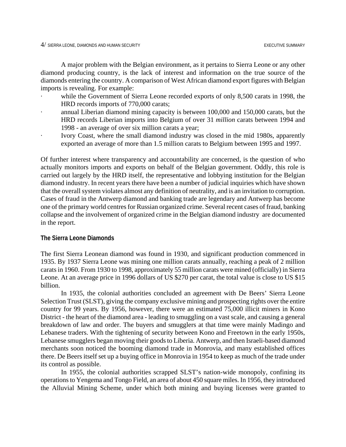A major problem with the Belgian environment, as it pertains to Sierra Leone or any other diamond producing country, is the lack of interest and information on the true source of the diamonds entering the country. A comparison of West African diamond export figures with Belgian imports is revealing. For example:

- while the Government of Sierra Leone recorded exports of only 8,500 carats in 1998, the HRD records imports of 770,000 carats;
- annual Liberian diamond mining capacity is between 100,000 and 150,000 carats, but the HRD records Liberian imports into Belgium of over 31 *million* carats between 1994 and 1998 - an average of over six million carats a year;
- · Ivory Coast, where the small diamond industry was closed in the mid 1980s, apparently exported an average of more than 1.5 million carats to Belgium between 1995 and 1997.

Of further interest where transparency and accountability are concerned, is the question of who actually monitors imports and exports on behalf of the Belgian government. Oddly, this role is carried out largely by the HRD itself, the representative and lobbying institution for the Belgian diamond industry. In recent years there have been a number of judicial inquiries which have shown that the overall system violates almost any definition of neutrality, and is an invitation to corruption. Cases of fraud in the Antwerp diamond and banking trade are legendary and Antwerp has become one of the primary world centres for Russian organized crime. Several recent cases of fraud, banking collapse and the involvement of organized crime in the Belgian diamond industry are documented in the report.

### **The Sierra Leone Diamonds**

The first Sierra Leonean diamond was found in 1930, and significant production commenced in 1935. By 1937 Sierra Leone was mining one million carats annually, reaching a peak of 2 million carats in 1960. From 1930 to 1998, approximately 55 million carats were mined (officially) in Sierra Leone. At an average price in 1996 dollars of US \$270 per carat, the total value is close to US \$15 billion.

In 1935, the colonial authorities concluded an agreement with De Beers' Sierra Leone Selection Trust (SLST), giving the company exclusive mining and prospecting rights over the entire country for 99 years. By 1956, however, there were an estimated 75,000 illicit miners in Kono District - the heart of the diamond area - leading to smuggling on a vast scale, and causing a general breakdown of law and order. The buyers and smugglers at that time were mainly Madingo and Lebanese traders. With the tightening of security between Kono and Freetown in the early 1950s, Lebanese smugglers began moving their goods to Liberia. Antwerp, and then Israeli-based diamond merchants soon noticed the booming diamond trade in Monrovia, and many established offices there. De Beers itself set up a buying office in Monrovia in 1954 to keep as much of the trade under its control as possible.

In 1955, the colonial authorities scrapped SLST's nation-wide monopoly, confining its operations to Yengema and Tongo Field, an area of about 450 square miles. In 1956, they introduced the Alluvial Mining Scheme, under which both mining and buying licenses were granted to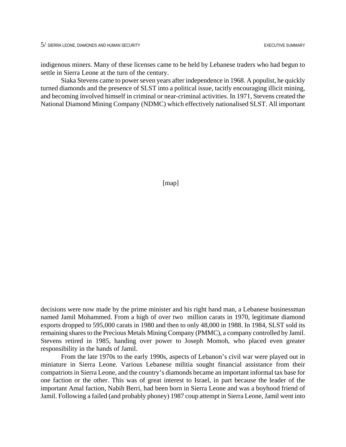indigenous miners. Many of these licenses came to be held by Lebanese traders who had begun to settle in Sierra Leone at the turn of the century.

Siaka Stevens came to power seven years after independence in 1968. A populist, he quickly turned diamonds and the presence of SLST into a political issue, tacitly encouraging illicit mining, and becoming involved himself in criminal or near-criminal activities. In 1971, Stevens created the National Diamond Mining Company (NDMC) which effectively nationalised SLST. All important

[map]

decisions were now made by the prime minister and his right hand man, a Lebanese businessman named Jamil Mohammed. From a high of over two million carats in 1970, legitimate diamond exports dropped to 595,000 carats in 1980 and then to only 48,000 in 1988. In 1984, SLST sold its remaining shares to the Precious Metals Mining Company (PMMC), a company controlled by Jamil. Stevens retired in 1985, handing over power to Joseph Momoh, who placed even greater responsibility in the hands of Jamil.

From the late 1970s to the early 1990s, aspects of Lebanon's civil war were played out in miniature in Sierra Leone. Various Lebanese militia sought financial assistance from their compatriots in Sierra Leone, and the country's diamonds became an important informal tax base for one faction or the other. This was of great interest to Israel, in part because the leader of the important Amal faction, Nabih Berri, had been born in Sierra Leone and was a boyhood friend of Jamil. Following a failed (and probably phoney) 1987 coup attempt in Sierra Leone, Jamil went into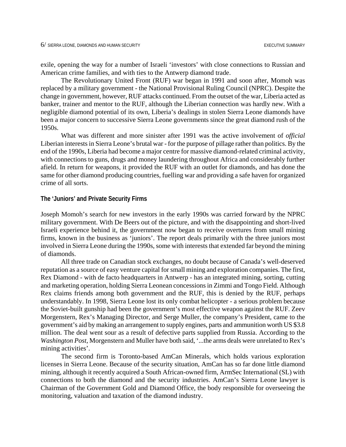exile, opening the way for a number of Israeli 'investors' with close connections to Russian and American crime families, and with ties to the Antwerp diamond trade.

The Revolutionary United Front (RUF) war began in 1991 and soon after, Momoh was replaced by a military government - the National Provisional Ruling Council (NPRC). Despite the change in government, however, RUF attacks continued. From the outset of the war, Liberia acted as banker, trainer and mentor to the RUF, although the Liberian connection was hardly new. With a negligible diamond potential of its own, Liberia's dealings in stolen Sierra Leone diamonds have been a major concern to successive Sierra Leone governments since the great diamond rush of the 1950s.

What was different and more sinister after 1991 was the active involvement of *official* Liberian interests in Sierra Leone's brutal war - for the purpose of pillage rather than politics. By the end of the 1990s, Liberia had become a major centre for massive diamond-related criminal activity, with connections to guns, drugs and money laundering throughout Africa and considerably further afield. In return for weapons, it provided the RUF with an outlet for diamonds, and has done the same for other diamond producing countries, fuelling war and providing a safe haven for organized crime of all sorts.

### **The 'Juniors' and Private Security Firms**

Joseph Momoh's search for new investors in the early 1990s was carried forward by the NPRC military government. With De Beers out of the picture, and with the disappointing and short-lived Israeli experience behind it, the government now began to receive overtures from small mining firms, known in the business as 'juniors'. The report deals primarily with the three juniors most involved in Sierra Leone during the 1990s, some with interests that extended far beyond the mining of diamonds.

All three trade on Canadian stock exchanges, no doubt because of Canada's well-deserved reputation as a source of easy venture capital for small mining and exploration companies. The first, Rex Diamond - with de facto headquarters in Antwerp - has an integrated mining, sorting, cutting and marketing operation, holding Sierra Leonean concessions in Zimmi and Tongo Field. Although Rex claims friends among both government and the RUF, this is denied by the RUF, perhaps understandably. In 1998, Sierra Leone lost its only combat helicopter - a serious problem because the Soviet-built gunship had been the government's most effective weapon against the RUF. Zeev Morgenstern, Rex's Managing Director, and Serge Muller, the company's President, came to the government's aid by making an arrangement to supply engines, parts and ammunition worth US \$3.8 million. The deal went sour as a result of defective parts supplied from Russia. According to the *Washington Post*, Morgenstern and Muller have both said, '...the arms deals were unrelated to Rex's mining activities'.

The second firm is Toronto-based AmCan Minerals, which holds various exploration licenses in Sierra Leone. Because of the security situation, AmCan has so far done little diamond mining, although it recently acquired a South African-owned firm, ArmSec International (SL) with connections to both the diamond and the security industries. AmCan's Sierra Leone lawyer is Chairman of the Government Gold and Diamond Office, the body responsible for overseeing the monitoring, valuation and taxation of the diamond industry.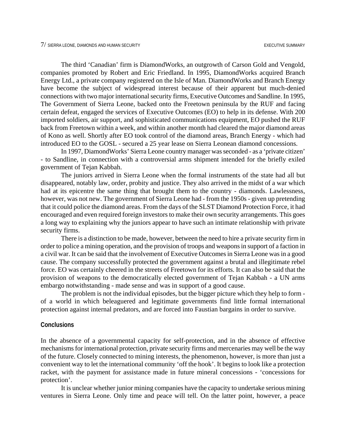The third 'Canadian' firm is DiamondWorks, an outgrowth of Carson Gold and Vengold, companies promoted by Robert and Eric Friedland. In 1995, DiamondWorks acquired Branch Energy Ltd., a private company registered on the Isle of Man. DiamondWorks and Branch Energy have become the subject of widespread interest because of their apparent but much-denied connections with two major international security firms, Executive Outcomes and Sandline. In 1995, The Government of Sierra Leone, backed onto the Freetown peninsula by the RUF and facing certain defeat, engaged the services of Executive Outcomes (EO) to help in its defense. With 200 imported soldiers, air support, and sophisticated communications equipment, EO pushed the RUF back from Freetown within a week, and within another month had cleared the major diamond areas of Kono as well. Shortly after EO took control of the diamond areas, Branch Energy - which had introduced EO to the GOSL - secured a 25 year lease on Sierra Leonean diamond concessions.

In 1997, DiamondWorks' Sierra Leone country manager was seconded - as a 'private citizen' - to Sandline, in connection with a controversial arms shipment intended for the briefly exiled government of Tejan Kabbah.

The juniors arrived in Sierra Leone when the formal instruments of the state had all but disappeared, notably law, order, probity and justice. They also arrived in the midst of a war which had at its epicentre the same thing that brought them to the country - diamonds. Lawlessness, however, was not new. The government of Sierra Leone had - from the 1950s - given up pretending that it could police the diamond areas. From the days of the SLST Diamond Protection Force, it had encouraged and even required foreign investors to make their own security arrangements. This goes a long way to explaining why the juniors appear to have such an intimate relationship with private security firms.

There is a distinction to be made, however, between the need to hire a private security firm in order to police a mining operation, and the provision of troops and weapons in support of a faction in a civil war. It can be said that the involvement of Executive Outcomes in Sierra Leone was in a good cause. The company successfully protected the government against a brutal and illegitimate rebel force. EO was certainly cheered in the streets of Freetown for its efforts. It can also be said that the provision of weapons to the democratically elected government of Tejan Kabbah - a UN arms embargo notwithstanding - made sense and was in support of a good cause.

The problem is not the individual episodes, but the bigger picture which they help to form of a world in which beleaguered and legitimate governments find little formal international protection against internal predators, and are forced into Faustian bargains in order to survive.

#### **Conclusions**

In the absence of a governmental capacity for self-protection, and in the absence of effective mechanisms for international protection, private security firms and mercenaries may well be the way of the future. Closely connected to mining interests, the phenomenon, however, is more than just a convenient way to let the international community 'off the hook'. It begins to look like a protection racket, with the payment for assistance made in future mineral concessions - 'concessions for protection'.

It is unclear whether junior mining companies have the capacity to undertake serious mining ventures in Sierra Leone. Only time and peace will tell. On the latter point, however, a peace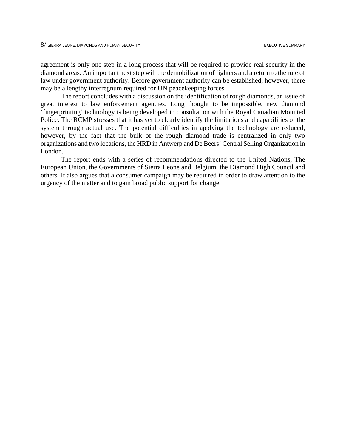agreement is only one step in a long process that will be required to provide real security in the diamond areas. An important next step will the demobilization of fighters and a return to the rule of law under government authority. Before government authority can be established, however, there may be a lengthy interregnum required for UN peacekeeping forces.

The report concludes with a discussion on the identification of rough diamonds, an issue of great interest to law enforcement agencies. Long thought to be impossible, new diamond 'fingerprinting' technology is being developed in consultation with the Royal Canadian Mounted Police. The RCMP stresses that it has yet to clearly identify the limitations and capabilities of the system through actual use. The potential difficulties in applying the technology are reduced, however, by the fact that the bulk of the rough diamond trade is centralized in only two organizations and two locations, the HRD in Antwerp and De Beers' Central Selling Organization in London.

The report ends with a series of recommendations directed to the United Nations, The European Union, the Governments of Sierra Leone and Belgium, the Diamond High Council and others. It also argues that a consumer campaign may be required in order to draw attention to the urgency of the matter and to gain broad public support for change.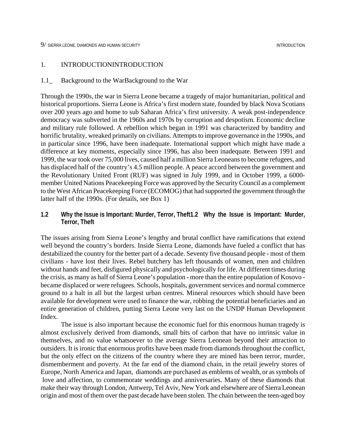#### 1. INTRODUCTIONINTRODUCTION

#### 1.1\_ Background to the WarBackground to the War

Through the 1990s, the war in Sierra Leone became a tragedy of major humanitarian, political and historical proportions. Sierra Leone is Africa's first modern state, founded by black Nova Scotians over 200 years ago and home to sub Saharan Africa's first university. A weak post-independence democracy was subverted in the 1960s and 1970s by corruption and despotism. Economic decline and military rule followed. A rebellion which began in 1991 was characterized by banditry and horrific brutality, wreaked primarily on civilians. Attempts to improve governance in the 1990s, and in particular since 1996, have been inadequate. International support which might have made a difference at key moments, especially since 1996, has also been inadequate. Between 1991 and 1999, the war took over 75,000 lives, caused half a million Sierra Leoneans to become refugees, and has displaced half of the country's 4.5 million people. A peace accord between the government and the Revolutionary United Front (RUF) was signed in July 1999, and in October 1999, a 6000 member United Nations Peacekeeping Force was approved by the Security Council as a complement to the West African Peacekeeping Force (ECOMOG) that had supported the government through the latter half of the 1990s. (For details, see Box 1)

**1.2 Why the Issue is Important: Murder, Terror, Theft1.2 Why the Issue is Important: Murder, Terror, Theft**

The issues arising from Sierra Leone's lengthy and brutal conflict have ramifications that extend well beyond the country's borders. Inside Sierra Leone, diamonds have fueled a conflict that has destabilized the country for the better part of a decade. Seventy five thousand people - most of them civilians - have lost their lives. Rebel butchery has left thousands of women, men and children without hands and feet, disfigured physically and psychologically for life. At different times during the crisis, as many as half of Sierra Leone's population - more than the entire population of Kosovo became displaced or were refugees. Schools, hospitals, government services and normal commerce ground to a halt in all but the largest urban centres. Mineral resources which should have been available for development were used to finance the war, robbing the potential beneficiaries and an entire generation of children, putting Sierra Leone very last on the UNDP Human Development Index.

The issue is also important because the economic fuel for this enormous human tragedy is almost exclusively derived from diamonds, small bits of carbon that have no intrinsic value in themselves, and no value whatsoever to the average Sierra Leonean beyond their attraction to outsiders. It is ironic that enormous profits have been made from diamonds throughout the conflict, but the only effect on the citizens of the country where they are mined has been terror, murder, dismemberment and poverty. At the far end of the diamond chain, in the retail jewelry stores of Europe, North America and Japan, diamonds are purchased as emblems of wealth, or as symbols of love and affection, to commemorate weddings and anniversaries. Many of these diamonds that make their way through London, Antwerp, Tel Aviv, New York and elsewhere are of Sierra Leonean origin and most of them over the past decade have been stolen. The chain between the teen-aged boy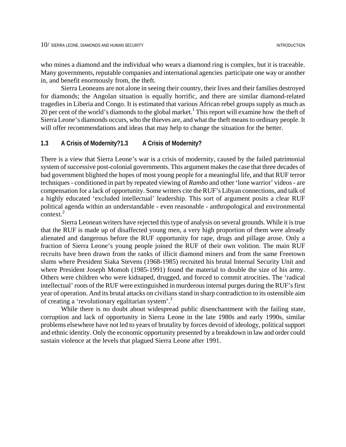who mines a diamond and the individual who wears a diamond ring is complex, but it is traceable. Many governments, reputable companies and international agencies participate one way or another in, and benefit enormously from, the theft.

Sierra Leoneans are not alone in seeing their country, their lives and their families destroyed for diamonds; the Angolan situation is equally horrific, and there are similar diamond-related tragedies in Liberia and Congo. It is estimated that various African rebel groups supply as much as 20 per cent of the world's diamonds to the global market.<sup>[1](#page-98-0)</sup> This report will examine how the theft of Sierra Leone's diamonds occurs, who the thieves are, and what the theft means to ordinary people. It will offer recommendations and ideas that may help to change the situation for the better.

## **1.3 A Crisis of Modernity?1.3 A Crisis of Modernity?**

There is a view that Sierra Leone's war is a crisis of modernity, caused by the failed patrimonial system of successive post-colonial governments. This argument makes the case that three decades of bad government blighted the hopes of most young people for a meaningful life, and that RUF terror techniques - conditioned in part by repeated viewing of *Rambo* and other 'lone warrior' videos - are compensation for a lack of opportunity. Some writers cite the RUF's Libyan connections*,* and talk of a highly educated 'excluded intellectual' leadership. This sort of argument posits a clear RUF political agenda within an understandable - even reasonable - anthropological and environmental context.<sup>2</sup>

Sierra Leonean writers have rejected this type of analysis on several grounds. While it is true that the RUF is made up of disaffected young men, a very high proportion of them were already alienated and dangerous before the RUF opportunity for rape, drugs and pillage arose. Only a fraction of Sierra Leone's young people joined the RUF of their own volition. The main RUF recruits have been drawn from the ranks of illicit diamond miners and from the same Freetown slums where President Siaka Stevens (1968-1985) recruited his brutal Internal Security Unit and where President Joseph Momoh (1985-1991) found the material to double the size of his army. Others were children who were kidnaped, drugged, and forced to commit atrocities. The 'radical intellectual' roots of the RUF were extinguished in murderous internal purges during the RUF's first year of operation. And its brutal attacks on civilians stand in sharp contradiction to its ostensible aim of creating a 'revolutionary egalitarian system'[.3](#page-98-2)

While there is no doubt about widespread public disenchantment with the failing state, corruption and lack of opportunity in Sierra Leone in the late 1980s and early 1990s, similar problems elsewhere have not led to years of brutality by forces devoid of ideology, political support and ethnic identity. Only the economic opportunity presented by a breakdown in law and order could sustain violence at the levels that plagued Sierra Leone after 1991.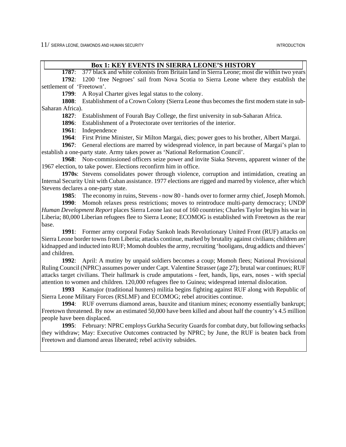$11/$  SIERRA LEONE. DIAMONDS AND HUMAN SECURITY INTRODUCTION INTRODUCTION

### **Box 1: KEY EVENTS IN SIERRA LEONE'S HISTORY**

**1787**: 377 black and white colonists from Britain land in Sierra Leone; most die within two years **1792**: 1200 'free Negroes' sail from Nova Scotia to Sierra Leone where they establish the settlement of 'Freetown'.

**1799**: A Royal Charter gives legal status to the colony.

**1808**: Establishment of a Crown Colony (Sierra Leone thus becomes the first modern state in sub-Saharan Africa).

**1827**: Establishment of Fourah Bay College, the first university in sub-Saharan Africa.

**1896**: Establishment of a Protectorate over territories of the interior.

**1961**: Independence

**1964**: First Prime Minister, Sir Milton Margai, dies; power goes to his brother, Albert Margai.

**1967**: General elections are marred by widespread violence, in part because of Margai's plan to establish a one-party state. Army takes power as 'National Reformation Council'.

**1968**: Non-commissioned officers seize power and invite Siaka Stevens, apparent winner of the 1967 election, to take power. Elections reconfirm him in office.

**1970s**: Stevens consolidates power through violence, corruption and intimidation, creating an Internal Security Unit with Cuban assistance. 1977 elections are rigged and marred by violence, after which Stevens declares a one-party state.

**1985**: The economy in ruins, Stevens - now 80 - hands over to former army chief, Joseph Momoh.

**1990**: Momoh relaxes press restrictions; moves to reintroduce multi-party democracy; UNDP *Human Development Report* places Sierra Leone last out of 160 countries; Charles Taylor begins his war in Liberia; 80,000 Liberian refugees flee to Sierra Leone; ECOMOG is established with Freetown as the rear base.

**1991**: Former army corporal Foday Sankoh leads Revolutionary United Front (RUF) attacks on Sierra Leone border towns from Liberia; attacks continue, marked by brutality against civilians; children are kidnapped and inducted into RUF; Momoh doubles the army, recruiting 'hooligans, drug addicts and thieves' and children.

**1992**: April: A mutiny by unpaid soldiers becomes a coup; Momoh flees; National Provisional Ruling Council (NPRC) assumes power under Capt. Valentine Strasser (age 27); brutal war continues; RUF attacks target civilians. Their hallmark is crude amputations - feet, hands, lips, ears, noses - with special attention to women and children. 120,000 refugees flee to Guinea; widespread internal dislocation.

**1993** Kamajor (traditional hunters) militia begins fighting against RUF along with Republic of Sierra Leone Military Forces (RSLMF) and ECOMOG; rebel atrocities continue.

**1994**: RUF overruns diamond areas, bauxite and titanium mines; economy essentially bankrupt; Freetown threatened. By now an estimated 50,000 have been killed and about half the country's 4.5 million people have been displaced.

**1995**: February: NPRC employs Gurkha Security Guards for combat duty, but following setbacks they withdraw; May: Executive Outcomes contracted by NPRC; by June, the RUF is beaten back from Freetown and diamond areas liberated; rebel activity subsides.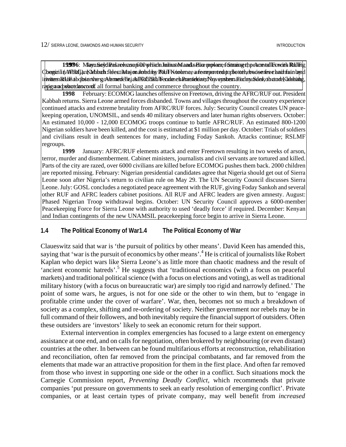19**99**6: MayuSoydiPasaedease p600 prisch Juliust Manda Bioe powere, s Stunisserth peacental Forcets Rulling  $\zeta$ begin li n/AFRC) an Kahbah fleest il Majon Johnluy RuJF Koolema, a former to a poplot to hebe a series chair fran by hl i hivittesn Rufolhabojbservhersgovernnendefhe jah FRGB Halb Feendene al-Præstieleize gNoyveysbermaffoday uSdenkoh zude Klabbah g, | represent a peace and shutdown of all formal banking and commerce throughout the country.

**1998** February: ECOMOG launches offensive on Freetown, driving the AFRC/RUF out. President Kabbah returns. Sierra Leone armed forces disbanded. Towns and villages throughout the country experience continued attacks and extreme brutality from AFRC/RUF forces. July: Security Council creates UN peacekeeping operation, UNOMSIL, and sends 40 military observers and later human rights observers. October: An estimated 10,000 - 12,000 ECOMOG troops continue to battle AFRC/RUF. An estimated 800-1200 Nigerian soldiers have been killed, and the cost is estimated at \$1 million per day. October: Trials of soldiers and civilians result in death sentences for many, including Foday Sankoh. Attacks continue; RSLMF regroups.

**1999** January: AFRC/RUF elements attack and enter Freetown resulting in two weeks of arson, terror, murder and dismemberment. Cabinet ministers, journalists and civil servants are tortured and killed. Parts of the city are razed, over 6000 civilians are killed before ECOMOG pushes them back. 2000 children are reported missing. February: Nigerian presidential candidates agree that Nigeria should get out of Sierra Leone soon after Nigeria's return to civilian rule on May 29. The UN Security Council discusses Sierra Leone. July: GOSL concludes a negotiated peace agreement with the RUF, giving Foday Sankoh and several other RUF and AFRC leaders cabinet positions. All RUF and AFRC leaders are given amnesty. August: Phased Nigerian Troop withdrawal begins. October: UN Security Council approves a 6000-member Peacekeeping Force for Sierra Leone with authority to used 'deadly force' if required. December: Kenyan and Indian contingents of the new UNAMSIL peacekeeping force begin to arrive in Sierra Leone.

## **1.4 The Political Economy of War1.4 The Political Economy of War**

Claueswitz said that war is 'the pursuit of politics by other means'. David Keen has amended this, saying that 'war is the pursuit of economics by other means'.<sup>4</sup> [H](#page-98-3)e is critical of journalists like Robert Kaplan who depict wars like Sierra Leone's as little more than chaotic madness and the result of 'ancient economic hatreds'.<sup>[5](#page-98-4)</sup> He suggests that 'traditional economics (with a focus on peaceful markets) and traditional political science (with a focus on elections and voting), as well as traditional military history (with a focus on bureaucratic war) are simply too rigid and narrowly defined.' The point of some wars, he argues, is not for one side or the other to win them, but to 'engage in profitable crime under the cover of warfare'. War, then, becomes not so much a breakdown of society as a complex, shifting and re-ordering of society. Neither government nor rebels may be in full command of their followers, and both inevitably require the financial support of outsiders. Often these outsiders are 'investors' likely to seek an economic return for their support.

External intervention in complex emergencies has focused to a large extent on emergency assistance at one end, and on calls for negotiation, often brokered by neighbouring (or even distant) countries at the other. In between can be found multifarious efforts at reconstruction, rehabilitation and reconciliation, often far removed from the principal combatants, and far removed from the elements that made war an attractive proposition for them in the first place. And often far removed from those who invest in supporting one side or the other in a conflict. Such situations mock the Carnegie Commission report*, Preventing Deadly Conflict,* which recommends that private companies 'put pressure on governments to seek an early resolution of emerging conflict'. Private companies, or at least certain types of private company, may well benefit from *increased*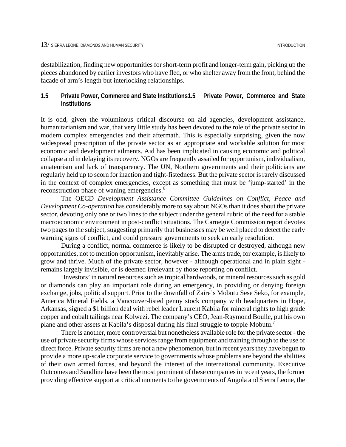destabilization, finding new opportunities for short-term profit and longer-term gain, picking up the pieces abandoned by earlier investors who have fled, or who shelter away from the front, behind the facade of arm's length but interlocking relationships.

## **1.5 Private Power, Commerce and State Institutions1.5 Private Power, Commerce and State Institutions**

It is odd, given the voluminous critical discourse on aid agencies, development assistance, humanitarianism and war, that very little study has been devoted to the role of the private sector in modern complex emergencies and their aftermath. This is especially surprising, given the now widespread prescription of the private sector as an appropriate and workable solution for most economic and development ailments. Aid has been implicated in causing economic and political collapse and in delaying its recovery. NGOs are frequently assailed for opportunism, individualism, amateurism and lack of transparency. The UN, Northern governments and their politicians are regularly held up to scorn for inaction and tight-fistedness. But the private sector is rarely discussed in the context of complex emergencies, except as something that must be 'jump-started' in the reconstruction phase of waning emergencies.<sup>6</sup>

The OECD *Development Assistance Committee Guidelines on Conflict, Peace and Development Co-operation* has considerably more to say about NGOs than it does about the private sector, devoting only one or two lines to the subject under the general rubric of the need for a stable macroeconomic environment in post-conflict situations. The Carnegie Commission report devotes two pages to the subject, suggesting primarily that businesses may be well placed to detect the early warning signs of conflict, and could pressure governments to seek an early resolution.

During a conflict, normal commerce is likely to be disrupted or destroyed, although new opportunities, not to mention opportunism, inevitably arise. The arms trade, for example, is likely to grow and thrive. Much of the private sector, however - although operational and in plain sight remains largely invisible, or is deemed irrelevant by those reporting on conflict.

'Investors' in natural resources such as tropical hardwoods, or mineral resources such as gold or diamonds can play an important role during an emergency, in providing or denying foreign exchange, jobs, political support. Prior to the downfall of Zaire's Mobutu Sese Seko, for example, America Mineral Fields, a Vancouver-listed penny stock company with headquarters in Hope, Arkansas, signed a \$1 billion deal with rebel leader Laurent Kabila for mineral rights to high grade copper and cobalt tailings near Kolwezi. The company's CEO, Jean-Raymond Boulle, put his own plane and other assets at Kabila's disposal during his final struggle to topple Mobutu.<sup>[7](#page-98-6)</sup>

There is another, more controversial but nonetheless available role for the private sector - the use of private security firms whose services range from equipment and training through to the use of direct force. Private security firms are not a new phenomenon, but in recent years they have begun to provide a more up-scale corporate service to governments whose problems are beyond the abilities of their own armed forces, and beyond the interest of the international community. Executive Outcomes and Sandline have been the most prominent of these companies in recent years, the former providing effective support at critical moments to the governments of Angola and Sierra Leone, the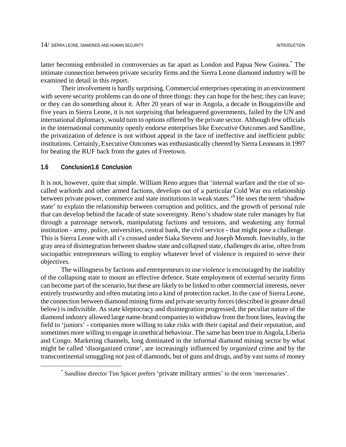latter becoming embroiled in controversies as far apart as London and Papua New Guinea.<sup>[\\*](#page-21-0)</sup> The intimate connection between private security firms and the Sierra Leone diamond industry will be examined in detail in this report.

Their involvement is hardly surprising. Commercial enterprises operating in an environment with severe security problems can do one of three things: they can hope for the best; they can leave; or they can do something about it. After 20 years of war in Angola, a decade in Bougainville and five years in Sierra Leone, it is not surprising that beleaguered governments, failed by the UN and international diplomacy, would turn to options offered by the private sector. Although few officials in the international community openly endorse enterprises like Executive Outcomes and Sandline, the privatization of defence is not without appeal in the face of ineffective and inefficient public institutions. Certainly, Executive Outcomes was enthusiastically cheered by Sierra Leoneans in 1997 for beating the RUF back from the gates of Freetown.

#### **1.6 Conclusion1.6 Conclusion**

 $\overline{a}$ 

It is not, however, quite that simple. William Reno argues that 'internal warfare and the rise of socalled warlords and other armed factions, develops out of a particular Cold War era relationship between private power, commerce and state institutions in weak states.<sup>[8](#page-98-7)</sup> He uses the term 'shadow state' to explain the relationship between corruption and politics, and the growth of personal rule that can develop behind the facade of state sovereignty. Reno's shadow state ruler manages by fiat through a patronage network, manipulating factions and tensions, and weakening any formal institution - army, police, universities, central bank, the civil service - that might pose a challenge. This is Sierra Leone with all t's crossed under Siaka Stevens and Joseph Momoh. Inevitably, in the gray area of disintegration between shadow state and collapsed state, challenges do arise, often from sociopathic entrepreneurs willing to employ whatever level of violence is required to serve their objectives.

The willingness by factions and entrepreneurs to use violence is encouraged by the inability of the collapsing state to mount an effective defence. State employment of external security firms can become part of the scenario, but these are likely to be linked to other commercial interests, never entirely trustworthy and often mutating into a kind of protection racket. In the case of Sierra Leone, the connection between diamond mining firms and private security forces (described in greater detail below) is indivisible. As state kleptocracy and disintegration progressed, the peculiar nature of the diamond industry allowed large name-brand companies to withdraw from the front lines, leaving the field to 'juniors' - companies more willing to take risks with their capital and their reputation, and sometimes more willing to engage in unethical behaviour. The same has been true in Angola, Liberia and Congo. Marketing channels, long dominated in the informal diamond mining sector by what might be called 'disorganized crime', are increasingly influenced by *organized* crime and by the transcontinental smuggling not just of diamonds, but of guns and drugs, and by vast sums of money

<span id="page-21-0"></span><sup>\*</sup> Sandline director Tim Spicer prefers 'private military armies' to the term 'mercenaries'.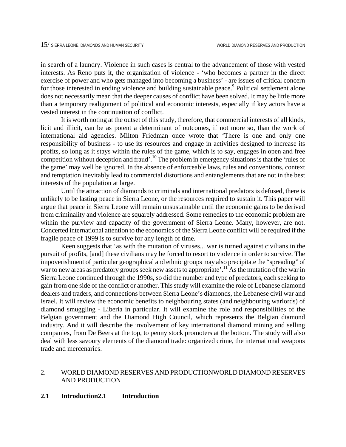in search of a laundry. Violence in such cases is central to the advancement of those with vested interests. As Reno puts it, the organization of violence - 'who becomes a partner in the direct exercise of power and who gets managed into becoming a business' - are issues of critical concern for those interested in ending violence and building sustainable peace.<sup>[9](#page-98-8)</sup> Political settlement alone does not necessarily mean that the deeper causes of conflict have been solved. It may be little more than a temporary realignment of political and economic interests, especially if key actors have a vested interest in the continuation of conflict.

It is worth noting at the outset of this study, therefore, that commercial interests of all kinds, licit and illicit, can be as potent a determinant of outcomes, if not more so, than the work of international aid agencies. Milton Friedman once wrote that 'There is one and only one responsibility of business - to use its resources and engage in activities designed to increase its profits, so long as it stays within the rules of the game, which is to say, engages in open and free competition without deception and fraud'.[10 T](#page-98-9)he problem in emergency situations is that the 'rules of the game' may well be ignored. In the absence of enforceable laws, rules and conventions, context and temptation inevitably lead to commercial distortions and entanglements that are not in the best interests of the population at large.

Until the attraction of diamonds to criminals and international predators is defused, there is unlikely to be lasting peace in Sierra Leone, or the resources required to sustain it. This paper will argue that peace in Sierra Leone will remain unsustainable until the economic gains to be derived from criminality and violence are squarely addressed. Some remedies to the economic problem are within the purview and capacity of the government of Sierra Leone. Many, however, are not. Concerted international attention to the economics of the Sierra Leone conflict will be required if the fragile peace of 1999 is to survive for any length of time.

Keen suggests that 'as with the mutation of viruses... war is turned against civilians in the pursuit of profits, [and] these civilians may be forced to resort to violence in order to survive. The impoverishment of particular geographical and ethnic groups may also precipitate the "spreading" of war to new areas as predatory groups seek new assets to appropriate'.<sup>11</sup> As the mutation of the war in Sierra Leone continued through the 1990s, so did the number and type of predators, each seeking to gain from one side of the conflict or another. This study will examine the role of Lebanese diamond dealers and traders, and connections between Sierra Leone's diamonds, the Lebanese civil war and Israel. It will review the economic benefits to neighbouring states (and neighbouring warlords) of diamond smuggling - Liberia in particular. It will examine the role and responsibilities of the Belgian government and the Diamond High Council, which represents the Belgian diamond industry. And it will describe the involvement of key international diamond mining and selling companies, from De Beers at the top, to penny stock promoters at the bottom. The study will also deal with less savoury elements of the diamond trade: organized crime, the international weapons trade and mercenaries.

## 2. WORLD DIAMOND RESERVES AND PRODUCTIONWORLD DIAMOND RESERVES AND PRODUCTION

### **2.1 Introduction2.1 Introduction**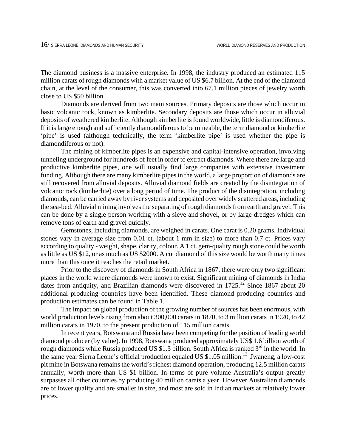The diamond business is a massive enterprise. In 1998, the industry produced an estimated 115 million carats of rough diamonds with a market value of US \$6.7 billion. At the end of the diamond chain, at the level of the consumer, this was converted into 67.1 million pieces of jewelry worth close to US \$50 billion.

Diamonds are derived from two main sources. Primary deposits are those which occur in basic volcanic rock, known as kimberlite. Secondary deposits are those which occur in alluvial deposits of weathered kimberlite. Although kimberlite is found worldwide, little is diamondiferous. If it is large enough and sufficiently diamondiferous to be mineable, the term diamond or kimberlite 'pipe' is used (although technically, the term 'kimberlite pipe' is used whether the pipe is diamondiferous or not).

The mining of kimberlite pipes is an expensive and capital-intensive operation, involving tunneling underground for hundreds of feet in order to extract diamonds. Where there are large and productive kimberlite pipes, one will usually find large companies with extensive investment funding. Although there are many kimberlite pipes in the world, a large proportion of diamonds are still recovered from alluvial deposits. Alluvial diamond fields are created by the disintegration of volcanic rock (kimberlite) over a long period of time. The product of the disintegration, including diamonds, can be carried away by river systems and deposited over widely scattered areas, including the sea-bed. Alluvial mining involves the separating of rough diamonds from earth and gravel. This can be done by a single person working with a sieve and shovel, or by large dredges which can remove tons of earth and gravel quickly.

Gemstones, including diamonds, are weighed in carats. One carat is 0.20 grams. Individual stones vary in average size from 0.01 ct. (about 1 mm in size) to more than 0.7 ct. Prices vary according to quality - weight, shape, clarity, colour. A 1 ct. gem-quality rough stone could be worth as little as US \$12, or as much as US \$2000. A cut diamond of this size would be worth many times more than this once it reaches the retail market.

Prior to the discovery of diamonds in South Africa in 1867, there were only two significant places in the world where diamonds were known to exist. Significant mining of diamonds in India dates from antiquity, and Brazilian diamonds were discovered in  $1725$ .<sup>12</sup> Since 1867 about 20 additional producing countries have been identified. These diamond producing countries and production estimates can be found in Table 1.

The impact on global production of the growing number of sources has been enormous, with world production levels rising from about 300,000 carats in 1870, to 3 million carats in 1920, to 42 million carats in 1970, to the present production of 115 million carats.

In recent years, Botswana and Russia have been competing for the position of leading world diamond producer (by value). In 1998, Botswana produced approximately US\$ 1.6 billion worth of rough diamonds while Russia produced US \$1.3 billion. South Africa is ranked 3<sup>rd</sup> in the world. In the same year Sierra Leone's official production equaled US \$1.05 million.<sup>13</sup> Jwaneng, a low-cost pit mine in Botswana remains the world's richest diamond operation, producing 12.5 million carats annually, worth more than US \$1 billion. In terms of pure volume Australia's output greatly surpasses all other countries by producing 40 million carats a year. However Australian diamonds are of lower quality and are smaller in size, and most are sold in Indian markets at relatively lower prices.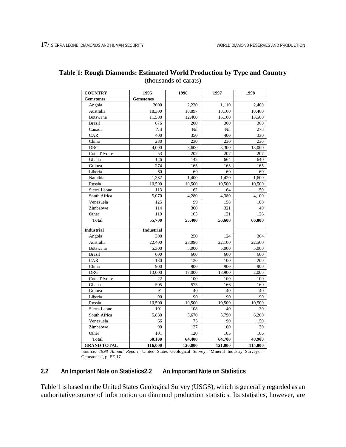| <b>COUNTRY</b>     | 1995              | 1996    | 1997    | 1998    |
|--------------------|-------------------|---------|---------|---------|
| <b>Gemstones</b>   | <b>Gemstones</b>  |         |         |         |
| Angola             | 2600              | 2,220   | 1,110   | 2,400   |
| Australia          | 18,300            | 18,897  | 18,100  | 18,400  |
| Botswana           | 11,500            | 12,400  | 15,100  | 13,500  |
| <b>Brazil</b>      | 676               | 200     | 300     | 300     |
| Canada             | Nil               | Nil     | Nil     | 278     |
| CAR                | 400               | 350     | 400     | 330     |
| China              | 230               | 230     | 230     | 230     |
| <b>DRC</b>         | 4,000             | 3,600   | 3,300   | 13,000  |
| Cote d'Ivoire      | 53                | 202     | 207     | 207     |
| Ghana              | 126               | 142     | 664     | 640     |
| Guinea             | 274               | 165     | 165     | 165     |
| Liberia            | 60                | 60      | 60      | 60      |
| Namibia            | 1,382             | 1,400   | 1,420   | 1,600   |
| Russia             | 10,500            | 10,500  | 10,500  | 10,500  |
| Sierra Leone       | 113               | 162     | 64      | 50      |
| South Africa       | 5,070             | 4,280   | 4,380   | 4,100   |
| Venezuela          | 125               | 99      | 158     | 100     |
| Zimbabwe           | 114               | 300     | 321     | 40      |
| Other              | 119               | 165     | 121     | 126     |
| <b>Total</b>       | 55,700            | 55,400  | 56,600  | 66,000  |
| <b>Industrial</b>  | <b>Industrial</b> |         |         |         |
| Angola             | 300               | 250     | 124     | 364     |
| Australia          | 22,400            | 23,096  | 22,100  | 22,500  |
| Botswana           | 5,300             | 5,000   | 5,000   | 5,000   |
| <b>Brazil</b>      | 600               | 600     | 600     | 600     |
| CAR                | 130               | 120     | 100     | 200     |
| China              | 900               | 900     | 900     | 900     |
| <b>DRC</b>         | 13,000            | 17,000  | 18,900  | 2,000   |
| Cote d'Ivoire      | 22                | 100     | 100     | 100     |
| Ghana              | 505               | 573     | 166     | 160     |
| Guinea             | 91                | 40      | 40      | 40      |
| Liberia            | 90                | 90      | 90      | 90      |
| Russia             | 10,500            | 10,500  | 10,500  | 10,500  |
| Sierra Leone       | 101               | 108     | 40      | 30      |
| South Africa       | 5,880             | 5,670   | 5,790   | 6,200   |
| Venezuela          | 66                | 73      | 90      | 150     |
| Zimbabwe           | 90                | 137     | 100     | 30      |
| Other              | 101               | 120     | 105     | 106     |
| <b>Total</b>       | 60,100            | 64,400  | 64,700  | 48,900  |
| <b>GRAND TOTAL</b> | 116,000           | 120,000 | 121,000 | 115,000 |

## **Table 1: Rough Diamonds: Estimated World Production by Type and Country**  (thousands of carats)

 Source: *1998 Annual Report*, United States Geological Survey, 'Mineral Industry Surveys – Gemstones', p. EE 17

## **2.2 An Important Note on Statistics2.2 An Important Note on Statistics**

Table 1 is based on the United States Geological Survey (USGS), which is generally regarded as an authoritative source of information on diamond production statistics. Its statistics, however, are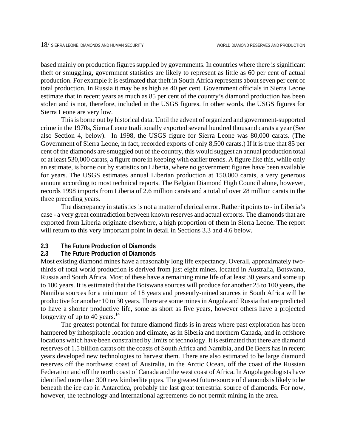based mainly on production figures supplied by governments. In countries where there is significant theft or smuggling, government statistics are likely to represent as little as 60 per cent of actual production. For example it is estimated that theft in South Africa represents about seven per cent of total production. In Russia it may be as high as 40 per cent. Government officials in Sierra Leone estimate that in recent years as much as 85 per cent of the country's diamond production has been stolen and is not, therefore, included in the USGS figures. In other words, the USGS figures for Sierra Leone are very low.

This is borne out by historical data. Until the advent of organized and government-supported crime in the 1970s, Sierra Leone traditionally exported several hundred thousand carats a year (See also Section 4, below). In 1998, the USGS figure for Sierra Leone was 80,000 carats. (The Government of Sierra Leone, in fact, recorded exports of only 8,500 carats.) If it is true that 85 per cent of the diamonds are smuggled out of the country, this would suggest an annual production total of at least 530,000 carats, a figure more in keeping with earlier trends. A figure like this, while only an estimate, is borne out by statistics on Liberia, where no government figures have been available for years. The USGS estimates annual Liberian production at 150,000 carats, a very generous amount according to most technical reports. The Belgian Diamond High Council alone, however, records 1998 imports from Liberia of 2.6 million carats and a total of over 28 million carats in the three preceding years.

The discrepancy in statistics is not a matter of clerical error. Rather it points to - in Liberia's case - a very great contradiction between known reserves and actual exports. The diamonds that are exported from Liberia originate elsewhere, a high proportion of them in Sierra Leone. The report will return to this very important point in detail in Sections 3.3 and 4.6 below.

**2.3 The Future Production of Diamonds**

### **2.3 The Future Production of Diamonds**

Most existing diamond mines have a reasonably long life expectancy. Overall, approximately twothirds of total world production is derived from just eight mines, located in Australia, Botswana, Russia and South Africa. Most of these have a remaining mine life of at least 30 years and some up to 100 years. It is estimated that the Botswana sources will produce for another 25 to 100 years, the Namibia sources for a minimum of 18 years and presently-mined sources in South Africa will be productive for another 10 to 30 years. There are some mines in Angola and Russia that are predicted to have a shorter productive life, some as short as five years, however others have a projected longevity of up to 40 years. $14$ 

The greatest potential for future diamond finds is in areas where past exploration has been hampered by inhospitable location and climate, as in Siberia and northern Canada, and in offshore locations which have been constrained by limits of technology. It is estimated that there are diamond reserves of 1.5 billion carats off the coasts of South Africa and Namibia, and De Beers has in recent years developed new technologies to harvest them. There are also estimated to be large diamond reserves off the northwest coast of Australia, in the Arctic Ocean, off the coast of the Russian Federation and off the north coast of Canada and the west coast of Africa. In Angola geologists have identified more than 300 new kimberlite pipes. The greatest future source of diamonds is likely to be beneath the ice cap in Antarctica, probably the last great terrestrial source of diamonds. For now, however, the technology and international agreements do not permit mining in the area.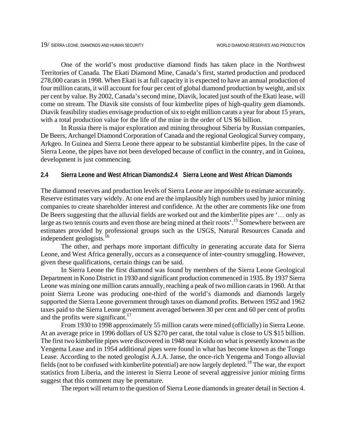One of the world's most productive diamond finds has taken place in the Northwest Territories of Canada. The Ekati Diamond Mine, Canada's first, started production and produced 278,000 carats in 1998. When Ekati is at full capacity it is expected to have an annual production of four million carats, it will account for four per cent of global diamond production by weight, and six per cent by value. By 2002, Canada's second mine, Diavik, located just south of the Ekati lease, will come on stream. The Diavik site consists of four kimberlite pipes of high-quality gem diamonds. Diavik feasibility studies envisage production of six to eight million carats a year for about 15 years, with a total production value for the life of the mine in the order of US \$6 billion.

In Russia there is major exploration and mining throughout Siberia by Russian companies, De Beers, Archangel Diamond Corporation of Canada and the regional Geological Survey company, Arkgeo. In Guinea and Sierra Leone there appear to be substantial kimberlite pipes. In the case of Sierra Leone, the pipes have not been developed because of conflict in the country, and in Guinea, development is just commencing.

## **2.4 Sierra Leone and West African Diamonds2.4 Sierra Leone and West African Diamonds**

The diamond reserves and production levels of Sierra Leone are impossible to estimate accurately. Reserve estimates vary widely. At one end are the implausibly high numbers used by junior mining companies to create shareholder interest and confidence. At the other are comments like one from De Beers suggesting that the alluvial fields are worked out and the kimberlite pipes are '… only as large as two tennis courts and even those are being mined at their roots'.<sup>15</sup> Somewhere between are estimates provided by professional groups such as the USGS, Natural Resources Canada and independent geologists.[16](#page-98-15)

The other, and perhaps more important difficulty in generating accurate data for Sierra Leone, and West Africa generally, occurs as a consequence of inter-country smuggling. However, given these qualifications, certain things can be said.

In Sierra Leone the first diamond was found by members of the Sierra Leone Geological Department in Kono District in 1930 and significant production commenced in 1935. By 1937 Sierra Leone was mining one million carats annually, reaching a peak of two million carats in 1960. At that point Sierra Leone was producing one-third of the world's diamonds and diamonds largely supported the Sierra Leone government through taxes on diamond profits. Between 1952 and 1962 taxes paid to the Sierra Leone government averaged between 30 per cent and 60 per cent of profits and the profits were significant.<sup>17</sup>

From 1930 to 1998 approximately 55 million carats were mined (officially) in Sierra Leone. At an average price in 1996 dollars of US \$270 per carat, the total value is close to US \$15 billion. The first two kimberlite pipes were discovered in 1948 near Koidu on what is presently known as the Yengema Lease and in 1954 additional pipes were found in what has become known as the Tongo Lease. According to the noted geologist A.J.A. Janse, the once-rich Yengema and Tongo alluvial fields (not to be confused with kimberlite potential) are now largely depleted.<sup>18</sup> The war, the export statistics from Liberia, and the interest in Sierra Leone of several aggressive junior mining firms suggest that this comment may be premature.

The report will return to the question of Sierra Leone diamonds in greater detail in Section 4.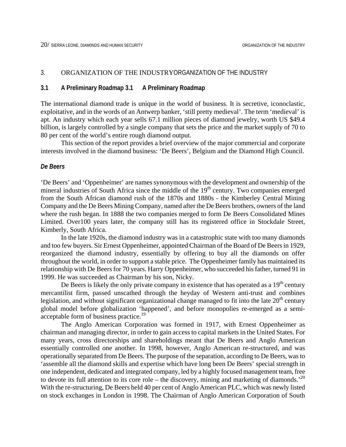## 3. ORGANIZATION OF THE INDUSTRYORGANIZATION OF THE INDUSTRY

### **3.1 A Preliminary Roadmap 3.1 A Preliminary Roadmap**

The international diamond trade is unique in the world of business. It is secretive, iconoclastic, exploitative, and in the words of an Antwerp banker, 'still pretty medieval'. The term 'medieval' is apt. An industry which each year sells 67.1 million pieces of diamond jewelry, worth US \$49.4 billion, is largely controlled by a single company that sets the price and the market supply of 70 to 80 per cent of the world's entire rough diamond output.

This section of the report provides a brief overview of the major commercial and corporate interests involved in the diamond business: 'De Beers', Belgium and the Diamond High Council.

## *De Beers*

'De Beers' and 'Oppenheimer' are names synonymous with the development and ownership of the mineral industries of South Africa since the middle of the  $19<sup>th</sup>$  century. Two companies emerged from the South African diamond rush of the 1870s and 1880s - the Kimberley Central Mining Company and the De Beers Mining Company, named after the De Beers brothers, owners of the land where the rush began. In 1888 the two companies merged to form De Beers Consolidated Mines Limited. Over100 years later, the company still has its registered office in Stockdale Street, Kimberly, South Africa.

In the late 1920s, the diamond industry was in a catastrophic state with too many diamonds and too few buyers. Sir Ernest Oppenheimer, appointed Chairman of the Board of De Beers in 1929, reorganized the diamond industry, essentially by offering to buy all the diamonds on offer throughout the world, in order to support a stable price. The Oppenheimer family has maintained its relationship with De Beers for 70 years. Harry Oppenheimer, who succeeded his father, turned 91 in 1999. He was succeeded as Chairman by his son, Nicky.

De Beers is likely the only private company in existence that has operated as a  $19<sup>th</sup>$  century mercantilist firm, passed unscathed through the heyday of Western anti-trust and combines legislation, and without significant organizational change managed to fit into the late  $20<sup>th</sup>$  century global model before globalization 'happened', and before monopolies re-emerged as a semi-acceptable form of business practice.<sup>[19](#page-98-18)</sup>

The Anglo American Corporation was formed in 1917, with Ernest Oppenheimer as chairman and managing director, in order to gain access to capital markets in the United States. For many years, cross directorships and shareholdings meant that De Beers and Anglo American essentially controlled one another. In 1998, however, Anglo American re-structured, and was operationally separated from De Beers. The purpose of the separation, according to De Beers, was to 'assemble all the diamond skills and expertise which have long been De Beers' special strength in one independent, dedicated and integrated company, led by a highly focused management team, free to devote its full attention to its core role – the discovery, mining and marketing of diamonds.<sup>[20](#page-98-19)</sup> With the re-structuring, De Beers held 40 per cent of Anglo American PLC, which was newly listed on stock exchanges in London in 1998. The Chairman of Anglo American Corporation of South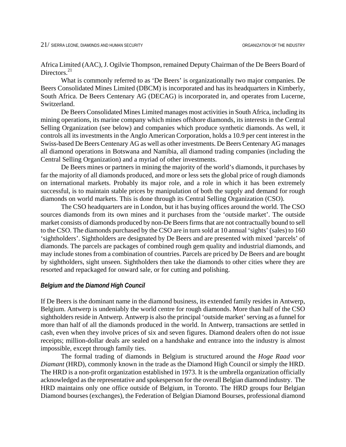Africa Limited (AAC), J. Ogilvie Thompson, remained Deputy Chairman of the De Beers Board of Directors.<sup>[21](#page-98-20)</sup>

What is commonly referred to as 'De Beers' is organizationally two major companies. De Beers Consolidated Mines Limited (DBCM) is incorporated and has its headquarters in Kimberly, South Africa. De Beers Centenary AG (DECAG) is incorporated in, and operates from Lucerne, Switzerland.

De Beers Consolidated Mines Limited manages most activities in South Africa, including its mining operations, its marine company which mines offshore diamonds, its interests in the Central Selling Organization (see below) and companies which produce synthetic diamonds. As well, it controls all its investments in the Anglo American Corporation, holds a 10.9 per cent interest in the Swiss-based De Beers Centenary AG as well as other investments. De Beers Centenary AG manages all diamond operations in Botswana and Namibia, all diamond trading companies (including the Central Selling Organization) and a myriad of other investments.

De Beers mines or partners in mining the majority of the world's diamonds, it purchases by far the majority of all diamonds produced, and more or less sets the global price of rough diamonds on international markets. Probably its major role, and a role in which it has been extremely successful, is to maintain stable prices by manipulation of both the supply and demand for rough diamonds on world markets. This is done through its Central Selling Organization (CSO).

The CSO headquarters are in London, but it has buying offices around the world. The CSO sources diamonds from its own mines and it purchases from the 'outside market'. The outside market consists of diamonds produced by non-De Beers firms that are not contractually bound to sell to the CSO. The diamonds purchased by the CSO are in turn sold at 10 annual 'sights' (sales) to 160 'sightholders'. Sightholders are designated by De Beers and are presented with mixed 'parcels' of diamonds. The parcels are packages of combined rough gem quality and industrial diamonds, and may include stones from a combination of countries. Parcels are priced by De Beers and are bought by sightholders, sight unseen. Sightholders then take the diamonds to other cities where they are resorted and repackaged for onward sale, or for cutting and polishing.

### *Belgium and the Diamond High Council*

If De Beers is the dominant name in the diamond business, its extended family resides in Antwerp, Belgium. Antwerp is undeniably the world centre for rough diamonds. More than half of the CSO sightholders reside in Antwerp. Antwerp is also the principal 'outside market' serving as a funnel for more than half of all the diamonds produced in the world. In Antwerp, transactions are settled in cash, even when they involve prices of six and seven figures. Diamond dealers often do not issue receipts; million-dollar deals are sealed on a handshake and entrance into the industry is almost impossible, except through family ties.

The formal trading of diamonds in Belgium is structured around the *Hoge Raad voor Diamant* (HRD), commonly known in the trade as the Diamond High Council or simply the HRD. The HRD is a non-profit organization established in 1973. It is the umbrella organization officially acknowledged as the representative and spokesperson for the overall Belgian diamond industry. The HRD maintains only one office outside of Belgium, in Toronto. The HRD groups four Belgian Diamond bourses (exchanges), the Federation of Belgian Diamond Bourses, professional diamond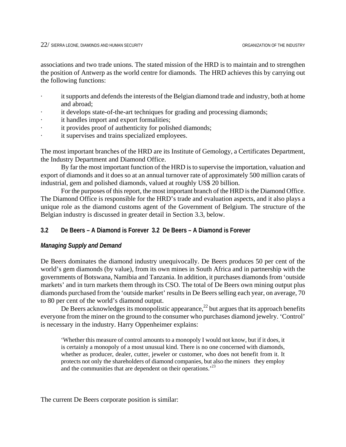associations and two trade unions. The stated mission of the HRD is to maintain and to strengthen the position of Antwerp as the world centre for diamonds. The HRD achieves this by carrying out the following functions:

- · it supports and defends the interests of the Belgian diamond trade and industry, both at home and abroad;
- it develops state-of-the-art techniques for grading and processing diamonds;
- it handles import and export formalities;
- it provides proof of authenticity for polished diamonds;
- it supervises and trains specialized employees.

The most important branches of the HRD are its Institute of Gemology, a Certificates Department, the Industry Department and Diamond Office.

By far the most important function of the HRD is to supervise the importation, valuation and export of diamonds and it does so at an annual turnover rate of approximately 500 million carats of industrial, gem and polished diamonds, valued at roughly US\$ 20 billion.

For the purposes of this report, the most important branch of the HRD is the Diamond Office. The Diamond Office is responsible for the HRD's trade and evaluation aspects, and it also plays a unique role as the diamond customs agent of the Government of Belgium. The structure of the Belgian industry is discussed in greater detail in Section 3.3, below.

## **3.2 De Beers – A Diamond is Forever 3.2 De Beers – A Diamond is Forever**

## *Managing Supply and Demand*

De Beers dominates the diamond industry unequivocally. De Beers produces 50 per cent of the world's gem diamonds (by value), from its own mines in South Africa and in partnership with the governments of Botswana, Namibia and Tanzania. In addition, it purchases diamonds from 'outside markets' and in turn markets them through its CSO. The total of De Beers own mining output plus diamonds purchased from the 'outside market' results in De Beers selling each year, on average, 70 to 80 per cent of the world's diamond output.

De Beers acknowledges its monopolistic appearance,<sup>22</sup> but argues that its approach benefits everyone from the miner on the ground to the consumer who purchases diamond jewelry. 'Control' is necessary in the industry. Harry Oppenheimer explains:

'Whether this measure of control amounts to a monopoly I would not know, but if it does, it is certainly a monopoly of a most unusual kind. There is no one concerned with diamonds, whether as producer, dealer, cutter, jeweler or customer, who does not benefit from it. It protects not only the shareholders of diamond companies, but also the miners they employ and the communities that are dependent on their operations.<sup>[23](#page-98-22)</sup>

The current De Beers corporate position is similar: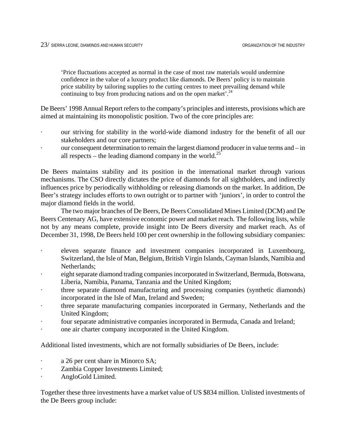'Price fluctuations accepted as normal in the case of most raw materials would undermine confidence in the value of a luxury product like diamonds. De Beers' policy is to maintain price stability by tailoring supplies to the cutting centres to meet prevailing demand while continuing to buy from producing nations and on the open market'.<sup>24</sup>

De Beers' 1998 Annual Report refers to the company's principles and interests, provisions which are aimed at maintaining its monopolistic position. Two of the core principles are:

- · our striving for stability in the world-wide diamond industry for the benefit of all our stakeholders and our core partners;
- our consequent determination to remain the largest diamond producer in value terms and in all respects – the leading diamond company in the world.<sup>[25](#page-98-24)</sup>

De Beers maintains stability and its position in the international market through various mechanisms. The CSO directly dictates the price of diamonds for all sightholders, and indirectly influences price by periodically withholding or releasing diamonds on the market. In addition, De Beer's strategy includes efforts to own outright or to partner with 'juniors', in order to control the major diamond fields in the world.

The two major branches of De Beers, De Beers Consolidated Mines Limited (DCM) and De Beers Centenary AG, have extensive economic power and market reach. The following lists, while not by any means complete, provide insight into De Beers diversity and market reach. As of December 31, 1998, De Beers held 100 per cent ownership in the following subsidiary companies:

- eleven separate finance and investment companies incorporated in Luxembourg, Switzerland, the Isle of Man, Belgium, British Virgin Islands, Cayman Islands, Namibia and Netherlands;
- · eight separate diamond trading companies incorporated in Switzerland, Bermuda, Botswana, Liberia, Namibia, Panama, Tanzania and the United Kingdom;
- three separate diamond manufacturing and processing companies (synthetic diamonds) incorporated in the Isle of Man, Ireland and Sweden;
- three separate manufacturing companies incorporated in Germany, Netherlands and the United Kingdom;
- four separate administrative companies incorporated in Bermuda, Canada and Ireland;
- · one air charter company incorporated in the United Kingdom.

Additional listed investments, which are not formally subsidiaries of De Beers, include:

- a 26 per cent share in Minorco SA;
- Zambia Copper Investments Limited;
- · AngloGold Limited.

Together these three investments have a market value of US \$834 million. Unlisted investments of the De Beers group include: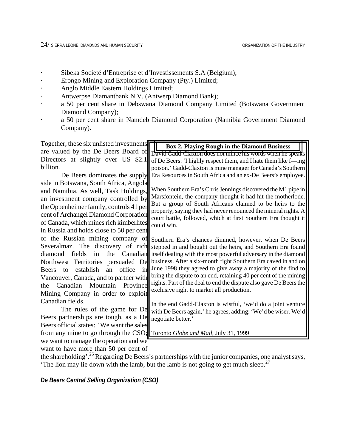- · Sibeka Societé d'Entreprise et d'Investissements S.A (Belgium);
- · Erongo Mining and Exploration Company (Pty.) Limited;
- · Anglo Middle Eastern Holdings Limited;
- · Antwerpse Diamantbank N.V. (Antwerp Diamond Bank);
- · a 50 per cent share in Debswana Diamond Company Limited (Botswana Government Diamond Company);
- · a 50 per cent share in Namdeb Diamond Corporation (Namibia Government Diamond Company).

| Together, these six unlisted investments                                   | <b>Box 2. Playing Rough in the Diamond Business</b>                                                                         |
|----------------------------------------------------------------------------|-----------------------------------------------------------------------------------------------------------------------------|
| are valued by the De Beers Board of                                        | David Gadd-Claxton does not mince his words when he speaks                                                                  |
| Directors at slightly over US \$2.1                                        | of De Beers: 'I highly respect them, and I hate them like f---ing                                                           |
| billion.                                                                   | poison.' Gadd-Claxton is mine manager for Canada's Southern                                                                 |
| De Beers dominates the supply                                              | Era Resources in South Africa and an ex-De Beers's employee.                                                                |
| side in Botswana, South Africa, Angola                                     |                                                                                                                             |
| and Namibia. As well, Task Holdings,                                       | When Southern Era's Chris Jennings discovered the M1 pipe in                                                                |
| an investment company controlled by                                        | Marsfontein, the company thought it had hit the motherlode.                                                                 |
| the Oppenheimer family, controls 41 per                                    | But a group of South Africans claimed to be heirs to the<br>property, saying they had never renounced the mineral rights. A |
| cent of Archangel Diamond Corporation                                      | court battle, followed, which at first Southern Era thought it                                                              |
| of Canada, which mines rich kimberlites                                    | could win.                                                                                                                  |
| in Russia and holds close to 50 per cent                                   |                                                                                                                             |
| of the Russian mining company of                                           | Southern Era's chances dimmed, however, when De Beers                                                                       |
| Severalmaz. The discovery of rich                                          | stepped in and bought out the heirs, and Southern Era found                                                                 |
| the Canadian<br>diamond fields<br>in                                       | itself dealing with the most powerful adversary in the diamond                                                              |
| De<br>Northwest Territories persuaded                                      | business. After a six-month fight Southern Era caved in and on                                                              |
| establish<br>office<br>in<br><b>Beers</b><br>an<br>to                      | June 1998 they agreed to give away a majority of the find to                                                                |
| Vancouver, Canada, and to partner with                                     | bring the dispute to an end, retaining 40 per cent of the mining                                                            |
| Mountain<br>Canadian<br>Province<br>the                                    | rights. Part of the deal to end the dispute also gave De Beers the<br>exclusive right to market all production.             |
| Mining Company in order to exploit                                         |                                                                                                                             |
| Canadian fields.                                                           | In the end Gadd-Claxton is wistful, 'we'd do a joint venture                                                                |
| The rules of the game for De                                               | with De Beers again,' he agrees, adding: 'We'd be wiser. We'd                                                               |
| Beers partnerships are tough, as a De                                      | negotiate better.'                                                                                                          |
| Beers official states: 'We want the sales'                                 |                                                                                                                             |
| from any mine to go through the CSO; Toronto Globe and Mail, July 31, 1999 |                                                                                                                             |
| we want to manage the operation and we                                     |                                                                                                                             |
| want to have more than 50 per cent of                                      |                                                                                                                             |
|                                                                            | the shareholding'. <sup>26</sup> Regarding De Beers's partnerships with the junior companies, one analyst says,             |

'The lion may lie down with the lamb, but the lamb is not going to get much sleep.<sup>[27](#page-98-26)</sup>

*De Beers Central Selling Organization (CSO)*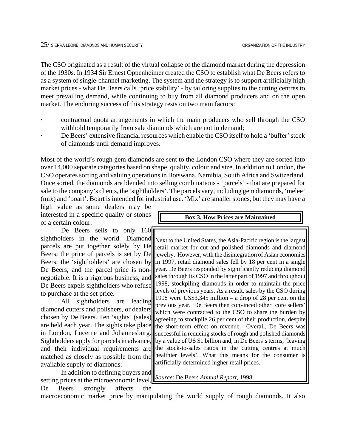The CSO originated as a result of the virtual collapse of the diamond market during the depression of the 1930s. In 1934 Sir Ernest Oppenheimer created the CSO to establish what De Beers refers to as a system of single-channel marketing. The system and the strategy is to support artificially high market prices - what De Beers calls 'price stability' - by tailoring supplies to the cutting centres to meet prevailing demand, while continuing to buy from all diamond producers and on the open market. The enduring success of this strategy rests on two main factors:

- · contractual quota arrangements in which the main producers who sell through the CSO withhold temporarily from sale diamonds which are not in demand;
- De Beers' extensive financial resources which enable the CSO itself to hold a 'buffer' stock of diamonds until demand improves.

Most of the world's rough gem diamonds are sent to the London CSO where they are sorted into over 14,000 separate categories based on shape, quality, colour and size. In addition to London, the CSO operates sorting and valuing operations in Botswana, Namibia, South Africa and Switzerland. Once sorted, the diamonds are blended into selling combinations - 'parcels' - that are prepared for sale to the company's clients, the 'sightholders'. The parcels vary, including gem diamonds, 'melee' (mix) and 'boart'. Boart is intended for industrial use. 'Mix' are smaller stones, but they may have a

high value as some dealers may be interested in a specific quality or stones of a certain colour.

De Beers sells to only 160 sightholders in the world. Diamond parcels are put together solely by De Beers; the price of parcels is set by De Beers; the 'sightholders' are chosen by De Beers; and the parcel price is nonnegotiable. It is a rigorous business, and De Beers expels sightholders who refuse to purchase at the set price.

All sightholders are leading diamond cutters and polishers, or dealers chosen by De Beers. Ten 'sights' (sales) are held each year. The sights take place in London, Lucerne and Johannesburg. Sightholders apply for parcels in advance, and their individual requirements are matched as closely as possible from the available supply of diamonds.

In addition to defining buyers and setting prices at the microeconomic level, De Beers strongly affects the **Box 3. How Prices are Maintained**

Next to the United States, the Asia-Pacific region is the largest retail market for cut and polished diamonds and diamond jewelry. However, with the disintegration of Asian economies in 1997, retail diamond sales fell by 18 per cent in a single year. De Beers responded by significantly reducing diamond sales through its CSO in the latter part of 1997 and throughout 1998, stockpiling diamonds in order to maintain the price levels of previous years. As a result, sales by the CSO during 1998 were US\$3,345 million – a drop of 28 per cent on the previous year. De Beers then convinced other 'core sellers' which were contracted to the CSO to share the burden by agreeing to stockpile 26 per cent of their production, despite the short-term effect on revenue. Overall, De Beers was successful in reducing stocks of rough and polished diamonds by a value of US \$1 billion and, in De Beers's terms, 'leaving the stock-to-sales ratios in the cutting centres at much healthier levels'. What this means for the consumer is artificially determined higher retail prices.

*Source*: De Beers *Annual Report*, 1998

macroeconomic market price by manipulating the world supply of rough diamonds. It also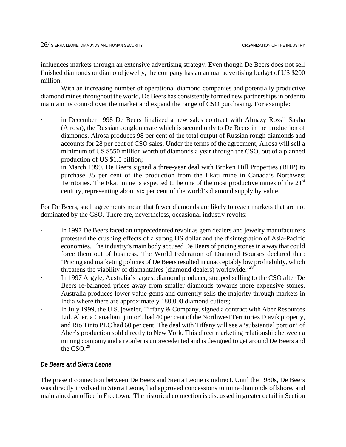influences markets through an extensive advertising strategy. Even though De Beers does not sell finished diamonds or diamond jewelry, the company has an annual advertising budget of US \$200 million.

With an increasing number of operational diamond companies and potentially productive diamond mines throughout the world, De Beers has consistently formed new partnerships in order to maintain its control over the market and expand the range of CSO purchasing. For example:

- in December 1998 De Beers finalized a new sales contract with Almazy Rossii Sakha (Alrosa), the Russian conglomerate which is second only to De Beers in the production of diamonds. Alrosa produces 98 per cent of the total output of Russian rough diamonds and accounts for 28 per cent of CSO sales. Under the terms of the agreement, Alrosa will sell a minimum of US \$550 million worth of diamonds a year through the CSO, out of a planned production of US \$1.5 billion;
- in March 1999, De Beers signed a three-year deal with Broken Hill Properties (BHP) to purchase 35 per cent of the production from the Ekati mine in Canada's Northwest Territories. The Ekati mine is expected to be one of the most productive mines of the  $21<sup>st</sup>$ century, representing about six per cent of the world's diamond supply by value.

For De Beers, such agreements mean that fewer diamonds are likely to reach markets that are not dominated by the CSO. There are, nevertheless, occasional industry revolts:

- In 1997 De Beers faced an unprecedented revolt as gem dealers and jewelry manufacturers protested the crushing effects of a strong US dollar and the disintegration of Asia-Pacific economies. The industry's main body accused De Beers of pricing stones in a way that could force them out of business. The World Federation of Diamond Bourses declared that: 'Pricing and marketing policies of De Beers resulted in unacceptably low profitability, which threatens the viability of diamantaires (diamond dealers) worldwide.<sup>28</sup>
- In 1997 Argyle, Australia's largest diamond producer, stopped selling to the CSO after De Beers re-balanced prices away from smaller diamonds towards more expensive stones. Australia produces lower value gems and currently sells the majority through markets in India where there are approximately 180,000 diamond cutters;
	- In July 1999, the U.S. jeweler, Tiffany & Company, signed a contract with Aber Resources Ltd. Aber, a Canadian 'junior', had 40 per cent of the Northwest Territories Diavik property, and Rio Tinto PLC had 60 per cent. The deal with Tiffany will see a 'substantial portion' of Aber's production sold directly to New York. This direct marketing relationship between a mining company and a retailer is unprecedented and is designed to get around De Beers and the  $\overline{\mathrm{CSO}}^{29}$

## *De Beers and Sierra Leone*

The present connection between De Beers and Sierra Leone is indirect. Until the 1980s, De Beers was directly involved in Sierra Leone, had approved concessions to mine diamonds offshore, and maintained an office in Freetown. The historical connection is discussed in greater detail in Section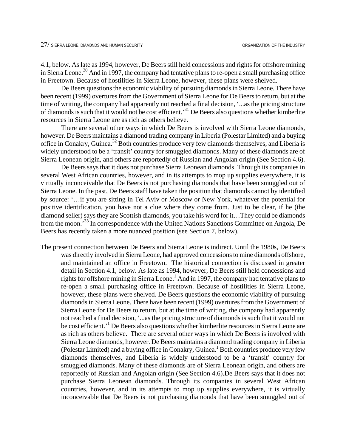4.1, below. As late as 1994, however, De Beers still held concessions and rights for offshore mining in Sierra Leone.<sup>30</sup> And in 1997, the company had tentative plans to re-open a small purchasing office in Freetown. Because of hostilities in Sierra Leone, however, these plans were shelved.

De Beers questions the economic viability of pursuing diamonds in Sierra Leone. There have been recent (1999) overtures from the Government of Sierra Leone for De Beers to return, but at the time of writing, the company had apparently not reached a final decision, '...as the pricing structure of diamonds is such that it would not be cost efficient.'[31 D](#page-98-30)e Beers also questions whether kimberlite resources in Sierra Leone are as rich as others believe.

There are several other ways in which De Beers is involved with Sierra Leone diamonds, however. De Beers maintains a diamond trading company in Liberia (Polestar Limited) and a buying office in Conakry, Guinea.[32](#page-98-31) Both countries produce very few diamonds themselves, and Liberia is widely understood to be a 'transit' country for smuggled diamonds. Many of these diamonds are of Sierra Leonean origin, and others are reportedly of Russian and Angolan origin (See Section 4.6).

De Beers says that it does not purchase Sierra Leonean diamonds. Through its companies in several West African countries, however, and in its attempts to mop up supplies everywhere, it is virtually inconceivable that De Beers is not purchasing diamonds that have been smuggled out of Sierra Leone. In the past, De Beers staff have taken the position that diamonds cannot by identified by source: '…if you are sitting in Tel Aviv or Moscow or New York, whatever the potential for positive identification, you have not a clue where they come from. Just to be clear, if he (the diamond seller) says they are Scottish diamonds, you take his word for it…They could be diamonds from the moon.'[33](#page-98-32) In correspondence with the United Nations Sanctions Committee on Angola, De Beers has recently taken a more nuanced position (see Section 7, below).

The present connection between De Beers and Sierra Leone is indirect. Until the 1980s, De Beers was directly involved in Sierra Leone, had approved concessions to mine diamonds offshore, and maintained an office in Freetown. The historical connection is discussed in greater detail in Section 4.1, below. As late as 1994, however, De Beers still held concessions and rights for offshore mining in Sierra Leone.<sup>1</sup> And in 1997, the company had tentative plans to re-open a small purchasing office in Freetown. Because of hostilities in Sierra Leone, however, these plans were shelved. De Beers questions the economic viability of pursuing diamonds in Sierra Leone. There have been recent (1999) overtures from the Government of Sierra Leone for De Beers to return, but at the time of writing, the company had apparently not reached a final decision, '...as the pricing structure of diamonds is such that it would not be cost efficient.<sup>1</sup> De Beers also questions whether kimberlite resources in Sierra Leone are as rich as others believe. There are several other ways in which De Beers is involved with Sierra Leone diamonds, however. De Beers maintains a diamond trading company in Liberia (Polestar Limited) and a buying office in Conakry, Guinea.<sup>1</sup> Both countries produce very few diamonds themselves, and Liberia is widely understood to be a 'transit' country for smuggled diamonds. Many of these diamonds are of Sierra Leonean origin, and others are reportedly of Russian and Angolan origin (See Section 4.6).De Beers says that it does not purchase Sierra Leonean diamonds. Through its companies in several West African countries, however, and in its attempts to mop up supplies everywhere, it is virtually inconceivable that De Beers is not purchasing diamonds that have been smuggled out of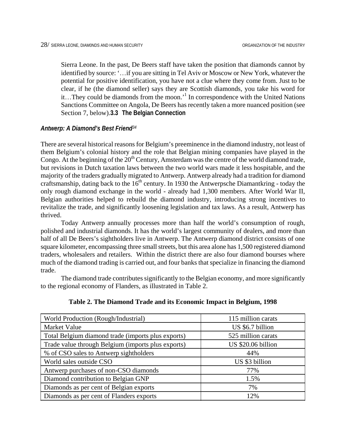Sierra Leone. In the past, De Beers staff have taken the position that diamonds cannot by identified by source: '…if you are sitting in Tel Aviv or Moscow or New York, whatever the potential for positive identification, you have not a clue where they come from. Just to be clear, if he (the diamond seller) says they are Scottish diamonds, you take his word for it...They could be diamonds from the moon.<sup>1</sup> In correspondence with the United Nations Sanctions Committee on Angola, De Beers has recently taken a more nuanced position (see Section 7, below).**3.3 The Belgian Connection** 

## *Antwerp: A Diamond's Best Friend[34](#page-98-33)*

There are several historical reasons for Belgium's preeminence in the diamond industry, not least of them Belgium's colonial history and the role that Belgian mining companies have played in the Congo. At the beginning of the  $20<sup>th</sup>$  Century, Amsterdam was the centre of the world diamond trade, but revisions in Dutch taxation laws between the two world wars made it less hospitable, and the majority of the traders gradually migrated to Antwerp. Antwerp already had a tradition for diamond craftsmanship, dating back to the  $16<sup>th</sup>$  century. In 1930 the Antwerpsche Diama[ntk](#page-98-34)ring - today the only rough diamond exchange in the world - already had 1,300 members. After World War II, Belgian authorities helped to rebuild the diamond industry, introducing strong incentives to revitalize the trade, and significantly loosening legislation and tax laws. As a result, Antwerp has thrived.

Today Antwerp annually processes more than half the world's consumption of rough, polished and industrial diamonds. It has the world's largest community of dealers, and more than half of all De Beers's sightholders live in Antwerp. The Antwerp diamond district consists of one square kilometer, encompassing three small streets, but this area alone has 1,500 registered diamond traders, wholesalers and retailers. Within the district there are also four diamond bourses where much of the diamond trading is carried out, and four banks that specialize in financing the diamond trade.

The diamond trade contributes significantly to the Belgian economy, and more significantly to the regi[on](#page-98-35)al economy of Flanders, as illustrated in Table 2.

| World Production (Rough/Industrial)                | 115 million carats |
|----------------------------------------------------|--------------------|
| Market Value                                       | US \$6.7 billion   |
| Total Belgium diamond trade (imports plus exports) | 525 million carats |
| Trade value through Belgium (imports plus exports) | US \$20.06 billion |
| % of CSO sales to Antwerp sightholders             | 44%                |
| World sales outside CSO                            | US \$3 billion     |
| Antwerp purchases of non-CSO diamonds              | 77%                |
| Diamond contribution to Belgian GNP                | 1.5%               |
| Diamonds as per cent of Belgian exports            | 7%                 |
| Diamonds as per cent of Flanders exports           | 12%                |

| Table 2. The Diamond Trade and its Economic Impact in Belgium, 1998 |
|---------------------------------------------------------------------|
|---------------------------------------------------------------------|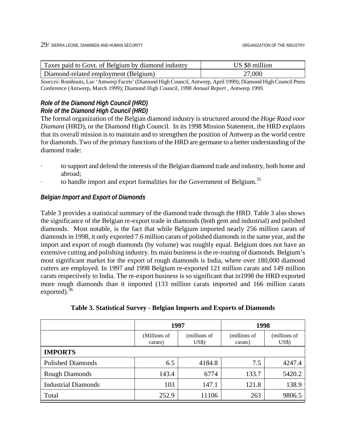| Taxes paid to Govt. of Belgium by diamond industry | US \$8 million |
|----------------------------------------------------|----------------|
| Diamond-related employment (Belgium)               | 27,000         |

*Sources*: Rombouts, Luc 'Antwerp Facets' (Diamond High Council, Antwerp, April 1999); Diamond High Council Press Conference (Antwerp, March 1999); Diamond High Council, 1998 *Annual Report* , Antwerp 1999.

# *Role of the Diamond High Council (HRD) Role of the Diamond High Council (HRD)*

The formal organization of the Belgian diamond industry is structured around the *Hoge Raad voor Diamant* (HRD), or the Diamond High Council. In its 1998 Mission Statement, the HRD explains that its overall mission is to maintain and to strengthen the position of Antwerp as the world centre for diamonds. Two of the primary functions of the HRD are germane to a better understanding of the diamond trade:

- · to support and defend the interests of the Belgian diamond trade and industry, both home and abroad;
- to handle import and export formalities for the Government of Belgium.<sup>35</sup>

# *Belgian Import and Export of Diamonds*

Table 3 provides a statistical summary of the diamond trade through the HRD. Table 3 also shows the significance of the Belgian re-export trade in diamonds (both gem and industrial) and polished diamonds. Most notable, is the fact that while Belgium imported nearly 256 million carats of diamonds in 1998, it only exported 7.6 million carats of polished diamonds in the same year, and the import and export of rough diamonds (by volume) was roughly equal. Belgium does not have an extensive cutting and polishing industry. Its main business is the re-routing of diamonds. Belgium's most significant market for the export of rough diamonds is India, where over 180,000 diamond cutters are employed. In 1997 and 1998 Belgium re-exported 121 million carats and 149 million carats respectively to India. The re-export business is so significant that in1998 the HRD exported more rough diamonds than it imported (133 million carats imported and 166 million carats exported). $36$ 

| Table 3. Statistical Survey - Belgian Imports and Exports of Diamonds |  |  |  |  |
|-----------------------------------------------------------------------|--|--|--|--|
|-----------------------------------------------------------------------|--|--|--|--|

|                            | 1997                    |                                     | 1998                    |                       |  |
|----------------------------|-------------------------|-------------------------------------|-------------------------|-----------------------|--|
|                            | (Millions of<br>carats) | (millions of<br>$\overline{U}$ S\$) | (millions of<br>carats) | (millions of<br>US\$) |  |
| <b>IMPORTS</b>             |                         |                                     |                         |                       |  |
| <b>Polished Diamonds</b>   | 6.5                     | 4184.8                              | 7.5                     | 4247.4                |  |
| <b>Rough Diamonds</b>      | 143.4                   | 6774                                | 133.7                   | 5420.2                |  |
| <b>Industrial Diamonds</b> | 103                     | 147.1                               | 121.8                   | 138.9                 |  |
| Total                      | 252.9                   | 11106                               | 263                     | 9806.5                |  |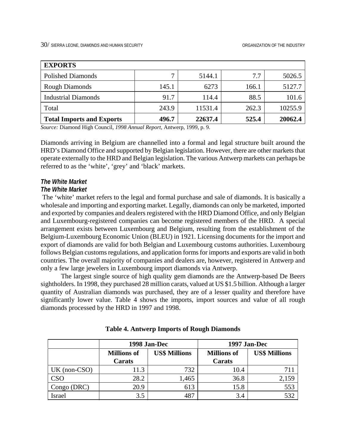| <b>EXPORTS</b>                   |       |         |       |         |
|----------------------------------|-------|---------|-------|---------|
| <b>Polished Diamonds</b>         |       | 5144.1  | 7.7   | 5026.5  |
| <b>Rough Diamonds</b>            | 145.1 | 6273    | 166.1 | 5127.7  |
| <b>Industrial Diamonds</b>       | 91.7  | 114.4   | 88.5  | 101.6   |
| Total                            | 243.9 | 11531.4 | 262.3 | 10255.9 |
| <b>Total Imports and Exports</b> | 496.7 | 22637.4 | 525.4 | 20062.4 |

*Source:* Diamond High Council*, 1998 Annual Report,* Antwerp, 1999, p. 9.

Diamonds arriving in Belgium are channelled into a formal and legal structure built around the HRD's Diamond Office and supported by Belgian legislation. However, there are other markets that operate externally to the HRD and Belgian legislation. The various Antwerp markets can perhaps be referred to as the 'white', 'grey' and 'black' markets.

## *The White Market*

## *The White Market*

 The 'white' market refers to the legal and formal purchase and sale of diamonds. It is basically a wholesale and importing and exporting market. Legally, diamonds can only be marketed, imported and exported by companies and dealers registered with the HRD Diamond Office, and only Belgian and Luxembourg-registered companies can become registered members of the HRD. A special arrangement exists between Luxembourg and Belgium, resulting from the establishment of the Belgium-Luxembourg Economic Union (BLEU) in 1921. Licensing documents for the import and export of diamonds are valid for both Belgian and Luxembourg customs authorities. Luxembourg follows Belgian customs regulations, and application forms for imports and exports are valid in both countries. The overall majority of companies and dealers are, however, registered in Antwerp and only a few large jewelers in Luxembourg import diamonds via Antwerp.

The largest single source of high quality gem diamonds are the Antwerp-based De Beers sightholders. In 1998, they purchased 28 million carats, valued at US \$1.5 billion. Although a larger quantity of Australian diamonds was purchased, they are of a lesser quality and therefore have significantly lower value. Table 4 shows the imports, import sources and value of all rough diamonds processed by the HRD in 1997 and 1998.

|                |                              | 1998 Jan-Dec         | 1997 Jan-Dec                 |                      |  |
|----------------|------------------------------|----------------------|------------------------------|----------------------|--|
|                | <b>Millions of</b><br>Carats | <b>US\$ Millions</b> | <b>Millions of</b><br>Carats | <b>US\$ Millions</b> |  |
| $UK (non-CSO)$ | 11.3                         | 732                  | 10.4                         | 71۱                  |  |
| <b>CSO</b>     | 28.2                         | 1,465                | 36.8                         | 2,159                |  |
| Congo (DRC)    | 20.9                         | 613                  | 15.8                         | 553                  |  |
| Israel         | 3.5                          | 487                  | 3.4                          | 532                  |  |

| <b>Table 4. Antwerp Imports of Rough Diamonds</b> |  |  |  |  |  |
|---------------------------------------------------|--|--|--|--|--|
|---------------------------------------------------|--|--|--|--|--|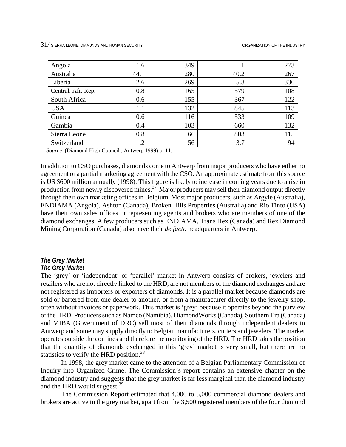| Angola             | 1.6  | 349 |      | 273 |
|--------------------|------|-----|------|-----|
| Australia          | 44.1 | 280 | 40.2 | 267 |
| Liberia            | 2.6  | 269 | 5.8  | 330 |
| Central. Afr. Rep. | 0.8  | 165 | 579  | 108 |
| South Africa       | 0.6  | 155 | 367  | 122 |
| <b>USA</b>         | 1.1  | 132 | 845  | 113 |
| Guinea             | 0.6  | 116 | 533  | 109 |
| Gambia             | 0.4  | 103 | 660  | 132 |
| Sierra Leone       | 0.8  | 66  | 803  | 115 |
| Switzerland        | 1.2  | 56  | 3.7  | 94  |

*Source* (Diamond High Council , Antwerp 1999) p. 11.

In addition to CSO purchases, diamonds come to Antwerp from major producers who have either no agreement or a partial marketing agreement with the CSO. An approximate estimate from this source is US \$600 million annually (1998). This figure is likely to increase in coming years due to a rise in production from newly discovered mines.<sup>37</sup> Major producers may sell their diamond output directly through their own marketing offices in Belgium. Most major producers, such as Argyle (Australia), ENDIAMA (Angola), Ashton (Canada), Broken Hills Properties (Australia) and Rio Tinto (USA) have their own sales offices or representing agents and brokers who are members of one of the diamond exchanges. A few producers such as ENDIAMA, Trans Hex (Canada) and Rex Diamond Mining Corporation (Canada) also have their *de facto* headquarters in Antwerp.

# *The Grey Market*

# *The Grey Market*

The 'grey' or 'independent' or 'parallel' market in Antwerp consists of brokers, jewelers and retailers who are not directly linked to the HRD, are not members of the diamond exchanges and are not registered as importers or exporters of diamonds. It is a parallel market because diamonds are sold or bartered from one dealer to another, or from a manufacturer directly to the jewelry shop, often without invoices or paperwork. This market is 'grey' because it operates beyond the purview of the HRD. Producers such as Namco (Namibia), DiamondWorks (Canada), Southern Era (Canada) and MIBA (Government of DRC) sell most of their diamonds through independent dealers in Antwerp and some may supply directly to Belgian manufacturers, cutters and jewelers. The market operates outside the confines and therefore the monitoring of the HRD. The HRD takes the position that the quantity of diamonds exchanged in this 'grey' market is very small, but there are no statistics to verify the HRD position.<sup>38</sup>

In 1998, the grey market came to the attention of a Belgian Parliamentary Commission of Inquiry into Organized Crime. The Commission's report contains an extensive chapter on the diamond industry and suggests that the grey market is far less marginal than the diamond industry and the HRD would suggest.<sup>39</sup>

The Commission Report estimated that 4,000 to 5,000 commercial diamond dealers and brokers are active in the grey market, apart from the 3,500 registered members of the four diamond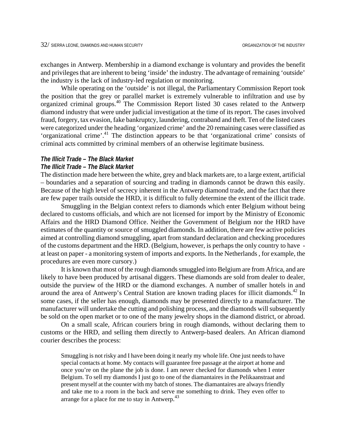exchanges in Antwerp. Membership in a diamond exchange is voluntary and provides the benefit and privileges that are inherent to being 'inside' the industry. The advantage of remaining 'outside' the industry is the lack of industry-led regulation or monitoring.

While operating on the 'outside' is not illegal, the Parliamentary Commission Report took the position that the grey or parallel market is extremely vulnerable to infiltration and use by organized criminal groups.<sup>40</sup> The Commission Report listed 30 cases related to the Antwerp diamond industry that were under judicial investigation at the time of its report. The cases involved fraud, forgery, tax evasion, fake bankruptcy, laundering, contraband and theft. Ten of the listed cases were categorized under the heading 'organized crime' and the 20 remaining cases were classified as 'organizational crime'[.41](#page-98-3) The distinction appears to be that 'organizational crime' consists of criminal acts committed by criminal members of an otherwise legitimate business.

# *The Illicit Trade – The Black Market*

## *The Illicit Trade – The Black Market*

The distinction made here between the white, grey and black markets are, to a large extent, artificial – boundaries and a separation of sourcing and trading in diamonds cannot be drawn this easily. Because of the high level of secrecy inherent in the Antwerp diamond trade, and the fact that there are few paper trails outside the HRD, it is difficult to fully determine the extent of the illicit trade.

Smuggling in the Belgian context refers to diamonds which enter Belgium without being declared to customs officials, and which are not licensed for import by the Ministry of Economic Affairs and the HRD Diamond Office. Neither the Government of Belgium nor the HRD have estimates of the quantity or source of smuggled diamonds. In addition, there are few active policies aimed at controlling diamond smuggling, apart from standard declaration and checking procedures of the customs department and the HRD. (Belgium, however, is perhaps the only country to have at least on paper - a monitoring system of imports and exports. In the Netherlands , for example, the procedures are even more cursory.)

It is known that most of the rough diamonds smuggled into Belgium are from Africa, and are likely to have been produced by artisanal diggers. These diamonds are sold from dealer to dealer, outside the purview of the HRD or the diamond exchanges. A number of smaller hotels in and around the area of Antwerp's Central Station are known trading places for illicit diamonds.<sup>42</sup> In some cases, if the seller has enough, diamonds may be presented directly to a manufacturer. The manufacturer will undertake the cutting and polishing process, and the diamonds will subsequently be sold on the open market or to one of the many jewelry shops in the diamond district, or abroad.

On a small scale, African couriers bring in rough diamonds, without declaring them to customs or the HRD, and selling them directly to Antwerp-based dealers. An African diamond courier describes the process:

Smuggling is not risky and I have been doing it nearly my whole life. One just needs to have special contacts at home. My contacts will guarantee free passage at the airport at home and once you're on the plane the job is done. I am never checked for diamonds when I enter Belgium. To sell my diamonds I just go to one of the diamantaires in the Pelikaanstraat and present myself at the counter with my batch of stones. The diamantaires are always friendly and take me to a room in the back and serve me something to drink. They even offer to arrange for a place for me to stay in Antwerp.<sup>[43](#page-98-5)</sup>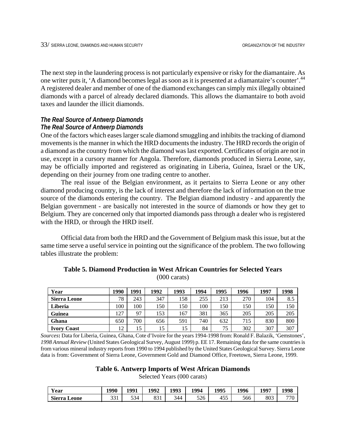The next step in the laundering process is not particularly expensive or risky for the diamantaire. As one writer puts it, 'A diamond becomes legal as soon as it is presented at a diamantaire's counter'[.44](#page-98-6) A registered dealer and member of one of the diamond exchanges can simply mix illegally obtained diamonds with a parcel of already declared diamonds. This allows the diamantaire to both avoid taxes and launder the illicit diamonds.

## *The Real Source of Antwerp Diamonds The Real Source of Antwerp Diamonds*

One of the factors which eases larger scale diamond smuggling and inhibits the tracking of diamond movements is the manner in which the HRD documents the industry. The HRD records the origin of a diamond as the country from which the diamond was last exported. Certificates of origin are not in use, except in a cursory manner for Angola. Therefore, diamonds produced in Sierra Leone, say, may be officially imported and registered as originating in Liberia, Guinea, Israel or the UK, depending on their journey from one trading centre to another.

The real issue o[f th](#page-98-7)e Belgian environment, as it pertains to Sierra Leone or any other diamond producing country, is the lack of interest and therefore the lack of informat[ion](#page-98-8) on the true source of the diamonds entering the country. The Belgian diamond industry - and apparently the Belgian government - are basically not interested in the source of diamonds or how they get to Belgium. They are concerned only that imported diamonds pass through a dealer who is registered with the HRD, or through the HRD itself.

Official data from [both](#page-98-9) the HRD and the Government of Belgium mask this issue, but at the same time serve a useful service in pointing out the significance of the problem. The two following tables illustrate the problem:

| Year                | 1990 | 1991 | 1992 | 1993 | 1994 | 1995 | 1996 | 1997 | 1998 |
|---------------------|------|------|------|------|------|------|------|------|------|
| <b>Sierra Leone</b> | 78   | 243  | 347  | 158  | 255  | 213  | 270  | 104  | 8.5  |
| Liberia             | 100  | 100  | 150  | 150  | 100  | 150  | 150  | 150  | 150  |
| <b>Guinea</b>       | 127  | 97   | 153  | 167  | 381  | 365  | 205  | 205  | 205  |
| Ghana               | 650  | 700  | 656  | 591  | 740  | 632  | 715  | 830  | 800  |
| <b>Ivory Coast</b>  | 12   | 15   | 15   |      | 84   | 75   | 302  | 307  | 307  |

# **Table 5. Diamond Production in West African Countries for Selected Years**  (000 carats)

*Sources***:** Data for Liberia, Guinea, Ghana, Cote d'Ivoire for the years 1994-1998 from: Ronald F. Balazik, 'Gemstones', *1998 Annual Review* (United States Geological Survey, August 1999) p. EE 17. Remaining data for the same countries is from various mineral industry reports from 1990 to 1994 published by the United States Geological Survey. Sierra Leone data is from: Government of Sierra Leone, Government Gold and Diamond Office, Freetown, Sierra Leone, 1999.

#### **Table 6. Antwerp Imports of West African Diamonds**

Selected Years (000 carats)

| Year                   | 1990        | 1991 | 1992       | 1993 | 1994 | 1995       | 1996 | 1997 | 1998 |
|------------------------|-------------|------|------------|------|------|------------|------|------|------|
| <b>Sierra</b><br>Leone | 221<br>، ر. | 534  | 021<br>091 | 344  | 526  | 455<br>tJJ | 566  | 803  | 770  |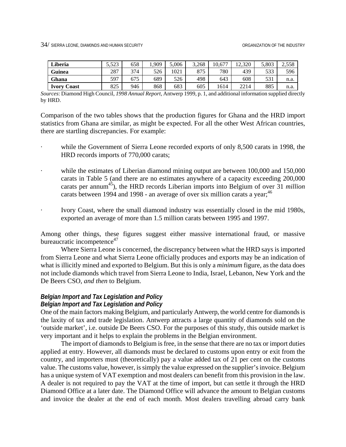34/ SIERRA LEONE, DIAM0NDS AND HUMAN SECURITY ORGANIZATION OF THE INDUSTRY

| Liberia            | 552<br>ر ے د. د | 658 | .909 | 5.006 | 3.268 | 10,677 | 12.320 | 5.803 | 2,558 |
|--------------------|-----------------|-----|------|-------|-------|--------|--------|-------|-------|
| <b>Guinea</b>      | 287             | 374 | 526  | 1021  | 875   | 780    | 439    | 533   | 596   |
| Ghana              | 597             | 675 | 689  | 526   | 498   | 643    | 608    | 531   | n.a.  |
| <b>Ivory Coast</b> | 825             | 946 | 868  | 683   | 605   | 1614   | 2214   | 885   | n.a.  |

*Sources*: Diamond High Council, *1998 Annual Report*, Antwerp 1999, p. 1, and additional information supplied directly by HRD.

Comparison of the two tables shows that the production figures for Ghana and the HRD import statistics from Ghana are similar, as might be expected. For all the other West African countries, there are startling discrepancies. For example:

- while the Government of Sierra Leone recorded exports of only 8,500 carats in 1998, the HRD records imports of 770,000 carats;
- while the estimates of Liberian diamond mining output are between 100,000 and 150,000 carats in Table 5 (and there are no estimates anywhere of a capacity exceeding 200,000 carats per annum<sup>45</sup>), the HRD records Liberian imports into Belgium of over 31 *million* carats between 1994 and 1998 - an average of over six million carats a year;  $46$
- · Ivory Coast, where the small diamond industry was essentially closed in the mid 1980s, exported an average of more than 1.5 million carats between 1995 and 1997.

Among other things, these figures suggest either massive international fraud, or massive bureaucratic incompetence<sup>47</sup>

Where Sierra Leone is concerned, the discrepancy between what the HRD says is imported from Sierra Leone and what Sierra Leone officially produces and exports may be an indication of what is illicitly mined and exported to Belgium. But this is only a *minimum* figure, as the data does not include diamonds which travel from Sierra Leone to India, Israel, Lebanon, New York and the De Beers CSO, *and then* to Belgium.

## *Belgian Import and Tax Legislation and Policy* *Belgian Import and Tax Legislation and Policy*

One of the main factors making Belgium, and particularly Antwerp, the world centre for diamonds is the laxity of tax and trade legislation. Antwerp attracts a large quantity of diamonds sold on the 'outside market', i.e. outside De Beers CSO. For the purposes of this study, this outside market is very important and it helps to explain the problems in the Belgian environment.

The import of diamonds to Belgium is free, in the sense that there are no tax or import duties applied at entry. However, all diamonds must be declared to customs upon entry or exit from the country, and importers must (theoretically) pay a value added tax of 21 per cent on the customs value. The customs value, however, is simply the value expressed on the supplier's invoice. Belgium has a unique system of VAT exemption and most dealers can benefit from this provision in the law. A dealer is not required to pay the VAT at the time of import, but can settle it through the HRD Diamond Office at a later date. The Diamond Office will advance the amount to Belgian customs and invoice the dealer at the end of each month. Most dealers travelling abroad carry bank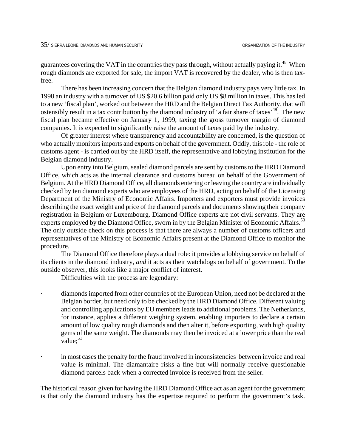guarantees covering the VAT in the countries they pass through, without actually paying it.<sup>48</sup> When rough diamonds are exported for sale, the import VAT is recovered by the dealer, who is then taxfree.

There has been increasing concern that the Belgian diamond industry pays very little tax. In 1998 an industry with a turnover of US \$20.6 billion paid only US \$8 million in taxes. This has led to a new 'fiscal plan', worked out between the HRD and the Belgian Direct Tax Authority, that will ostensibly result in a tax contribution by the diamond industry of 'a fair share of taxes'<sup>49</sup>. The new fiscal plan became effective on January 1, 1999, taxing the gross turnover margin of diamond companies. It is expected to significantly raise the amount of taxes paid by the industry.

Of greater interest where transparency and accountability are concerned, is the question of who actually monitors imports and exports on behalf of the government. Oddly, this role - the role of customs agent - is carried out by the HRD itself, the representative and lobbying institution for the Belgian diamond industry.

Upon entry into Belgium, sealed diamond parcels are sent by customs to the HRD Diamond Office, which acts as the internal clearance and customs bureau on behalf of the Government of Belgium. At the HRD Diamond Office, all diamonds entering or leaving the country are individually checked by ten diamond experts who are employees of the HRD, acting on behalf of the Licensing Department of the Ministry of Economic Affairs. Importers and exporters must provide invoices describing the exact weight and price of the diamond parcels and documents showing their company registration in Belgium or Luxembourg. Diamond Office experts are not civil servants. They are experts employed by the Diamond Office, sworn in by the Belgian Minister of Economic Affairs.<sup>[50](#page-98-12)</sup> The only outside check on this process is that there are always a number of customs officers and representatives of the Ministry of Economic Affairs present at the Diamond Office to monitor the procedure.

The Diamond Office therefore plays a dual role: it provides a lobbying service on behalf of its clients in the diamond industry, *and* it acts as their watchdogs on behalf of government. To the outside observer, this looks like a major conflict of interest.

Difficulties with the process are legendary:

- diamonds imported from other countries of the European Union, need not be declared at the Belgian border, but need only to be checked by the HRD Diamond Office. Different valuing and controlling applications by EU members leads to additional problems. The Netherlands, for instance, applies a different weighing system, enabling importers to declare a certain amount of low quality rough diamonds and then alter it, before exporting, with high quality gems of the same weight. The diamonds may then be invoiced at a lower price than the real value: $51$
- in most cases the penalty for the fraud involved in inconsistencies between invoice and real value is minimal. The diamantaire risks a fine but will normally receive questionable diamond parcels back when a corrected invoice is received from the seller.

The historical reason given for having the HRD Diamond Office act as an agent for the government is that only the diamond industry has the expertise required to perform the government's task.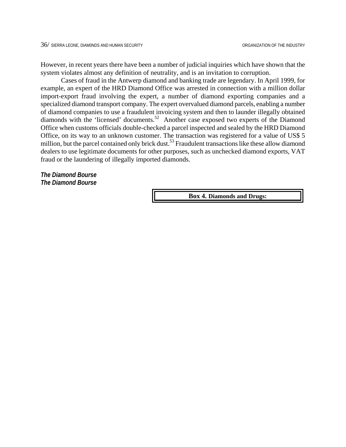However, in recent years there have been a number of judicial inquiries which have shown that the system violates almost any definition of neutrality, and is an invitation to corruption.

Cases of fraud in the Antwerp diamond and banking trade are legendary. In April 1999, for example, an expert of the HRD Diamond Office was arrested in connection with a million dollar import-export fraud involving the expert, a number of diamond exporting companies and a specialized diamond transport company. The expert overvalued diamond parcels, enabling a number of diamond companies to use a fraudulent invoicing system and then to launder illegally obtained diamonds with the 'licensed' documents.<sup>52</sup> Another case exposed two experts of the Diamond Office when customs officials double-checked a parcel inspected and sealed by the HRD Diamond Office, on its way to an unknown customer. The transaction was registered for a value of US\$ 5 million, but the parcel contained only brick dust.<sup>53</sup> Fraudulent transactions like these allow diamond dealers to use legitimate documents for other purposes, such as unchecked diamond exports, VAT fraud or the laundering of illegally imported diamonds.

*The Diamond Bourse The Diamond Bourse*

**Box 4. Diamonds and Drugs:**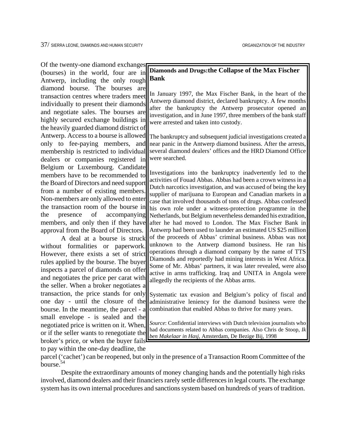Of the twenty-one diamond exchanges (bourses) in the world, four are in Antwerp, including the only rough diamond bourse. The bourses are transaction centres where traders meet individually to present their diamonds and negotiate sales. The bourses are highly secured exchange buildings in the heavily guarded diamond district of Antwerp. Access to a bourse is allowed only to fee-paying members, and membership is restricted to individual dealers or companies registered in Belgium or Luxembourg. Candidate members have to be recommended to the Board of Directors and need support from a number of existing members. Non-members are only allowed to enter the transaction room of the bourse in the presence of accompanying members, and only then if they have approval from the Board of Directors.

A deal at a bourse is struck without formalities or paperwork. However, there exists a set of strict rules applied by the bourse. The buyer inspects a parcel of diamonds on offer and negotiates the price per carat with the seller. When a broker negotiates a transaction, the price stands for only one day - until the closure of the bourse. In the meantime, the parcel - a small envelope - is sealed and the negotiated price is written on it. When, or if the seller wants to renegotiate the broker's price, or when the buyer fails to pay within the one-day deadline, the

## **Diamonds and Drugs:the Collapse of the Max Fischer Bank**

In January 1997, the Max Fischer Bank, in the heart of the Antwerp diamond district, declared bankruptcy. A few months after the bankruptcy the Antwerp prosecutor opened an investigation, and in June 1997, three members of the bank staff were arrested and taken into custody.

The bankruptcy and subsequent judicial investigations created a near panic in the Antwerp diamond business. After the arrests, several diamond dealers' offices and the HRD Diamond Office were searched.

Investigations into the bankruptcy inadvertently led to the activities of Fouad Abbas. Abbas had been a crown witness in a Dutch narcotics investigation, and was accused of being the key supplier of marijuana to European and Canadian markets in a case that involved thousands of tons of drugs. Abbas confessed his own role under a witness-protection programme in the Netherlands, but Belgium nevertheless demanded his extradition, after he had moved to London. The Max Fischer Bank in Antwerp had been used to launder an estimated US \$25 million of the proceeds of Abbas' criminal business. Abbas was not unknown to the Antwerp diamond business. He ran his operations through a diamond company by the name of TTS Diamonds and reportedly had mining interests in West Africa. Some of Mr. Abbas' partners, it was later revealed, were also active in arms trafficking. Iraq and UNITA in Angola were allegedly the recipients of the Abbas arms.

Systematic tax evasion and Belgium's policy of fiscal and administrative leniency for the diamond business were the combination that enabled Abbas to thrive for many years.

*Source*: Confidential interviews with Dutch television journalists who had documents related to Abbas companies. Also Chris de Stoop, *Ik ben Makelaar in Hasj*, Amsterdam, De Bezige Bij, 1998

parcel ('cachet') can be reopened, but only in the presence of a Transaction Room Committee of the bourse[.54](#page-98-16)

Despite the extraordinary amounts of money changing hands and the potentially high risks involved, diamond dealers and their financiers rarely settle differences in legal courts. The exchange system has its own internal procedures and sanctions system based on hundreds of years of tradition.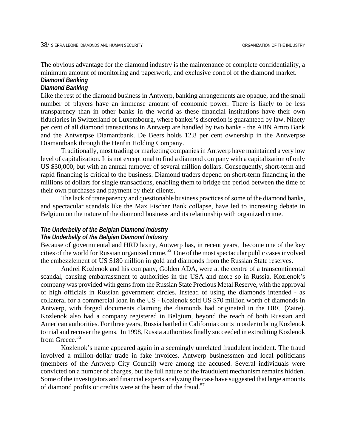The obvious advantage for the diamond industry is the maintenance of complete confidentiality, a minimum amount of monitoring and paperwork, and exclusive control of the diamond market. *Diamond Banking*

#### *Diamond Banking*

Like the rest of the diamond business in Antwerp, banking arrangements are opaque, and the small number of players have an immense amount of economic power. There is likely to be less transparency than in other banks in the world as these financial institutions have their own fiduciaries in Switzerland or Luxembourg, where banker's discretion is guaranteed by law. Ninety per cent of all diamond transactions in Antwerp are handled by two banks - the ABN Amro Bank and the Antwerpse Diamantbank. De Beers holds 12.8 per cent ownership in the Antwerpse Diamantbank through the Henfin Holding Company.

Traditionally, most trading or marketing companies in Antwerp have maintained a very low level of capitalization. It is not exceptional to find a diamond company with a capitalization of only US \$30,000, but with an annual turnover of several million dollars. Consequently, short-term and rapid financing is critical to the business. Diamond traders depend on short-term financing in the millions of dollars for single transactions, enabling them to bridge the period between the time of their own purchases and payment by their clients.

The lack of transparency and questionable business practices of some of the diamond banks, and spectacular scandals like the Max Fischer Bank collapse, have led to increasing debate in Belgium on the nature of the diamond business and its relationship with organized crime.

# *The Underbelly of the Belgian Diamond Industry The Underbelly of the Belgian Diamond Industry*

Because of governmental and HRD laxity, Antwerp has, in recent years, become one of the key cities of the world for Russian organized crime.<sup>55</sup> One of the most spectacular public cases involved the embezzlement of US \$180 million in gold and diamonds from the Russian State reserves.

Andrei Kozlenok and his company, Golden ADA, were at the centre of a transcontinental scandal, causing embarrassment to authorities in the USA and more so in Russia. Kozlenok's company was provided with gems from the Russian State Precious Metal Reserve, with the approval of high officials in Russian government circles. Instead of using the diamonds intended - as collateral for a commercial loan in the US - Kozlenok sold US \$70 million worth of diamonds in Antwerp, with forged documents claiming the diamonds had originated in the DRC (Zaire). Kozlenok also had a company registered in Belgium, beyond the reach of both Russian and American authorities. For three years, Russia battled in California courts in order to bring Kozlenok to trial and recover the gems. In 1998, Russia authorities finally succeeded in extraditing Kozlenok from Greece.<sup>56</sup>

Kozlenok's name appeared again in a seemingly unrelated fraudulent incident. The fraud involved a million-dollar trade in fake invoices. Antwerp businessmen and local politicians (members of the Antwerp City Council) were among the accused. Several individuals were convicted on a number of charges, but the full nature of the fraudulent mechanism remains hidden. Some of the investigators and financial experts analyzing the case have suggested that large amounts of diamond profits or credits were at the heart of the fraud.<sup>57</sup>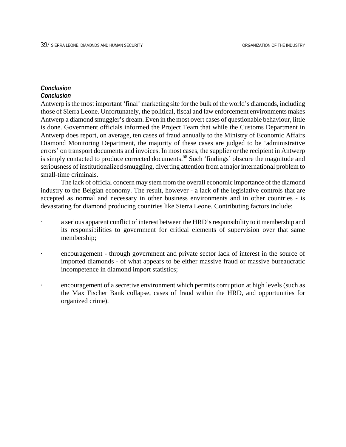#### *Conclusion Conclusion*

Antwerp is the most important 'final' marketing site for the bulk of the world's diamonds, including those of Sierra Leone. Unfortunately, the political, fiscal and law enforcement environments makes Antwerp a diamond smuggler's dream. Even in the most overt cases of questionable behaviour, little is done. Government officials informed the Project Team that while the Customs Department in Antwerp does report, on average, ten cases of fraud annually to the Ministry of Economic Affairs Diamond Monitoring Department, the majority of these cases are judged to be 'administrative errors' on transport documents and invoices. In most cases, the supplier or the recipient in Antwerp is simply contacted to produce corrected documents.<sup>58</sup> Such 'findings' obscure the magnitude and seriousness of institutionalized smuggling, diverting attention from a major international problem to small-time criminals.

 The lack of official concern may stem from the overall economic importance of the diamond industry to the Belgian economy. The result, however - a lack of the legislative controls that are accepted as normal and necessary in other business environments and in other countries - is devastating for diamond producing countries like Sierra Leone. Contributing factors include:

- a serious apparent conflict of interest between the HRD's responsibility to it membership and its responsibilities to government for critical elements of supervision over that same membership;
- encouragement through government and private sector lack of interest in the source of imported diamonds - of what appears to be either massive fraud or massive bureaucratic incompetence in diamond import statistics;
- encouragement of a secretive environment which permits corruption at high levels (such as the Max Fischer Bank collapse, cases of fraud within the HRD, and opportunities for organized crime).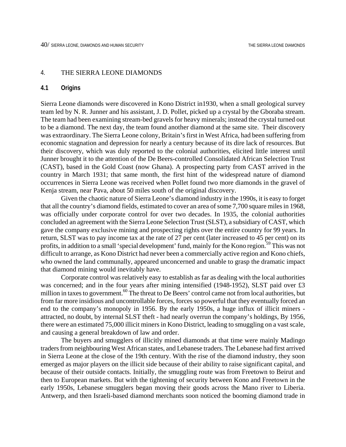## 4. THE SIERRA LEONE DIAMONDS

#### **4.1 Origins**

Sierra Leone diamonds were discovered in Kono District in1930, when a small geological survey team led by N. R. Junner and his assistant, J. D. Pollet, picked up a crystal by the Gboraba stream. The team had been examining stream-bed gravels for heavy minerals; instead the crystal turned out to be a diamond. The next day, the team found another diamond at the same site. Their discovery was extraordinary. The Sierra Leone colony, Britain's first in West Africa, had been suffering from economic stagnation and depression for nearly a century because of its dire lack of resources. But their discovery, which was duly reported to the colonial authorities, elicited little interest until Junner brought it to the attention of the De Beers-controlled Consolidated African Selection Trust (CAST), based in the Gold Coast (now Ghana). A prospecting party from CAST arrived in the country in March 1931; that same month, the first hint of the widespread nature of diamond occurrences in Sierra Leone was received when Pollet found two more diamonds in the gravel of Kenja stream, near Pava, about 50 miles south of the original discovery.

Given the chaotic nature of Sierra Leone's diamond industry in the 1990s, it is easy to forget that all the country's diamond fields, estimated to cover an area of some 7,700 square miles in 1968, was officially under corporate control for over two decades. In 1935, the colonial authorities concluded an agreement with the Sierra Leone Selection Trust (SLST), a subsidiary of CAST, which gave the company exclusive mining and prospecting rights over the entire country for 99 years. In return, SLST was to pay income tax at the rate of 27 per cent (later increased to 45 per cent) on its profits, in addition to a small 'special development' fund, mainly for the Kono region.<sup>59</sup> This was not difficult to arrange, as Kono District had never been a commercially active region and Kono chiefs, who owned the land communally, appeared unconcerned and unable to grasp the dramatic impact that diamond mining would inevitably have.

Corporate control was relatively easy to establish as far as dealing with the local authorities was concerned; and in the four years after mining intensified (1948-1952), SLST paid over £3 million in taxes to government.<sup>60</sup> The threat to De Beers' control came not from local authorities, but from far more insidious and uncontrollable forces, forces so powerful that they eventually forced an end to the company's monopoly in 1956. By the early 1950s, a huge influx of illicit miners attracted, no doubt, by internal SLST theft - had nearly overrun the company's holdings, By 1956, there were an estimated 75,000 illicit miners in Kono District, leading to smuggling on a vast scale, and causing a general breakdown of law and order.

The buyers and smugglers of illicitly mined diamonds at that time were mainly Madingo traders from neighbouring West African states, and Lebanese traders. The Lebanese had first arrived in Sierra Leone at the close of the 19th century. With the rise of the diamond industry, they soon emerged as major players on the illicit side because of their ability to raise significant capital, and because of their outside contacts. Initially, the smuggling route was from Freetown to Beirut and then to European markets. But with the tightening of security between Kono and Freetown in the early 1950s, Lebanese smugglers began moving their goods across the Mano river to Liberia. Antwerp, and then Israeli-based diamond merchants soon noticed the booming diamond trade in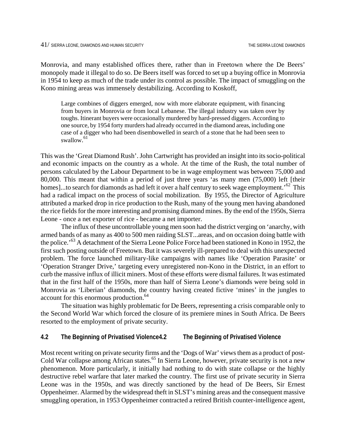Monrovia, and many established offices there, rather than in Freetown where the De Beers' monopoly made it illegal to do so. De Beers itself was forced to set up a buying office in Monrovia in 1954 to keep as much of the trade under its control as possible. The impact of smuggling on the Kono mining areas was immensely destabilizing. According to Koskoff,

Large combines of diggers emerged, now with more elaborate equipment, with financing from buyers in Monrovia or from local Lebanese. The illegal industry was taken over by toughs. Itinerant buyers were occasionally murdered by hard-pressed diggers. According to one source, by 1954 forty murders had already occurred in the diamond areas, including one case of a digger who had been disembowelled in search of a stone that he had been seen to swallow. [61](#page-98-23)

This was the 'Great Diamond Rush'. John Cartwright has provided an insight into its socio-political and economic impacts on the country as a whole. At the time of the Rush, the total number of persons calculated by the Labour Department to be in wage employment was between 75,000 and 80,000. This meant that within a period of just three years 'as many men (75,000) left [their homes]...to search for diamonds as had left it over a half century to seek wage employment.<sup>52</sup> This had a radical impact on the process of social mobilization. By 1955, the Director of Agriculture attributed a marked drop in rice production to the Rush, many of the young men having abandoned the rice fields for the more interesting and promising diamond mines. By the end of the 1950s, Sierra Leone - once a net exporter of rice - became a net importer.

The influx of these uncontrollable young men soon had the district verging on 'anarchy, with armed bands of as many as 400 to 500 men raiding SLST...areas, and on occasion doing battle with the police.'[63 A](#page-98-24) detachment of the Sierra Leone Police Force had been stationed in Kono in 1952, the first such posting outside of Freetown. But it was severely ill-prepared to deal with this unexpected problem. The force launched military-like campaigns with names like 'Operation Parasite' or 'Operation Stranger Drive,' targeting every unregistered non-Kono in the District, in an effort to curb the massive influx of illicit miners. Most of these efforts were dismal failures. It was estimated that in the first half of the 1950s, more than half of Sierra Leone's diamonds were being sold in Monrovia as 'Liberian' diamonds, the country having created fictive 'mines' in the jungles to account for this enormous production.<sup>64</sup>

The situation was highly problematic for De Beers, representing a crisis comparable only to the Second World War which forced the closure of its premiere mines in South Africa. De Beers resorted to the employment of private security.

#### **4.2 The Beginning of Privatised Violence4.2 The Beginning of Privatised Violence**

Most recent writing on private security firms and the 'Dogs of War' views them as a product of post-Cold War collapse among African states.<sup>65</sup> In Sierra Leone, however, private security is not a new phenomenon. More particularly, it initially had nothing to do with state collapse or the highly destructive rebel warfare that later marked the country. The first use of private security in Sierra Leone was in the 1950s, and was directly sanctioned by the head of De Beers, Sir Ernest Oppenheimer. Alarmed by the widespread theft in SLST's mining areas and the consequent massive smuggling operation, in 1953 Oppenheimer contracted a retired British counter-intelligence agent,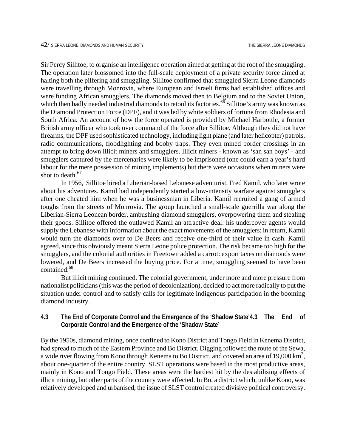Sir Percy Sillitoe, to organise an intelligence operation aimed at getting at the root of the smuggling. The operation later blossomed into the full-scale deployment of a private security force aimed at halting both the pilfering and smuggling. Sillitoe confirmed that smuggled Sierra Leone diamonds were travelling through Monrovia, where European and Israeli firms had established offices and were funding African smugglers. The diamonds moved then to Belgium and to the Soviet Union, which then badly needed industrial diamonds to retool its factories.<sup>66</sup> Sillitoe's army was known as the Diamond Protection Force (DPF), and it was led by white soldiers of fortune from Rhodesia and South Africa. An account of how the force operated is provided by Michael Harbottle, a former British army officer who took over command of the force after Sillitoe. Although they did not have firearms, the DPF used sophisticated technology, including light plane (and later helicopter) patrols, radio communications, floodlighting and booby traps. They even mined border crossings in an attempt to bring down illicit miners and smugglers. Illicit miners - known as 'san san boys' - and smugglers captured by the mercenaries were likely to be imprisoned (one could earn a year's hard labour for the mere possession of mining implements) but there were occasions when miners were shot to death. $67$ 

In 1956, Sillitoe hired a Liberian-based Lebanese adventurist, Fred Kamil, who later wrote about his adventures. Kamil had independently started a low-intensity warfare against smugglers after one cheated him when he was a businessman in Liberia. Kamil recruited a gang of armed toughs from the streets of Monrovia. The group launched a small-scale guerrilla war along the Liberian-Sierra Leonean border, ambushing diamond smugglers, overpowering them and stealing their goods. Sillitoe offered the outlawed Kamil an attractive deal: his undercover agents would supply the Lebanese with information about the exact movements of the smugglers; in return, Kamil would turn the diamonds over to De Beers and receive one-third of their value in cash. Kamil agreed, since this obviously meant Sierra Leone police protection. The risk became too high for the smugglers, and the colonial authorities in Freetown added a carrot: export taxes on diamonds were lowered, and De Beers increased the buying price. For a time, smuggling seemed to have been contained.[68](#page-98-28)

But illicit mining continued. The colonial government, under more and more pressure from nationalist politicians (this was the period of decolonization), decided to act more radically to put the situation under control and to satisfy calls for legitimate indigenous participation in the booming diamond industry.

**4.3 The End of Corporate Control and the Emergence of the 'Shadow State'4.3 The End of Corporate Control and the Emergence of the 'Shadow State'**

By the 1950s, diamond mining, once confined to Kono District and Tongo Field in Kenema District, had spread to much of the Eastern Province and Bo District. Digging followed the route of the Sewa, a wide river flowing from Kono through Kenema to Bo District, and covered an area of 19,000 km<sup>2</sup>, about one-quarter of the entire country. SLST operations were based in the most productive areas, mainly in Kono and Tongo Field. These areas were the hardest hit by the destabilising effects of illicit mining, but other parts of the country were affected. In Bo, a district which, unlike Kono, was relatively developed and urbanised, the issue of SLST control created divisive political controversy.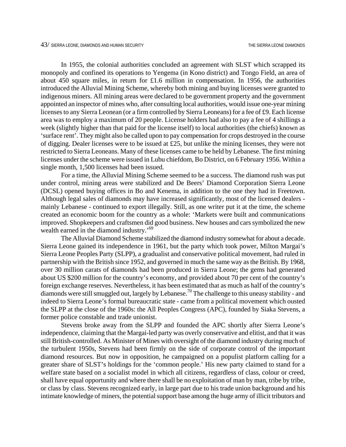In 1955, the colonial authorities concluded an agreement with SLST which scrapped its monopoly and confined its operations to Yengema (in Kono district) and Tongo Field, an area of about 450 square miles, in return for £1.6 million in compensation. In 1956, the authorities introduced the Alluvial Mining Scheme, whereby both mining and buying licenses were granted to indigenous miners. All mining areas were declared to be government property and the government appointed an inspector of mines who, after consulting local authorities, would issue one-year mining licenses to any Sierra Leonean (or a firm controlled by Sierra Leoneans) for a fee of £9. Each license area was to employ a maximum of 20 people. License holders had also to pay a fee of 4 shillings a week (slightly higher than that paid for the license itself) to local authorities (the chiefs) known as 'surface rent'. They might also be called upon to pay compensation for crops destroyed in the course of digging. Dealer licenses were to be issued at £25, but unlike the mining licenses, they were not restricted to Sierra Leoneans. Many of these licenses came to be held by Lebanese. The first mining licenses under the scheme were issued in Lubu chiefdom, Bo District, on 6 February 1956. Within a single month, 1,500 licenses had been issued.

For a time, the Alluvial Mining Scheme seemed to be a success. The diamond rush was put under control, mining areas were stabilized and De Beers' Diamond Corporation Sierra Leone (DCSL) opened buying offices in Bo and Kenema, in addition to the one they had in Freetown. Although legal sales of diamonds may have increased significantly, most of the licensed dealers mainly Lebanese - continued to export illegally. Still, as one writer put it at the time, the scheme created an economic boom for the country as a whole: 'Markets were built and communications improved. Shopkeepers and craftsmen did good business. New houses and cars symbolized the new wealth earned in the diamond industry.<sup>[69](#page-98-29)</sup>

The Alluvial Diamond Scheme stabilized the diamond industry somewhat for about a decade. Sierra Leone gained its independence in 1961, but the party which took power, Milton Margai's Sierra Leone Peoples Party (SLPP), a gradualist and conservative political movement, had ruled in partnership with the British since 1952, and governed in much the same way as the British. By 1968, over 30 million carats of diamonds had been produced in Sierra Leone; the gems had generated about US \$200 million for the country's economy, and provided about 70 per cent of the country's foreign exchange reserves. Nevertheless, it has been estimated that as much as half of the country's diamonds were still smuggled out, largely by Lebanese.[70 T](#page-98-30)he challenge to this uneasy stability - and indeed to Sierra Leone's formal bureaucratic state - came from a political movement which ousted the SLPP at the close of the 1960s: the All Peoples Congress (APC), founded by Siaka Stevens, a former police constable and trade unionist.

Stevens broke away from the SLPP and founded the APC shortly after Sierra Leone's independence, claiming that the Margai-led party was overly conservative and elitist, and that it was still British-controlled. As Minister of Mines with oversight of the diamond industry during much of the turbulent 1950s, Stevens had been firmly on the side of corporate control of the important diamond resources. But now in opposition, he campaigned on a populist platform calling for a greater share of SLST's holdings for the 'common people.' His new party claimed to stand for a welfare state based on a socialist model in which all citizens, regardless of class, colour or creed, shall have equal opportunity and where there shall be no exploitation of man by man, tribe by tribe, or class by class. Stevens recognized early, in large part due to his trade union background and his intimate knowledge of miners, the potential support base among the huge army of illicit tributors and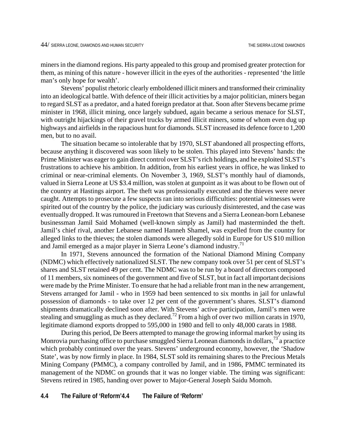miners in the diamond regions. His party appealed to this group and promised greater protection for them, as mining of this nature - however illicit in the eyes of the authorities - represented 'the little man's only hope for wealth'.

Stevens' populist rhetoric clearly emboldened illicit miners and transformed their criminality into an ideological battle. With defence of their illicit activities by a major politician, miners began to regard SLST as a predator, and a hated foreign predator at that. Soon after Stevens became prime minister in 1968, illicit mining, once largely subdued, again became a serious menace for SLST, with outright hijackings of their gravel trucks by armed illicit miners, some of whom even dug up highways and airfields in the rapacious hunt for diamonds. SLST increased its defence force to 1,200 men, but to no avail.

The situation became so intolerable that by 1970, SLST abandoned all prospecting efforts, because anything it discovered was soon likely to be stolen. This played into Stevens' hands: the Prime Minister was eager to gain direct control over SLST's rich holdings, and he exploited SLST's frustrations to achieve his ambition. In addition, from his earliest years in office, he was linked to criminal or near-criminal elements. On November 3, 1969, SLST's monthly haul of diamonds, valued in Sierra Leone at US \$3.4 million, was stolen at gunpoint as it was about to be flown out of the country at Hastings airport. The theft was professionally executed and the thieves were never caught. Attempts to prosecute a few suspects ran into serious difficulties: potential witnesses were spirited out of the country by the police, the judiciary was curiously disinterested, and the case was eventually dropped. It was rumoured in Freetown that Stevens and a Sierra Leonean-born Lebanese businessman Jamil Said Mohamed (well-known simply as Jamil) had masterminded the theft. Jamil's chief rival, another Lebanese named Hanneh Shamel, was expelled from the country for alleged links to the thieves; the stolen diamonds were allegedly sold in Europe for US \$10 million and Jamil emerged as a major player in Sierra Leone's diamond industry.<sup>71</sup>

In 1971, Stevens announced the formation of the National Diamond Mining Company (NDMC) which effectively nationalized SLST. The new company took over 51 per cent of SLST's shares and SLST retained 49 per cent. The NDMC was to be run by a board of directors composed of 11 members, six nominees of the government and five of SLST, but in fact all important decisions were made by the Prime Minister. To ensure that he had a reliable front man in the new arrangement, Stevens arranged for Jamil - who in 1959 had been sentenced to six months in jail for unlawful possession of diamonds - to take over 12 per cent of the government's shares. SLST's diamond shipments dramatically declined soon after. With Stevens' active participation, Jamil's men were stealing and smuggling as much as they declared.<sup>72</sup> From a high of over two million carats in 1970, legitimate diamond exports dropped to 595,000 in 1980 and fell to only 48,000 carats in 1988.

During this period, De Beers attempted to manage the growing informal market by using its Monrovia purchasing office to purchase smuggled Sierra Leonean diamonds in dollars,<sup>73</sup> a practice which probably continued over the years. Stevens' underground economy, however, the 'Shadow State', was by now firmly in place. In 1984, SLST sold its remaining shares to the Precious Metals Mining Company (PMMC), a company controlled by Jamil, and in 1986, PMMC terminated its management of the NDMC on grounds that it was no longer viable. The timing was significant: Stevens retired in 1985, handing over power to Major-General Joseph Saidu Momoh.

## **4.4 The Failure of 'Reform'4.4 The Failure of 'Reform'**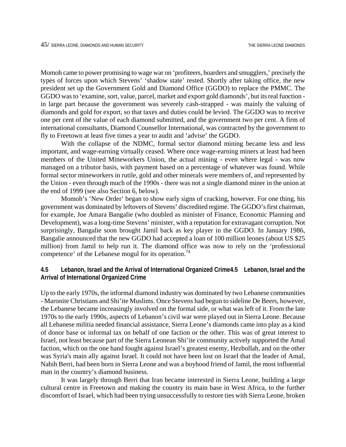Momoh came to power promising to wage war on 'profiteers, hoarders and smugglers,' precisely the types of forces upon which Stevens' 'shadow state' rested. Shortly after taking office, the new president set up the Government Gold and Diamond Office (GGDO) to replace the PMMC. The GGDO was to 'examine, sort, value, parcel, market and export gold diamonds', but its real function in large part because the government was severely cash-strapped - was mainly the valuing of diamonds and gold for export, so that taxes and duties could be levied. The GGDO was to receive one per cent of the value of each diamond submitted, and the government two per cent. A firm of international consultants, Diamond Counsellor International, was contracted by the government to fly to Freetown at least five times a year to audit and 'advise' the GGDO.

With the collapse of the NDMC, formal sector diamond mining became less and less important, and wage-earning virtually ceased. Where once wage-earning miners at least had been members of the United Mineworkers Union, the actual mining - even where legal - was now managed on a tributor basis, with payment based on a percentage of whatever was found. While formal sector mineworkers in rutile, gold and other minerals were members of, and represented by the Union - even through much of the 1990s - there was not a single diamond miner in the union at the end of 1999 (see also Section 6, below).

Momoh's 'New Order' began to show early signs of cracking, however. For one thing, his government was dominated by leftovers of Stevens' discredited regime. The GGDO's first chairman, for example, Joe Amara Bangalie (who doubled as minister of Finance, Economic Planning and Development), was a long-time Stevens' minister, with a reputation for extravagant corruption. Not surprisingly, Bangalie soon brought Jamil back as key player in the GGDO. In January 1986, Bangalie announced that the new GGDO had accepted a loan of 100 million leones (about US \$25 million) from Jamil to help run it. The diamond office was now to rely on the 'professional competence' of the Lebanese mogul for its operation.<sup>[74](#page-98-34)</sup>

## **4.5 Lebanon, Israel and the Arrival of International Organized Crime4.5 Lebanon, Israel and the Arrival of International Organized Crime**

Up to the early 1970s, the informal diamond industry was dominated by two Lebanese communities - Maronite Christians and Shi'ite Muslims. Once Stevens had begun to sideline De Beers, however, the Lebanese became increasingly involved on the formal side, or what was left of it. From the late 1970s to the early 1990s, aspects of Lebanon's civil war were played out in Sierra Leone. Because all Lebanese militia needed financial assistance, Sierra Leone's diamonds came into play as a kind of donor base or informal tax on behalf of one faction or the other. This was of great interest to Israel, not least because part of the Sierra Leonean Shi'ite community actively supported the Amal faction, which on the one hand fought against Israel's greatest enemy, Hezbollah, and on the other was Syria's main ally against Israel. It could not have been lost on Israel that the leader of Amal, Nabih Berri, had been born in Sierra Leone and was a boyhood friend of Jamil, the most influential man in the country's diamond business.

It was largely through Berri that Iran became interested in Sierra Leone, building a large cultural centre in Freetown and making the country its main base in West Africa, to the further discomfort of Israel, which had been trying unsuccessfully to restore ties with Sierra Leone, broken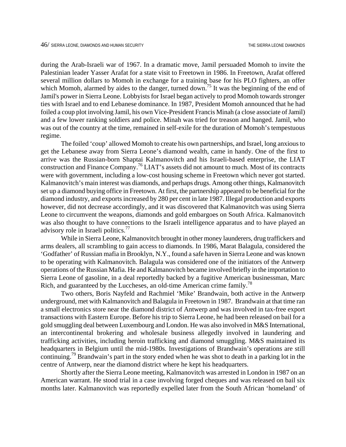during the Arab-Israeli war of 1967. In a dramatic move, Jamil persuaded Momoh to invite the Palestinian leader Yasser Arafat for a state visit to Freetown in 1986. In Freetown, Arafat offered several million dollars to Momoh in exchange for a training base for his PLO fighters, an offer which Momoh, alarmed by aides to the danger, turned down.<sup>75</sup> It was the beginning of the end of Jamil's power in Sierra Leone. Lobbyists for Israel began actively to prod Momoh towards stronger ties with Israel and to end Lebanese dominance. In 1987, President Momoh announced that he had foiled a coup plot involving Jamil, his own Vice-President Francis Minah (a close associate of Jamil) and a few lower ranking soldiers and police. Minah was tried for treason and hanged. Jamil, who was out of the country at the time, remained in self-exile for the duration of Momoh's tempestuous regime.

The foiled 'coup' allowed Momoh to create his own partnerships, and Israel, long anxious to get the Lebanese away from Sierra Leone's diamond wealth, came in handy. One of the first to arrive was the Russian-born Shaptai Kalmanovitch and his Israeli-based enterprise, the LIAT construction and Finance Company[.76](#page-98-36) LIAT's assets did not amount to much. Most of its contracts were with government, including a low-cost housing scheme in Freetown which never got started. Kalmanovitch's main interest was diamonds, and perhaps drugs. Among other things, Kalmanovitch set up a diamond buying office in Freetown. At first, the partnership appeared to be beneficial for the diamond industry, and exports increased by 280 per cent in late 1987. Illegal production and exports however, did not decrease accordingly, and it was discovered that Kalmanovitch was using Sierra Leone to circumvent the weapons, diamonds and gold embargoes on South Africa. Kalmanovitch was also thought to have connections to the Israeli intelligence apparatus and to have played an advisory role in Israeli politics.<sup>77</sup>

While in Sierra Leone, Kalmanovitch brought in other money launderers, drug traffickers and arms dealers, all scrambling to gain access to diamonds. In 1986, Marat Balagula, considered the 'Godfather' of Russian mafia in Brooklyn, N.Y., found a safe haven in Sierra Leone and was known to be operating with Kalmanovitch. Balagula was considered one of the initiators of the Antwerp operations of the Russian Mafia. He and Kalmanovitch became involved briefly in the importation to Sierra Leone of gasoline, in a deal reportedly backed by a fugitive American businessman, Marc Rich, and guaranteed by the Luccheses, an old-time American crime family.<sup>[78](#page-98-38)</sup>

Two others, Boris Nayfeld and Rachmiel 'Mike' Brandwain, both active in the Antwerp underground, met with Kalmanovitch and Balagula in Freetown in 1987. Brandwain at that time ran a small electronics store near the diamond district of Antwerp and was involved in tax-free export transactions with Eastern Europe. Before his trip to Sierra Leone, he had been released on bail for a gold smuggling deal between Luxembourg and London. He was also involved in M&S International, an intercontinental brokering and wholesale business allegedly involved in laundering and trafficking activities, including heroin trafficking and diamond smuggling. M&S maintained its headquarters in Belgium until the mid-1980s. Investigations of Brandwain's operations are still continuing[.79](#page-98-39) Brandwain's part in the story ended when he was shot to death in a parking lot in the centre of Antwerp, near the diamond district where he kept his headquarters.

Shortly after the Sierra Leone meeting, Kalmanovitch was arrested in London in 1987 on an American warrant. He stood trial in a case involving forged cheques and was released on bail six months later. Kalmanovitch was reportedly expelled later from the South African 'homeland' of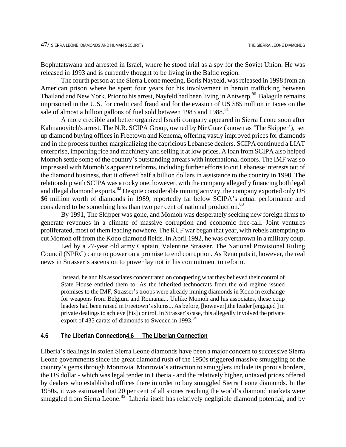Bophutatswana and arrested in Israel, where he stood trial as a spy for the Soviet Union. He was released in 1993 and is currently thought to be living in the Baltic region.

The fourth person at the Sierra Leone meeting, Boris Nayfeld, was released in 1998 from an American prison where he spent four years for his involvement in heroin trafficking between Thailand and New York. Prior to his arrest, Nayfeld had been living in Antwerp.<sup>80</sup> Balagula remains imprisoned in the U.S. for credit card fraud and for the evasion of US \$85 million in taxes on the sale of almost a billion gallons of fuel sold between 1983 and 1988.<sup>[81](#page-98-18)</sup>

A more credible and better organized Israeli company appeared in Sierra Leone soon after Kalmanovitch's arrest. The N.R. SCIPA Group, owned by Nir Guaz (known as 'The Skipper'), set up diamond buying offices in Freetown and Kenema, offering vastly improved prices for diamonds and in the process further marginalizing the capricious Lebanese dealers. SCIPA continued a LIAT enterprise, importing rice and machinery and selling it at low prices. A loan from SCIPA also helped Momoh settle some of the country's outstanding arrears with international donors. The IMF was so impressed with Momoh's apparent reforms, including further efforts to cut Lebanese interests out of the diamond business, that it offered half a billion dollars in assistance to the country in 1990. The relationship with SCIPA was a rocky one, however, with the company allegedly financing both legal and illegal diamond exports.<sup>82</sup> Despite considerable mining activity, the company exported only US \$6 million worth of diamonds in 1989, reportedly far below SCIPA's actual performance and considered to be something less than two per cent of national production.<sup>[83](#page-98-1)</sup>

By 1991, The Skipper was gone, and Momoh was desperately seeking new foreign firms to generate revenues in a climate of massive corruption and economic free-fall. Joint ventures proliferated, most of them leading nowhere. The RUF war began that year, with rebels attempting to cut Momoh off from the Kono diamond fields. In April 1992, he was overthrown in a military coup.

Led by a 27-year old army Captain, Valentine Strasser, The National Provisional Ruling Council (NPRC) came to power on a promise to end corruption. As Reno puts it, however, the real news in Strasser's ascension to power lay not in his commitment to reform.

Instead, he and his associates concentrated on conquering what they believed their control of State House entitled them to. As the inherited technocrats from the old regime issued promises to the IMF, Strasser's troops were already mining diamonds in Kono in exchange for weapons from Belgium and Romania... Unlike Momoh and his associates, these coup leaders had been raised in Freetown's slums... As before, [however],the leader [engaged ] in private dealings to achieve [his] control. In Strasser's case, this allegedly involved the private export of 435 carats of diamonds to Sweden in 1993.<sup>[84](#page-98-41)</sup>

#### **4.6 The Liberian Connection4.6 The Liberian Connection**

Liberia's dealings in stolen Sierra Leone diamonds have been a major concern to successive Sierra Leone governments since the great diamond rush of the 1950s triggered massive smuggling of the country's gems through Monrovia. Monrovia's attraction to smugglers include its porous borders, the US dollar - which was legal tender in Liberia - and the relatively higher, untaxed prices offered by dealers who established offices there in order to buy smuggled Sierra Leone diamonds. In the 1950s, it was estimated that 20 per cent of all stones reaching the world's diamond markets were smuggled from Sierra Leone.<sup>85</sup> Liberia itself has relatively negligible diamond potential, and by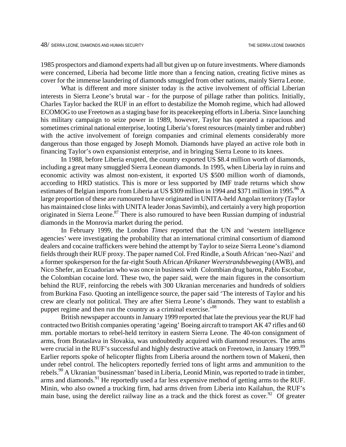1985 prospectors and diamond experts had all but given up on future investments. Where diamonds were concerned, Liberia had become little more than a fencing nation, creating fictive mines as cover for the immense laundering of diamonds smuggled from other nations, mainly Sierra Leone.

What is different and more sinister today is the active involvement of official Liberian interests in Sierra Leone's brutal war - for the purpose of pillage rather than politics. Initially, Charles Taylor backed the RUF in an effort to destabilize the Momoh regime, which had allowed ECOMOG to use Freetown as a staging base for its peacekeeping efforts in Liberia. Since launching his military campaign to seize power in 1989, however, Taylor has operated a rapacious and sometimes criminal national enterprise, looting Liberia's forest resources (mainly timber and rubber) with the active involvement of foreign companies and criminal elements considerably more dangerous than those engaged by Joseph Momoh. Diamonds have played an active role both in financing Taylor's own expansionist enterprise, and in bringing Sierra Leone to its knees.

In 1988, before Liberia erupted, the country exported US \$8.4 million worth of diamonds, including a great many smuggled Sierra Leonean diamonds. In 1995, when Liberia lay in ruins and economic activity was almost non-existent, it exported US \$500 million worth of diamonds, according to HRD statistics. This is more or less supported by IMF trade returns which show estimates of Belgian imports from Liberia at US \$309 million in 1994 and \$371 million in 1995.<sup>86</sup> A large proportion of these are rumoured to have originated in UNITA-held Angolan territory (Taylor has maintained close links with UNITA leader Jonas Savimbi), and certainly a very high proportion originated in Sierra Leone.<sup>87</sup> There is also rumoured to have been Russian dumping of industrial diamonds in the Monrovia market during the period.

In February 1999, the London *Times* reported that the UN and 'western intelligence agencies' were investigating the probability that an international criminal consortium of diamond dealers and cocaine traffickers were behind the attempt by Taylor to seize Sierra Leone's diamond fields through their RUF proxy. The paper named Col. Fred Rindle, a South African 'neo-Nazi' and a former spokesperson for the far-right South African *Afrikaner Weerstrandsbeweging* (AWB), and Nico Shefer, an Ecuadorian who was once in business with Colombian drug baron, Pablo Escobar, the Colombian cocaine lord. These two, the paper said, were the main figures in the consortium behind the RUF, reinforcing the rebels with 300 Ukranian mercenaries and hundreds of soldiers from Burkina Faso. Quoting an intelligence source, the paper said 'The interests of Taylor and his crew are clearly not political. They are after Sierra Leone's diamonds. They want to establish a puppet regime and then run the country as a criminal exercise.<sup>88</sup>

British newspaper accounts in January 1999 reported that late the previous year the RUF had contracted two British companies operating 'ageing' Boeing aircraft to transport AK 47 rifles and 60 mm. portable mortars to rebel-held territory in eastern Sierra Leone. The 40-ton consignment of arms, from Brataslava in Slovakia, was undoubtedly acquired with diamond resources. The arms were crucial in the RUF's successful and highly destructive attack on Freetown, in January 1999.<sup>[89](#page-98-23)</sup> Earlier reports spoke of helicopter flights from Liberia around the northern town of Makeni, then under rebel control. The helicopters reportedly ferried tons of light arms and ammunition to the rebels.<sup>90</sup> A Ukranian 'businessman' based in Liberia, Leonid Minin, was reported to trade in timber, arms and diamonds.<sup>91</sup> He reportedly used a far less expensive method of getting arms to the RUF. Minin, who also owned a trucking firm, had arms driven from Liberia into Kailahun, the RUF's main base, using the derelict railway line as a track and the thick forest as cover.<sup>92</sup> Of greater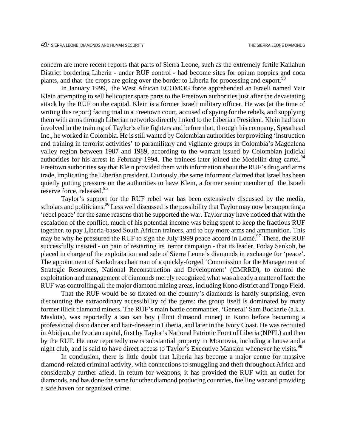concern are more recent reports that parts of Sierra Leone, such as the extremely fertile Kailahun District bordering Liberia - under RUF control - had become sites for opium poppies and coca plants, and that the crops are going over the border to Liberia for processing and export.<sup>93</sup>

In January 1999, the West African ECOMOG force apprehended an Israeli named Yair Klein attempting to sell helicopter spare parts to the Freetown authorities just after the devastating attack by the RUF on the capital. Klein is a former Israeli military officer. He was (at the time of writing this report) facing trial in a Freetown court, accused of spying for the rebels, and supplying them with arms through Liberian networks directly linked to the Liberian President. Klein had been involved in the training of Taylor's elite fighters and before that, through his company, Spearhead Inc., he worked in Colombia. He is still wanted by Colombian authorities for providing 'instruction and training in terrorist activities' to paramilitary and vigilante groups in Colombia's Magdalena valley region between 1987 and 1989, according to the warrant issued by Colombian judicial authorities for his arrest in February 1994. The trainees later joined the Medellin drug cartel.<sup>94</sup> Freetown authorities say that Klein provided them with information about the RUF's drug and arms trade, implicating the Liberian president. Curiously, the same informant claimed that Israel has been quietly putting pressure on the authorities to have Klein, a former senior member of the Israeli reserve force, released.<sup>[95](#page-98-26)</sup>

Taylor's support for the RUF rebel war has been extensively discussed by the media, scholars and politicians. <sup>96</sup> Less well discussed is the possibility that Taylor may now be supporting a 'rebel peace' for the same reasons that he supported the war. Taylor may have noticed that with the escalation of the conflict, much of his potential income was being spent to keep the fractious RUF together, to pay Liberia-based South African trainers, and to buy more arms and ammunition. This may be why he pressured the RUF to sign the July 1999 peace accord in Lomé.<sup>97</sup> There, the RUF successfully insisted - on pain of restarting its terror campaign - that its leader, Foday Sankoh, be placed in charge of the exploitation and sale of Sierra Leone's diamonds in exchange for 'peace'. The appointment of Sankoh as chairman of a quickly-forged 'Commission for the Management of Strategic Resources, National Reconstruction and Development' (CMRRD), to control the exploitation and management of diamonds merely recognized what was already a matter of fact: the RUF was controlling all the major diamond mining areas, including Kono district and Tongo Field.

That the RUF would be so fixated on the country's diamonds is hardly surprising, even discounting the extraordinary accessibility of the gems: the group itself is dominated by many former illicit diamond miners. The RUF's main battle commander, 'General' Sam Bockarie (a.k.a. Maskita), was reportedly a san san boy (illicit dimaond miner) in Kono before becoming a professional disco dancer and hair-dresser in Liberia, and later in the Ivory Coast. He was recruited in Abidjan, the Ivorian capital, first by Taylor's National Patriotic Front of Liberia (NPFL) and then by the RUF. He now reportedly owns substantial property in Monrovia, including a house and a night club, and is said to have direct access to Taylor's Executive Mansion whenever he visits.<sup>[98](#page-98-28)</sup>

In conclusion, there is little doubt that Liberia has become a major centre for massive diamond-related criminal activity, with connections to smuggling and theft throughout Africa and considerably further afield. In return for weapons, it has provided the RUF with an outlet for diamonds, and has done the same for other diamond producing countries, fuelling war and providing a safe haven for organized crime.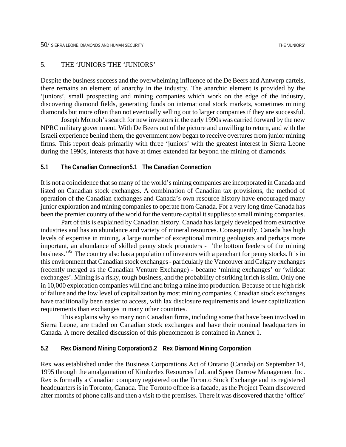#### 5. THE 'JUNIORS'THE 'JUNIORS'

Despite the business success and the overwhelming influence of the De Beers and Antwerp cartels, there remains an element of anarchy in the industry. The anarchic element is provided by the 'juniors', small prospecting and mining companies which work on the edge of the industry, discovering diamond fields, generating funds on international stock markets, sometimes mining diamonds but more often than not eventually selling out to larger companies if they are successful.

Joseph Momoh's search for new investors in the early 1990s was carried forward by the new NPRC military government. With De Beers out of the picture and unwilling to return, and with the Israeli experience behind them, the government now began to receive overtures from junior mining firms. This report deals primarily with three 'juniors' with the greatest interest in Sierra Leone during the 1990s, interests that have at times extended far beyond the mining of diamonds.

### **5.1 The Canadian Connection5.1 The Canadian Connection**

It is not a coincidence that so many of the world's mining companies are incorporated in Canada and listed on Canadian stock exchanges. A combination of Canadian tax provisions, the method of operation of the Canadian exchanges and Canada's own resource history have encouraged many junior exploration and mining companies to operate from Canada. For a very long time Canada has been the premier country of the world for the venture capital it supplies to small mining companies.

Part of this is explained by Canadian history. Canada has largely developed from extractive industries and has an abundance and variety of mineral resources. Consequently, Canada has high levels of expertise in mining, a large number of exceptional mining geologists and perhaps more important, an abundance of skilled penny stock promoters - 'the bottom feeders of the mining business.'9[5](#page-98-47) The country also has a population of investors with a penchant for penny stocks. It is in this environment that Canadian stock exchanges - particularly the Vancouver and Calgary exchanges (recently merged as the Canadian Venture Exchange) - became 'mining exchanges' or 'wildcat exchanges'. Mining is a risky, tough business, and the probability of striking it rich is slim. Only one in 10,000 exploration companies will find and bring a mine into production. Because of the high risk of failure and the low level of capitalization by most mining companies, Canadian stock exchanges have traditionally been easier to access, with lax disclosure requirements and lower capitalization requirements than exchanges in many other countries.

This explains why so many non Canadian firms, including some that have been involved in Sierra Leone, are traded on Canadian stock exchanges and have their nominal headquarters in Canada. A more detailed discussion of this phenomenon is contained in Annex 1.

## **5.2 Rex Diamond Mining Corporation5.2 Rex Diamond Mining Corporation**

Rex was established under the Business Corporations Act of Ontario (Canada) on September 14, 1995 through the amalgamation of Kimberlex Resources Ltd. and Speer Darrow Management Inc. Rex is formally a Canadian company registered on the Toronto Stock Exchange and its registered headquarters is in Toronto, Canada. The Toronto office is a facade, as the Project Team discovered after months of phone calls and then a visit to the premises. There it was discovered that the 'office'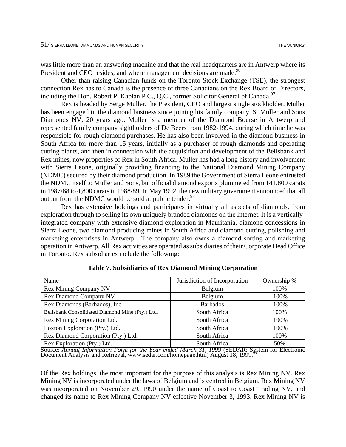was little more than an answering machine and that the real headquarters are in Antwerp where its President and CEO resides, and where management decisions are made.<sup>96</sup>

Other than raising Canadian funds on the Toronto Stock Exchange (TSE), the strongest connection Rex has to Canada is the presence of three Canadians on the Rex Board of Directors, including the Hon. Robert P. Kaplan P.C., Q.C., former Solicitor General of Canada.<sup>97</sup>

Rex is headed by Serge Muller, the President, CEO and largest single stockholder. Muller has been engaged in the diamond business since joining his family company, S. Muller and Sons Diamonds NV, 20 years ago. Muller is a member of the Diamond Bourse in Antwerp and represented family company sightholders of De Beers from 1982-1994, during which time he was responsible for rough diamond purchases. He has also been involved in the diamond business in South Africa for more than 15 years, initially as a purchaser of rough diamonds and operating cutting plants, and then in connection with the acquisition and development of the Bellsbank and Rex mines, now properties of Rex in South Africa. Muller has had a long history and involvement with Sierra Leone, originally providing financing to the National Diamond Mining Company (NDMC) secured by their diamond production. In 1989 the Government of Sierra Leone entrusted the NDMC itself to Muller and Sons, but official diamond exports plummeted from 141,800 carats in 1987/88 to 4,800 carats in 1988/89. In May 1992, the new military government announced that all output from the NDMC would be sold at public tender. $98$ 

Rex has extensive holdings and participates in virtually all aspects of diamonds, from exploration through to selling its own uniquely branded diamonds on the Internet. It is a verticallyintegrated company with extensive diamond exploration in Mauritania, diamond concessions in Sierra Leone, two diamond producing mines in South Africa and diamond cutting, polishing and marketing enterprises in Antwerp. The company also owns a diamond sorting and marketing operation in Antwerp. All Rex activities are operated as subsidiaries of their Corporate Head Office in Toronto. Rex subsidiaries include the following:

| Name                                            | Jurisdiction of Incorporation | Ownership % |
|-------------------------------------------------|-------------------------------|-------------|
| <b>Rex Mining Company NV</b>                    | Belgium                       | 100%        |
| <b>Rex Diamond Company NV</b>                   | Belgium                       | 100%        |
| Rex Diamonds (Barbados), Inc.                   | <b>Barbados</b>               | 100%        |
| Bellsbank Consolidated Diamond Mine (Pty.) Ltd. | South Africa                  | 100%        |
| Rex Mining Corporation Ltd.                     | South Africa                  | 100%        |
| Loxton Exploration (Pty.) Ltd.                  | South Africa                  | 100%        |
| Rex Diamond Corporation (Pty.) Ltd.             | South Africa                  | 100%        |
| Rex Exploration (Pty.) Ltd.                     | South Africa                  | 50%         |

**Table 7. Subsidiaries of Rex Diamond Mining Corporation**

Source: *Annual Information Form for the Year ended March 31, 1[99](#page-98-51)9* (SEDAR: S[ys](#page-98-51)tem for Electronic Document Analysis and Retrieval, www.sedar.com/homepage.htm) August 18, 1999.

Of the Rex holdings, the most important for the purpose of this analysis is Rex Mining NV. Rex Mining NV is incorporated under the laws of Belgium and is centred in Belgium. Rex Mining NV was incorporated on November 29, 1990 under the name of Coast to Coast Trading NV, and changed its name to Rex Mining Company NV effective November 3, 1993. Rex Mining NV is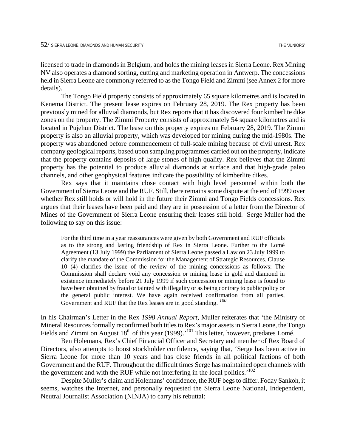licensed to trade in diamonds in Belgium, and holds the mining leases in Sierra Leone. Rex Mining NV also operates a diamond sorting, cutting and marketing operation in Antwerp. The concessions held in Sierra Leone are commonly referred to as the Tongo Field and Zimmi (see Annex 2 for more details).

The Tongo Field property consists of approximately 65 square kilometres and is located in Kenema District. The present lease expires on February 28, 2019. The Rex property has been previously mined for alluvial diamonds, but Rex reports that it has discovered four kimberlite dike zones on the property. The Zimmi Property consists of approximately 54 square kilometres and is located in Pujehun District. The lease on this property expires on February 28, 2019. The Zimmi property is also an alluvial property, which was developed for mining during the mid-1980s. The property was abandoned before commencement of full-scale mining because of civil unrest. Rex company geological reports, based upon sampling programmes carried out on the property, indicate that the property contains deposits of large stones of high quality. Rex believes that the Zimmi property has the potential to produce alluvial diamonds at surface and that high-grade paleo channels, and other geophysical features indicate the possibility of kimberlite dikes.

Rex says that it maintains close contact with high level personnel within both the Government of Sierra Leone and the RUF. Still, there remains some dispute at the end of 1999 over whether Rex still holds or will hold in the future their Zimmi and Tongo Fields concessions. Rex argues that their leases have been paid and they are in possession of a letter from the Director of Mines of the Government of Sierra Leone ensuring their leases still hold. Serge Muller had the following to say on this issue:

For the third time in a year reassurances were given by both Government and RUF officials as to the strong and lasting friendship of Rex in Sierra Leone. Further to the Lomé Agreement (13 July 1999) the Parliament of Sierra Leone passed a Law on 23 July 1999 to clarify the mandate of the Commission for the Management of Strategic Resources. Clause 10 (4) clarifies the issue of the review of the mining concessions as follows: The Commission shall declare void any concession or mining lease in gold and diamond in existence immediately before 21 July 1999 if such concession or mining lease is found to have been obtained by fraud or tainted with illegality or as being contrary to public policy or the general public interest. We have again received confirmation from all parties, Government and RUF that the Rex leases are in good standing. *10[0](#page-98-52)*

In his Chairman's Letter in the Rex *1998 Annual Report*, Muller reiterates that 'the Ministry of Mineral Resources formally reconfirmed both titles to Rex's major assets in Sierra Leone, the Tongo Fields and Zimmi on August 18<sup>th</sup> of this year (1999).<sup>'101</sup> This letter, however, predates Lomé.

Ben Holemans, Rex's Chief Financial Officer and Secretary and member of Rex Board of Directors, also attempts to boost stockholder confidence, saying that, 'Serge has been active in Sierra Leone for more than 10 years and has close friends in all political factions of both Government and the RUF. Throughout the difficult times Serge has maintained open channels with the government and with the RUF while not interfering in the local politics.<sup> $102$  $102$ </sup>

Despite Muller's claim and Holemans' confidence, the RUF begs to differ. Foday Sankoh, it seems, watches the Internet, and personally requested the Sierra Leone National, Independent, Neutral Journalist Association (NINJA) to carry his rebuttal: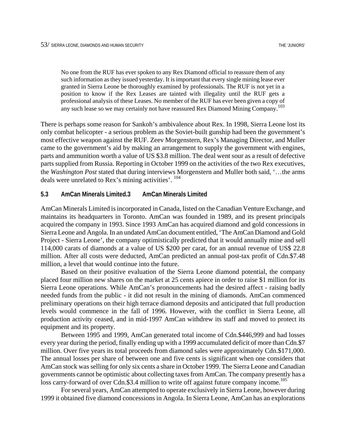No one from the RUF has ever spoken to any Rex Diamond official to reassure them of any such information as they issued yesterday. It is important that every single mining lease ever granted in Sierra Leone be thoroughly examined by professionals. The RUF is not yet in a position to know if the Rex Leases are tainted with illegality until the RUF gets a professional analysis of these Leases. No member of the RUF has ever been given a copy of any such lease so we may certainly not have reassured Rex Diamond Mining Company.<sup>10[3](#page-98-55)</sup>

There is perhaps some reason for Sankoh's ambivalence about Rex. In 1998, Sierra Leone lost its only combat helicopter - a serious problem as the Soviet-built gunship had been the government's most effective weapon against the RUF. Zeev Morgenstern, Rex's Managing Director, and Muller came to the government's aid by making an arrangement to supply the government with engines, parts and ammunition worth a value of US \$3.8 million. The deal went sour as a result of defective parts supplied from Russia. Reporting in October 1999 on the activities of the two Rex executives, the *Washington Post* stated that during interviews Morgenstern and Muller both said, '…the arms deals were unrelated to Rex's mining activities'. 10[4](#page-98-56) 

#### **5.3 AmCan Minerals Limited.3 AmCan Minerals Limited**

AmCan Minerals Limited is incorporated in Canada, listed on the Canadian Venture Exchange, and maintains its headquarters in Toronto. AmCan was founded in 1989, and its present principals acquired the company in 1993. Since 1993 AmCan has acquired diamond and gold concessions in Sierra Leone and Angola. In an undated AmCan document entitled, 'The AmCan Diamond and Gold Project - Sierra Leone', the company optimistically predicted that it would annually mine and sell 114,000 carats of diamonds at a value of US \$200 per carat, for an annual revenue of US\$ 22.8 million. After all costs were deducted, AmCan predicted an annual post-tax profit of Cdn.\$7.48 million, a level that would continue into the future.

Based on their positive evaluation of the Sierra Leone diamond potential, the company placed four million new shares on the market at 25 cents apiece in order to raise \$1 million for its Sierra Leone operations. While AmCan's pronouncements had the desired affect - raising badly needed funds from the public - it did not result in the mining of diamonds. AmCan commenced preliminary operations on their high terrace diamond deposits and anticipated that full production levels would commence in the fall of 1996. However, with the conflict in Sierra Leone, all production activity ceased, and in mid-1997 AmCan withdrew its staff and moved to protect its equipment and its property.

Between 1995 and 1999, AmCan generated total income of Cdn.\$446,999 and had losses every year during the period, finally ending up with a 1999 accumulated deficit of more than Cdn.\$7 million. Over five years its total proceeds from diamond sales were approximately Cdn.\$171,000. The annual losses per share of between one and five cents is significant when one considers that AmCan stock was selling for only six cents a share in October 1999. The Sierra Leone and Canadian governments cannot be optimistic about collecting taxes from AmCan. The company presently has a loss carry-forward of over Cdn.\$3.4 million to write off against future company income.<sup>105</sup>

For several years, AmCan attempted to operate exclusively in Sierra Leone, however during 1999 it obtained five diamond concessions in Angola. In Sierra Leone, AmCan has an explorations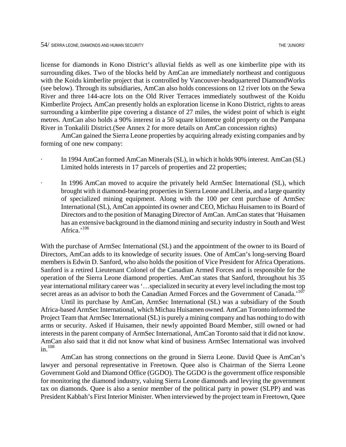license for diamonds in Kono District's alluvial fields as well as one kimberlite pipe with its surrounding dikes. Two of the blocks held by AmCan are immediately northeast and contiguous with the Koidu kimberlite project that is controlled by Vancouver-headquartered DiamondWorks (see below). Through its subsidiaries, AmCan also holds concessions on 12 river lots on the Sewa River and three 144-acre lots on the Old River Terraces immediately southwest of the Koidu Kimberlite Project*.* AmCan presently holds an exploration license in Kono District, rights to areas surrounding a kimberlite pipe covering a distance of 27 miles, the widest point of which is eight metres. AmCan also holds a 90% interest in a 50 square kilometre gold property on the Pampana River in Tonkalili District.(See Annex 2 for more details on AmCan concession rights)

AmCan gained the Sierra Leone properties by acquiring already existing companies and by forming of one new company:

- In 1994 AmCan formed AmCan Minerals (SL), in which it holds 90% interest. AmCan (SL) Limited holds interests in 17 parcels of properties and 22 properties;
- In 1996 AmCan moved to acquire the privately held ArmSec International (SL), which brought with it diamond-bearing properties in Sierra Leone and Liberia, and a large quantity of specialized mining equipment. Along with the 100 per cent purchase of ArmSec International (SL), AmCan appointed its owner and CEO, Michau Huisamen to its Board of Directors and to the position of Managing Director of AmCan. AmCan states that 'Huisamen has an extensive background in the diamond mining and security industry in South and West Africa.'<sup>106</sup>

With the purchase of ArmSec International (SL) and the appointment of the owner to its Board of Directors, AmCan adds to its knowledge of security issues. One of AmCan's long-serving Board members is Edwin D. Sanford, who also holds the position of Vice President for Africa Operations. Sanford is a retired Lieutenant Colonel of the Canadian Armed Forces and is responsible for the operation of the Sierra Leone diamond properties. AmCan states that Sanford, throughout his 35 year international military career was '…specialized in security at every level including the most top secret areas as an advisor to both the Canadian Armed Forces and the Government of Canada.<sup>107</sup>

Until its purchase by AmCan, ArmSec International (SL) was a subsidiary of the South Africa-based ArmSec International, which Michau Huisamen owned. AmCan Toronto informed the Project Team that ArmSec International (SL) is purely a mining company and has nothing to do with arms or security. Asked if Huisamen, their newly appointed Board Member, still owned or had interests in the parent company of ArmSec International, AmCan Toronto said that it did not know. AmCan also said that it did not know what kind of business ArmSec International was involved in 1[08](#page-98-60)

AmCan has strong connections on the ground in Sierra Leone. David Quee is AmCan's lawyer and personal representative in Freetown. Quee also is Chairman of the Sierra Leone Government Gold and Diamond Office (GGDO). The GGDO is the government office responsible for monitoring the diamond industry, valuing Sierra Leone diamonds and levying the government tax on diamonds. Quee is also a senior member of the political party in power (SLPP) and was President Kabbah's First Interior Minister. When interviewed by the project team in Freetown, Quee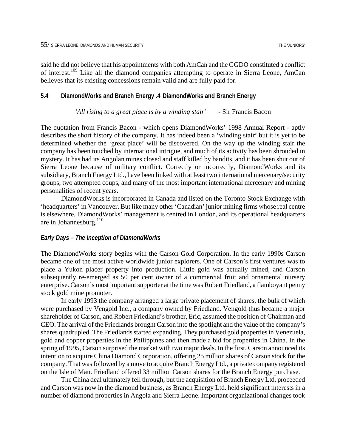said he did not believe that his appointments with both AmCan and the GGDO constituted a conflict of interest.<sup>109</sup> Like all the diamond companies attempting to operate in Sierra Leone, AmCan believes that its existing concessions remain valid and are fully paid for.

#### **5.4 DiamondWorks and Branch Energy .4 DiamondWorks and Branch Energy**

#### *'All rising to a great place is by a winding stair'* - Sir Francis Bacon

The quotation from Francis Bacon - which opens DiamondWorks' 1998 Annual Report - aptly describes the short history of the company. It has indeed been a 'winding stair' but it is yet to be determined whether the 'great place' will be discovered. On the way up the winding stair the company has been touched by international intrigue, and much of its activity has been shrouded in mystery. It has had its Angolan mines closed and staff killed by bandits, and it has been shut out of Sierra Leone because of military conflict. Correctly or incorrectly, DiamondWorks and its subsidiary, Branch Energy Ltd., have been linked with at least two international mercenary/security groups, two attempted coups, and many of the most important international mercenary and mining personalities of recent years.

DiamondWorks is incorporated in Canada and listed on the Toronto Stock Exchange with 'headquarters' in Vancouver. But like many other 'Canadian' junior mining firms whose real centre is elsewhere, DiamondWorks' management is centred in London, and its operational headquarters are in Johannesburg.<sup>110</sup>

#### *Early Days – The Inception of DiamondWorks*

The DiamondWorks story begins with the Carson Gold Corporation. In the early 1990s Carson became one of the most active worldwide junior explorers. One of Carson's first ventures was to place a Yukon placer property into production. Little gold was actually mined, and Carson subsequently re-emerged as 50 per cent owner of a commercial fruit and ornamental nursery enterprise. Carson's most important supporter at the time was Robert Friedland, a flamboyant penny stock gold mine promoter.

In early 1993 the company arranged a large private placement of shares, the bulk of which were purchased by Vengold Inc., a company owned by Friedland. Vengold thus became a major shareholder of Carson, and Robert Friedland's brother, Eric, assumed the position of Chairman and CEO. The arrival of the Friedlands brought Carson into the spotlight and the value of the company's shares quadrupled. The Friedlands started expanding. They purchased gold properties in Venezuela, gold and copper properties in the Philippines and then made a bid for properties in China. In the spring of 1995, Carson surprised the market with two major deals. In the first, Carson announced its intention to acquire China Diamond Corporation, offering 25 million shares of Carson stock for the company. That was followed by a move to acquire Branch Energy Ltd., a private company registered on the Isle of Man. Friedland offered 33 million Carson shares for the Branch Energy purchase.

The China deal ultimately fell through, but the acquisition of Branch Energy Ltd. proceeded and Carson was now in the diamond business, as Branch Energy Ltd. held significant interests in a number of diamond properties in Angola and Sierra Leone. Important organizational changes took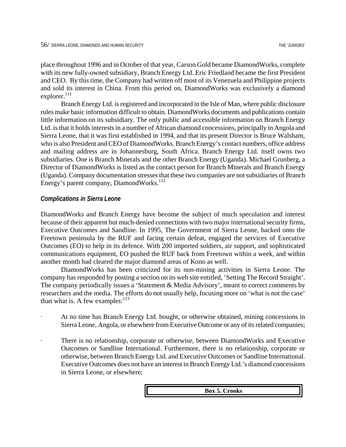place throughout 1996 and in October of that year, Carson Gold became DiamondWorks, complete with its new fully-owned subsidiary, Branch Energy Ltd. Eric Friedland became the first President and CEO. By this time, the Company had written off most of its Venezuela and Philippine projects and sold its interest in China. From this period on, DiamondWorks was exclusively a diamond  $explorer.<sup>111</sup>$  $explorer.<sup>111</sup>$  $explorer.<sup>111</sup>$ 

Branch Energy Ltd. is registered and incorporated in the Isle of Man, where public disclosure rules make basic information difficult to obtain. DiamondWorks documents and publications contain little information on its subsidiary. The only public and accessible information on Branch Energy Ltd. is that it holds interests in a number of African diamond concessions, principally in Angola and Sierra Leone, that it was first established in 1994, and that its present Director is Bruce Walsham, who is also President and CEO of DiamondWorks. Branch Energy's contact numbers, office address and mailing address are in Johannesburg, South Africa. Branch Energy Ltd. itself owns two subsidiaries. One is Branch Minerals and the other Branch Energy (Uganda). Michael Grunberg, a Director of DiamondWorks is listed as the contact person for Branch Minerals and Branch Energy (Uganda). Company documentation stresses that these two companies are not subsidiaries of Branch Energy's parent company, DiamondWorks.<sup>11[2](#page-98-64)</sup>

#### *Complications in Sierra Leone*

DiamondWorks and Branch Energy have become the subject of much speculation and interest because of their apparent but much-denied connections with two major international security firms, Executive Outcomes and Sandline. In 1995, The Government of Sierra Leone, backed onto the Freetown peninsula by the RUF and facing certain defeat, engaged the services of Executive Outcomes (EO) to help in its defence. With 200 imported soldiers, air support, and sophisticated communications equipment, EO pushed the RUF back from Freetown within a week, and within another month had cleared the major diamond areas of Kono as well.

DiamondWorks has been criticized for its non-mining activities in Sierra Leone. The company has responded by posting a section on its web site entitled, 'Setting The Record Straight'. The company periodically issues a 'Statement & Media Advisory', meant to correct comments by researchers and the media. The efforts do not usually help, focusing more on 'what is not the case' than what is. A few examples:  $113$  $113$ 

- At no time has Branch Energy Ltd. bought, or otherwise obtained, mining concessions in Sierra Leone, Angola, or elsewhere from Executive Outcome or any of its related companies;
- There is no relationship, corporate or otherwise, between DiamondWorks and Executive Outcomes or Sandline International. Furthermore, there is no relationship, corporate or otherwise, between Branch Energy Ltd. and Executive Outcomes or Sandline International. Executive Outcomes does not have an interest in Branch Energy Ltd.'s diamond concessions in Sierra Leone, or elsewhere;

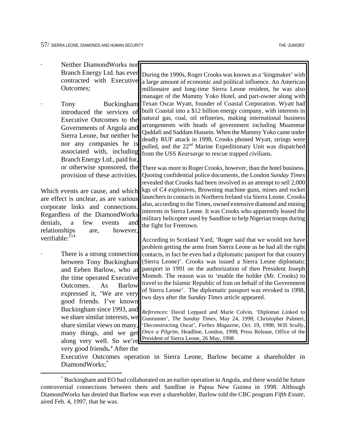<span id="page-64-0"></span>1

| Neither DiamondWorks nor                                                              |                                                                                                                                              |
|---------------------------------------------------------------------------------------|----------------------------------------------------------------------------------------------------------------------------------------------|
| Branch Energy Ltd. has ever                                                           | During the 1990s, Roger Crooks was known as a 'kingmaker' with                                                                               |
| contracted with Executive<br>Outcomes;                                                | a large amount of economic and political influence. An American                                                                              |
|                                                                                       | millionaire and long-time Sierra Leone resident, he was also<br>manager of the Mammy Yoko Hotel, and part-owner along with                   |
| Tony<br>Buckingham                                                                    | Texan Oscar Wyatt, founder of Coastal Corporation. Wyatt had<br>built Coastal into a \$12 billion energy company, with interests in          |
| introduced the services of<br>Executive Outcomes to the                               | natural gas, coal, oil refineries, making international business                                                                             |
| Governments of Angola and                                                             | arrangements with heads of government including Muammar                                                                                      |
| Sierra Leone, but neither he                                                          | Qaddafi and Saddam Hussein. When the Mammy Yoko came under                                                                                   |
| nor any companies he is                                                               | deadly RUF attack in 1998, Crooks phoned Wyatt, strings were<br>pulled, and the 22 <sup>nd</sup> Marine Expeditionary Unit was dispatched    |
| associated with, including                                                            | from the USS Kearsarge to rescue trapped civilians.                                                                                          |
| Branch Energy Ltd., paid for,                                                         |                                                                                                                                              |
| or otherwise sponsored, the<br>provision of these activities.                         | There was more to Roger Crooks, however, than the hotel business.<br>Quoting confidential police documents, the London Sunday Times          |
|                                                                                       | revealed that Crooks had been involved in an attempt to sell 2,000                                                                           |
| Which events are cause, and which                                                     | kgs of C4 explosives, Browning machine guns, mines and rocket                                                                                |
| are effect is unclear, as are various                                                 | launchers to contacts in Northern Ireland via Sierra Leone. Crooks                                                                           |
| corporate links and connections.                                                      | also, according to the Times, owned extensive diamond and mining<br>interests in Sierra Leone. It was Crooks who apparently leased the       |
| Regardless of the DiamondWorks                                                        | military helicopter used by Sandline to help Nigerian troops during                                                                          |
| denials,<br>few<br>$\mathbf{a}$<br>and<br>events<br>relationships<br>however,<br>are, | the fight for Freetown.                                                                                                                      |
| verifiable: <sup>114</sup>                                                            | According to Scotland Yard, 'Roger said that we would not have                                                                               |
|                                                                                       | problem getting the arms from Sierra Leone as he had all the right                                                                           |
| There is a strong connection                                                          | contacts, in fact he even had a diplomatic passport for that country                                                                         |
| between Tony Buckingham                                                               | (Sierra Leone)'. Crooks was issued a Sierra Leone diplomatic                                                                                 |
| and Eeben Barlow, who at                                                              | passport in 1991 on the authorization of then President Joseph<br>Momoh. The reason was to 'enable the holder (Mr. Crooks) to                |
| the time operated Executive<br>Outcomes.<br>As<br><b>Barlow</b>                       | travel to the Islamic Republic of Iran on behalf of the Government                                                                           |
| expressed it, 'We are very                                                            | of Sierra Leone'. The diplomatic passport was revoked in 1998,                                                                               |
| good friends. I've known                                                              | two days after the Sunday Times article appeared.                                                                                            |
|                                                                                       | Buckingham since 1993, and References: David Leppard and Marie Colvin, 'Diplomat Linked to                                                   |
|                                                                                       | we share similar interests, we Gunrunner', The Sunday Times, May 24, 1998; Christopher Palmeri,                                              |
| share similar views on many,                                                          | 'Deconstructing Oscar', Forbes Magazine, Oct. 19, 1998; Will Scully,<br>Once a Pilgrim, Headline, London, 1998; Press Release, Office of the |
| many things, and we get<br>along very well. So we're                                  | President of Sierra Leone, 26 May, 1998                                                                                                      |
| very good friends.' After the                                                         |                                                                                                                                              |
|                                                                                       | Executive Outcomes operation in Sierra Leone, Barlow became a shareholder in                                                                 |
| DiamondWorks:                                                                         |                                                                                                                                              |

<sup>\*</sup> Buckingham and EO had collaborated on an earlier operation in Angola, and there would be future controversial connections between them and Sandline in Papua New Guinea in 1998. Although DiamondWorks has denied that Barlow was ever a shareholder, Barlow told the CBC program *Fifth Estate,*  aired Feb. 4, 1997, that he was.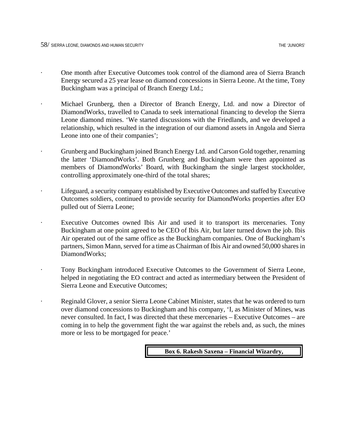- · One month after Executive Outcomes took control of the diamond area of Sierra Branch Energy secured a 25 year lease on diamond concessions in Sierra Leone. At the time, Tony Buckingham was a principal of Branch Energy Ltd.;
- · Michael Grunberg, then a Director of Branch Energy, Ltd. and now a Director of DiamondWorks, travelled to Canada to seek international financing to develop the Sierra Leone diamond mines. 'We started discussions with the Friedlands, and we developed a relationship, which resulted in the integration of our diamond assets in Angola and Sierra Leone into one of their companies';
- · Grunberg and Buckingham joined Branch Energy Ltd. and Carson Gold together, renaming the latter 'DiamondWorks'. Both Grunberg and Buckingham were then appointed as members of DiamondWorks' Board, with Buckingham the single largest stockholder, controlling approximately one-third of the total shares;
- Lifeguard, a security company established by Executive Outcomes and staffed by Executive Outcomes soldiers, continued to provide security for DiamondWorks properties after EO pulled out of Sierra Leone;
- Executive Outcomes owned Ibis Air and used it to transport its mercenaries. Tony Buckingham at one point agreed to be CEO of Ibis Air, but later turned down the job. Ibis Air operated out of the same office as the Buckingham companies. One of Buckingham's partners, Simon Mann, served for a time as Chairman of Ibis Air and owned 50,000 shares in DiamondWorks;
- · Tony Buckingham introduced Executive Outcomes to the Government of Sierra Leone, helped in negotiating the EO contract and acted as intermediary between the President of Sierra Leone and Executive Outcomes;
- Reginald Glover, a senior Sierra Leone Cabinet Minister, states that he was ordered to turn over diamond concessions to Buckingham and his company, 'I, as Minister of Mines, was never consulted. In fact, I was directed that these mercenaries – Executive Outcomes – are coming in to help the government fight the war against the rebels and, as such, the mines more or less to be mortgaged for peace.'

**Box 6. Rakesh Saxena – Financial Wizardry,**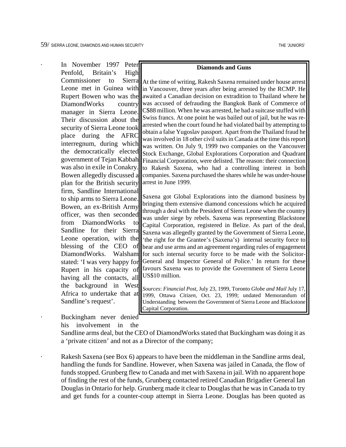In November 1997 Peter Penfold, Britain's High Commissioner to Sierra Leone met in Guinea with in Vancouver, three years after being arrested by the RCMP. He Rupert Bowen who was the DiamondWorks country manager in Sierra Leone. Their discussion about the security of Sierra Leone took place during the AFRC interregnum, during which the democratically elected government of Tejan Kabbah was also in exile in Conakry. Bowen allegedly discussed a plan for the British security firm, Sandline International to ship arms to Sierra Leone. Bowen, an ex-British Army officer, was then seconded from DiamondWorks to Sandline for their Sierra Leone operation, with the blessing of the CEO of DiamondWorks. Walsham stated: 'I was very happy for Rupert in his capacity of having all the contacts, all the background in West Africa to undertake that at Sandline's request'. **Diamonds and Guns** At the time of writing, Rakesh Saxena remained under house arrest awaited a Canadian decision on extradition to Thailand where he was accused of defrauding the Bangkok Bank of Commerce of C\$88 million. When he was arrested, he had a suitcase stuffed with Swiss francs. At one point he was bailed out of jail, but he was rearrested when the court found he had violated bail by attempting to obtain a false Yugoslav passport. Apart from the Thailand fraud he was involved in 18 other civil suits in Canada at the time thisreport was written. On July 9, 1999 two companies on the Vancouver Stock Exchange, Global Explorations Corporation and Quadrant Financial Corporation, were delisted. The reason: their connection to Rakesh Saxena, who had a controlling interest in both companies. Saxena purchased the shares while he was under-house arrest in June 1999. Saxena got Global Explorations into the diamond business by bringing them extensive diamond concessions which he acquired through a deal with the President of Sierra Leone when the country was under siege by rebels. Saxena was representing Blackstone Capital Corporation, registered in Belize. As part of the deal, Saxena was allegedly granted by the Government of Sierra Leone, 'the right for the Grantee's (Saxena's) internal security force to bear and use arms and an agreement regarding rules of engagement for such internal security force to be made with the Solicitor-General and Inspector General of Police.' In return for these favours Saxena was to provide the Government of Sierra Leone US\$10 million. *Sources*: *Financial Post*, July 23, 1999, Toronto *Globe and Mail* July 17, 1999, Ottawa *Citizen*, Oct. 23, 1999; undated Memorandum of Understanding between the Government of Sierra Leone and Blackstone

Buckingham never denied his involvement in the

Sandline arms deal, but the CEO of DiamondWorks stated that Buckingham was doing it as a 'private citizen' and not as a Director of the company;

Capital Corporation.

Rakesh Saxena (see Box 6) appears to have been the middleman in the Sandline arms deal, handling the funds for Sandline. However, when Saxena was jailed in Canada, the flow of funds stopped. Grunberg flew to Canada and met with Saxena in jail. With no apparent hope of finding the rest of the funds, Grunberg contacted retired Canadian Brigadier General Ian Douglas in Ontario for help. Grunberg made it clear to Douglas that he was in Canada to try and get funds for a counter-coup attempt in Sierra Leone. Douglas has been quoted as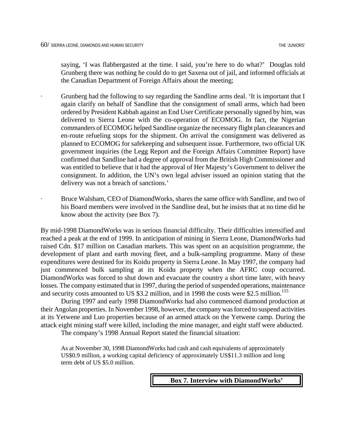saying, 'I was flabbergasted at the time. I said, you're here to do what?' Douglas told Grunberg there was nothing he could do to get Saxena out of jail, and informed officials at the Canadian Department of Foreign Affairs about the meeting;

- Grunberg had the following to say regarding the Sandline arms deal. 'It is important that I again clarify on behalf of Sandline that the consignment of small arms, which had been ordered by President Kabbah against an End User Certificate personally signed by him, was delivered to Sierra Leone with the co-operation of ECOMOG. In fact, the Nigerian commanders of ECOMOG helped Sandline organize the necessary flight plan clearances and en-route refueling stops for the shipment. On arrival the consignment was delivered as planned to ECOMOG for safekeeping and subsequent issue. Furthermore, two official UK government inquiries (the Legg Report and the Foreign Affairs Committee Report) have confirmed that Sandline had a degree of approval from the British High Commissioner and was entitled to believe that it had the approval of Her Majesty's Government to deliver the consignment. In addition, the UN's own legal adviser issued an opinion stating that the delivery was not a breach of sanctions.'
	- Bruce Walsham, CEO of DiamondWorks, shares the same office with Sandline, and two of his Board members were involved in the Sandline deal, but he insists that at no time did he know about the activity (see Box 7).

By mid-1998 DiamondWorks was in serious financial difficulty. Their difficulties intensified and reached a peak at the end of 1999. In anticipation of mining in Sierra Leone, DiamondWorks had raised Cdn. \$17 million on Canadian markets. This was spent on an acquisition programme, the development of plant and earth moving fleet, and a bulk-sampling programme. Many of these expenditures were destined for its Koidu property in Sierra Leone. In May 1997, the company had just commenced bulk sampling at its Koidu property when the AFRC coup occurred. DiamondWorks was forced to shut down and evacuate the country a short time later, with heavy losses. The company estimated that in 1997, during the period of suspended operations, maintenance and security costs amounted to US  $$3.2$  million, and in 1998 the costs were  $$2.5$  million.<sup>115</sup>

During 1997 and early 1998 DiamondWorks had also commenced diamond production at their Angolan properties. In November 1998, however, the company was forced to suspend activities at its Yetwene and Luo properties because of an armed attack on the Yetwene camp. During the attack eight mining staff were killed, including the mine manager, and eight staff were abducted.

The company's 1998 Annual Report stated the financial situation:

As at November 30, 1998 DiamondWorks had cash and cash equivalents of approximately US\$0.9 million, a working capital deficiency of approximately US\$11.3 million and long term debt of US \$5.0 million.

#### **Box 7. Interview with DiamondWorks'**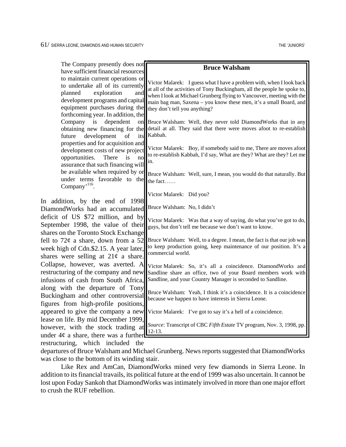| have sufficient financial resources<br>to maintain current operations or<br>Victor Malarek: I guess what I have a problem with, when I look back<br>to undertake all of its currently<br>at all of the activities of Tony Buckingham, all the people he spoke to,<br>exploration<br>planned<br>and<br>when I look at Michael Grunberg flying to Vancouver, meeting with the<br>development programs and capital<br>main bag man, Saxena - you know these men, it's a small Board, and<br>equipment purchases during the<br>they don't tell you anything?<br>forthcoming year. In addition, the<br>is<br>dependent<br>Company<br>Bruce Walsham: Well, they never told DiamondWorks that in any<br>on<br>detail at all. They said that there were moves afoot to re-establish<br>obtaining new financing for the<br>Kabbah.<br>development<br>future<br>of<br>its<br>properties and for acquisition and<br>Victor Malarek: Boy, if somebody said to me, There are moves afoot<br>development costs of new project<br>to re-establish Kabbah, I'd say, What are they? What are they? Let me<br>opportunities.<br>There<br>is<br>no<br>in.<br>assurance that such financing will<br>be available when required by or<br>Bruce Walsham: Well, sure, I mean, you would do that naturally. But<br>under terms favorable to the<br>the fact<br>Company <sup>, 116</sup> .<br>Victor Malarek: Did you?<br>In addition, by the end of 1998<br>Bruce Walsham: No, I didn't<br>Victor Malarek: Was that a way of saying, do what you've got to do,<br>guys, but don't tell me because we don't want to know.<br>shares on the Toronto Stock Exchange<br>Bruce Walsham: Well, to a degree. I mean, the fact is that our job was<br>to keep production going, keep maintenance of our position. It's a<br>commercial world.<br>Victor Malarek: So, it's all a coincidence. DiamondWorks and<br>Sandline share an office, two of your Board members work with<br>Sandline, and your Country Manager is seconded to Sandline.<br>along with the departure of Tony<br>Bruce Walsham: Yeah, I think it's a coincidence. It is a coincidence<br>because we happen to have interests in Sierra Leone.<br>Victor Malarek: I've got to say it's a hell of a coincidence. | The Company presently does not                                                                                           | <b>Bruce Walsham</b> |
|----------------------------------------------------------------------------------------------------------------------------------------------------------------------------------------------------------------------------------------------------------------------------------------------------------------------------------------------------------------------------------------------------------------------------------------------------------------------------------------------------------------------------------------------------------------------------------------------------------------------------------------------------------------------------------------------------------------------------------------------------------------------------------------------------------------------------------------------------------------------------------------------------------------------------------------------------------------------------------------------------------------------------------------------------------------------------------------------------------------------------------------------------------------------------------------------------------------------------------------------------------------------------------------------------------------------------------------------------------------------------------------------------------------------------------------------------------------------------------------------------------------------------------------------------------------------------------------------------------------------------------------------------------------------------------------------------------------------------------------------------------------------------------------------------------------------------------------------------------------------------------------------------------------------------------------------------------------------------------------------------------------------------------------------------------------------------------------------------------------------------------------------------------------------------------------------------------------------------------------------------|--------------------------------------------------------------------------------------------------------------------------|----------------------|
|                                                                                                                                                                                                                                                                                                                                                                                                                                                                                                                                                                                                                                                                                                                                                                                                                                                                                                                                                                                                                                                                                                                                                                                                                                                                                                                                                                                                                                                                                                                                                                                                                                                                                                                                                                                                                                                                                                                                                                                                                                                                                                                                                                                                                                                    |                                                                                                                          |                      |
|                                                                                                                                                                                                                                                                                                                                                                                                                                                                                                                                                                                                                                                                                                                                                                                                                                                                                                                                                                                                                                                                                                                                                                                                                                                                                                                                                                                                                                                                                                                                                                                                                                                                                                                                                                                                                                                                                                                                                                                                                                                                                                                                                                                                                                                    |                                                                                                                          |                      |
|                                                                                                                                                                                                                                                                                                                                                                                                                                                                                                                                                                                                                                                                                                                                                                                                                                                                                                                                                                                                                                                                                                                                                                                                                                                                                                                                                                                                                                                                                                                                                                                                                                                                                                                                                                                                                                                                                                                                                                                                                                                                                                                                                                                                                                                    |                                                                                                                          |                      |
|                                                                                                                                                                                                                                                                                                                                                                                                                                                                                                                                                                                                                                                                                                                                                                                                                                                                                                                                                                                                                                                                                                                                                                                                                                                                                                                                                                                                                                                                                                                                                                                                                                                                                                                                                                                                                                                                                                                                                                                                                                                                                                                                                                                                                                                    |                                                                                                                          |                      |
|                                                                                                                                                                                                                                                                                                                                                                                                                                                                                                                                                                                                                                                                                                                                                                                                                                                                                                                                                                                                                                                                                                                                                                                                                                                                                                                                                                                                                                                                                                                                                                                                                                                                                                                                                                                                                                                                                                                                                                                                                                                                                                                                                                                                                                                    |                                                                                                                          |                      |
|                                                                                                                                                                                                                                                                                                                                                                                                                                                                                                                                                                                                                                                                                                                                                                                                                                                                                                                                                                                                                                                                                                                                                                                                                                                                                                                                                                                                                                                                                                                                                                                                                                                                                                                                                                                                                                                                                                                                                                                                                                                                                                                                                                                                                                                    |                                                                                                                          |                      |
|                                                                                                                                                                                                                                                                                                                                                                                                                                                                                                                                                                                                                                                                                                                                                                                                                                                                                                                                                                                                                                                                                                                                                                                                                                                                                                                                                                                                                                                                                                                                                                                                                                                                                                                                                                                                                                                                                                                                                                                                                                                                                                                                                                                                                                                    | DiamondWorks had an accumulated                                                                                          |                      |
|                                                                                                                                                                                                                                                                                                                                                                                                                                                                                                                                                                                                                                                                                                                                                                                                                                                                                                                                                                                                                                                                                                                                                                                                                                                                                                                                                                                                                                                                                                                                                                                                                                                                                                                                                                                                                                                                                                                                                                                                                                                                                                                                                                                                                                                    | deficit of US \$72 million, and by<br>September 1998, the value of their                                                 |                      |
|                                                                                                                                                                                                                                                                                                                                                                                                                                                                                                                                                                                                                                                                                                                                                                                                                                                                                                                                                                                                                                                                                                                                                                                                                                                                                                                                                                                                                                                                                                                                                                                                                                                                                                                                                                                                                                                                                                                                                                                                                                                                                                                                                                                                                                                    | fell to $72¢$ a share, down from a 52<br>week high of Cdn.\$2.15. A year later,<br>shares were selling at $21¢$ a share. |                      |
|                                                                                                                                                                                                                                                                                                                                                                                                                                                                                                                                                                                                                                                                                                                                                                                                                                                                                                                                                                                                                                                                                                                                                                                                                                                                                                                                                                                                                                                                                                                                                                                                                                                                                                                                                                                                                                                                                                                                                                                                                                                                                                                                                                                                                                                    | Collapse, however, was averted. A<br>restructuring of the company and new<br>infusions of cash from South Africa,        |                      |
|                                                                                                                                                                                                                                                                                                                                                                                                                                                                                                                                                                                                                                                                                                                                                                                                                                                                                                                                                                                                                                                                                                                                                                                                                                                                                                                                                                                                                                                                                                                                                                                                                                                                                                                                                                                                                                                                                                                                                                                                                                                                                                                                                                                                                                                    | Buckingham and other controversial<br>figures from high-profile positions,                                               |                      |
|                                                                                                                                                                                                                                                                                                                                                                                                                                                                                                                                                                                                                                                                                                                                                                                                                                                                                                                                                                                                                                                                                                                                                                                                                                                                                                                                                                                                                                                                                                                                                                                                                                                                                                                                                                                                                                                                                                                                                                                                                                                                                                                                                                                                                                                    | appeared to give the company a new                                                                                       |                      |
| Source: Transcript of CBC Fifth Estate TV program, Nov. 3, 1998, pp.<br>2-13.                                                                                                                                                                                                                                                                                                                                                                                                                                                                                                                                                                                                                                                                                                                                                                                                                                                                                                                                                                                                                                                                                                                                                                                                                                                                                                                                                                                                                                                                                                                                                                                                                                                                                                                                                                                                                                                                                                                                                                                                                                                                                                                                                                      | lease on life. By mid December 1999,<br>however, with the stock trading at<br>under $4¢$ a share, there was a further    |                      |
| which included the                                                                                                                                                                                                                                                                                                                                                                                                                                                                                                                                                                                                                                                                                                                                                                                                                                                                                                                                                                                                                                                                                                                                                                                                                                                                                                                                                                                                                                                                                                                                                                                                                                                                                                                                                                                                                                                                                                                                                                                                                                                                                                                                                                                                                                 | restructuring,                                                                                                           |                      |

departures of Bruce Walsham and Michael Grunberg. News reports suggested that DiamondWorks was close to the bottom of its winding stair.

Like Rex and AmCan, DiamondWorks mined very few diamonds in Sierra Leone. In addition to its financial travails, its political future at the end of 1999 was also uncertain. It cannot be lost upon Foday Sankoh that DiamondWorks was intimately involved in more than one major effort to crush the RUF rebellion.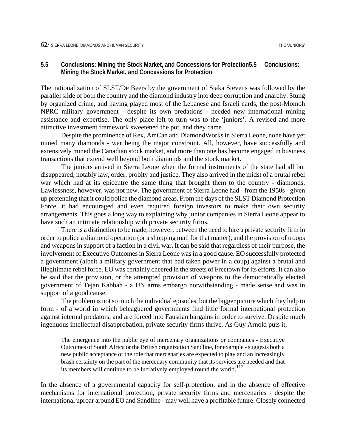## **5.5 Conclusions: Mining the Stock Market, and Concessions for Protection5.5 Conclusions: Mining the Stock Market, and Concessions for Protection**

The nationalization of SLST/De Beers by the government of Siaka Stevens was followed by the parallel slide of both the country and the diamond industry into deep corruption and anarchy. Stung by organized crime, and having played most of the Lebanese and Israeli cards, the post-Momoh NPRC military government - despite its own predations - needed new international mining assistance and expertise. The only place left to turn was to the 'juniors'. A revised and more attractive investment framework sweetened the pot, and they came.

Despite the prominence of Rex, AmCan and DiamondWorks in Sierra Leone, none have yet mined many diamonds - war being the major constraint. All, however, have successfully and extensively mined the Canadian stock market, and more than one has become engaged in business transactions that extend well beyond both diamonds and the stock market.

The juniors arrived in Sierra Leone when the formal instruments of the state had all but disappeared, notably law, order, probity and justice. They also arrived in the midst of a brutal rebel war which had at its epicentre the same thing that brought them to the country - diamonds. Lawlessness, however, was not new. The government of Sierra Leone had - from the 1950s - given up pretending that it could police the diamond areas. From the days of the SLST Diamond Protection Force, it had encouraged and even required foreign investors to make their own security arrangements. This goes a long way to explaining why junior companies in Sierra Leone appear to have such an intimate relationship with private security firms.

There is a distinction to be made, however, between the need to hire a private security firm in order to police a diamond operation (or a shopping mall for that matter), and the provision of troops and weapons in support of a faction in a civil war. It can be said that regardless of their purpose, the involvement of Executive Outcomes in Sierra Leone was in a good cause. EO successfully protected a government (albeit a military government that had taken power in a coup) against a brutal and illegitimate rebel force. EO was certainly cheered in the streets of Freetown for its efforts. It can also be said that the provision, or the attempted provision of weapons to the democratically elected government of Tejan Kabbah - a UN arms embargo notwithstanding - made sense and was in support of a good cause.

The problem is not so much the individual episodes, but the bigger picture which they help to form - of a world in which beleaguered governments find little formal international protection against internal predators, and are forced into Faustian bargains in order to survive. Despite much ingenuous intellectual disapprobation, private security firms thrive. As Guy Arnold puts it,

The emergence into the public eye of mercenary organizations or companies - Executive Outcomes of South Africa or the British organization Sandline, for example - suggests both a new public acceptance of the role that mercenaries are expected to play and an increasingly brash certainty on the part of the mercenary community that its services are needed and that its members will continue to be lucratively employed round the world.<sup>1[17](#page-98-69)</sup>

In the absence of a governmental capacity for self-protection, and in the absence of effective mechanisms for international protection, private security firms and mercenaries - despite the international uproar around EO and Sandline - may well have a profitable future. Closely connected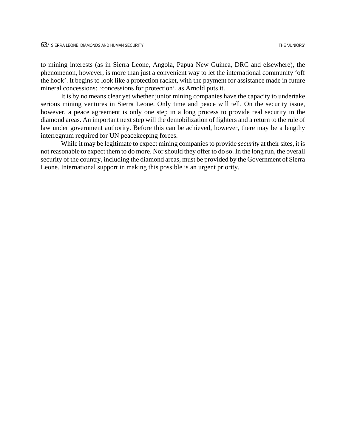to mining interests (as in Sierra Leone, Angola, Papua New Guinea, DRC and elsewhere), the phenomenon, however, is more than just a convenient way to let the international community 'off the hook'. It begins to look like a protection racket, with the payment for assistance made in future mineral concessions: 'concessions for protection', as Arnold puts it.

It is by no means clear yet whether junior mining companies have the capacity to undertake serious mining ventures in Sierra Leone. Only time and peace will tell. On the security issue, however, a peace agreement is only one step in a long process to provide real security in the diamond areas. An important next step will the demobilization of fighters and a return to the rule of law under government authority. Before this can be achieved, however, there may be a lengthy interregnum required for UN peacekeeping forces.

While it may be legitimate to expect mining companies to provide *security* at their sites, it is not reasonable to expect them to do more. Nor should they offer to do so. In the long run, the overall security of the country, including the diamond areas, must be provided by the Government of Sierra Leone. International support in making this possible is an urgent priority.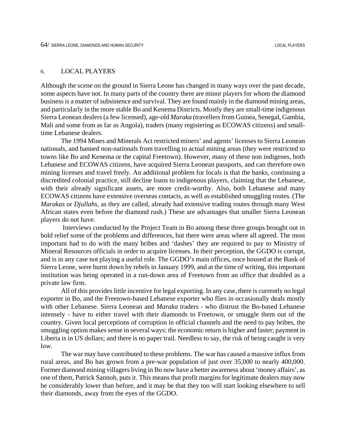## 6. LOCAL PLAYERS

Although the scene on the ground in Sierra Leone has changed in many ways over the past decade, some aspects have not. In many parts of the country there are minor players for whom the diamond business is a matter of subsistence and survival. They are found mainly in the diamond mining areas, and particularly in the more stable Bo and Kenema Districts. Mostly they are small-time indigenous Sierra Leonean dealers (a few licensed), age-old *Maraka* (travellers from Guinea, Senegal, Gambia, Mali and some from as far as Angola), traders (many registering as ECOWAS citizens) and smalltime Lebanese dealers.

The 1994 Mines and Minerals Act restricted miners' and agents' licenses to Sierra Leonean nationals, and banned non-nationals from travelling to actual mining areas (they were restricted to towns like Bo and Kenema or the capital Freetown). However, many of these non indigenes, both Lebanese and ECOWAS citizens, have acquired Sierra Leonean passports, and can therefore own mining licenses and travel freely. An additional problem for locals is that the banks, continuing a discredited colonial practice, still decline loans to indigenous players, claiming that the Lebanese, with their already significant assets, are more credit-worthy. Also, both Lebanese and many ECOWAS citizens have extensive overseas contacts, as well as established smuggling routes. (The *Marakas* or *Djullahs*, as they are called, already had extensive trading routes through many West African states even before the diamond rush.) These are advantages that smaller Sierra Leonean players do not have.

 Interviews conducted by the Project Team in Bo among these three groups brought out in bold relief some of the problems and differences, but there were areas where all agreed. The most important had to do with the many bribes and 'dashes' they are required to pay to Ministry of Mineral Resources officials in order to acquire licenses. In their perception, the GGDO is corrupt, and is in any case not playing a useful role. The GGDO's main offices, once housed at the Bank of Sierra Leone, were burnt down by rebels in January 1999, and at the time of writing, this important institution was being operated in a run-down area of Freetown from an office that doubled as a private law firm.

All of this provides little incentive for legal exporting. In any case, there is currently no legal exporter in Bo, and the Freetown-based Lebanese exporter who flies in occasionally deals mostly with other Lebanese. Sierra Leonean and *Maraka* traders - who distrust the Bo-based Lebanese intensely - have to either travel with their diamonds to Freetown, or smuggle them out of the country. Given local perceptions of corruption in official channels and the need to pay bribes, the smuggling option makes sense in several ways: the economic return is higher and faster; payment in Liberia is in US dollars; and there is no paper trail. Needless to say, the risk of being caught is very low.

The war may have contributed to these problems. The war has caused a massive influx from rural areas, and Bo has grown from a pre-war population of just over 35,000 to nearly 400,000. Former diamond mining villagers living in Bo now have a better awareness about 'money affairs', as one of them, Patrick Sannoh, puts it. This means that profit margins for legitimate dealers may now be considerably lower than before, and it may be that they too will start looking elsewhere to sell their diamonds, away from the eyes of the GGDO.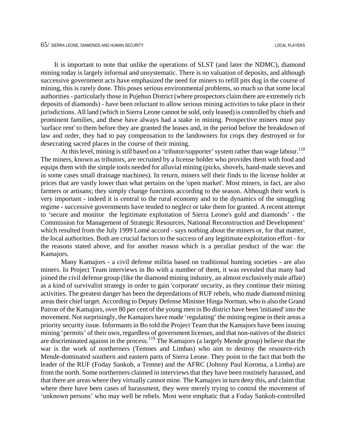It is important to note that unlike the operations of SLST (and later the NDMC), diamond mining today is largely informal and unsystematic. There is no valuation of deposits, and although successive government acts have emphasized the need for miners to refill pits dug in the course of mining, this is rarely done. This poses serious environmental problems, so much so that some local authorities - particularly those in Pujehun District (where prospectors claim there are extremely rich deposits of diamonds) - have been reluctant to allow serious mining activities to take place in their jurisdictions. All land (which in Sierra Leone cannot be sold, only leased) is controlled by chiefs and prominent families, and these have always had a stake in mining. Prospective miners must pay 'surface rent' to them before they are granted the leases and, in the period before the breakdown of law and order, they had to pay compensation to the landowners for crops they destroyed or for desecrating sacred places in the course of their mining.

At this level, mining is still based on a 'tributor/supporter' system rather than wage labour.<sup>1[18](#page-98-0)</sup> The miners, known as tributors, are recruited by a license holder who provides them with food and equips them with the simple tools needed for alluvial mining (picks, shovels, hand-made sieves and in some cases small drainage machines). In return, miners sell their finds to the license holder at prices that are vastly lower than what pertains on the 'open market'. Most miners, in fact, are also farmers or artisans; they simply change functions according to the season. Although their work is very important - indeed it is central to the rural economy and to the dynamics of the smuggling regime - successive governments have tended to neglect or take them for granted. A recent attempt to 'secure and monitor the legitimate exploitation of Sierra Leone's gold and diamonds' - the Commission for Management of Strategic Resources, National Reconstruction and Development' which resulted from the July 1999 Lomé accord - says nothing about the miners or, for that matter, the local authorities. Both are crucial factors to the success of any legitimate exploitation effort - for the reasons stated above, and for another reason which is a peculiar product of the war: the Kamajors.

Many Kamajors - a civil defense militia based on traditional hunting societies - are also miners. In Project Team interviews in Bo with a number of them, it was revealed that many had joined the civil defense group (like the diamond mining industry, an almost exclusively male affair) as a kind of survivalist strategy in order to gain 'corporate' security, as they continue their mining activities. The greatest danger has been the depredations of RUF rebels, who made diamond mining areas their chief target. According to Deputy Defense Minister Hinga Norman, who is also the Grand Patron of the Kamajors, over 80 per cent of the young men in Bo district have been 'initiated' into the movement. Not surprisingly, the Kamajors have made 'regulating' the mining regime in their areas a priority security issue. Informants in Bo told the Project Team that the Kamajors have been issuing mining 'permits' of their own, regardless of government licenses, and that non-natives of the district are discriminated against in the process.<sup>119</sup> The Kamajors (a largely Mende group) believe that the war is the work of northerners (Temnes and Limbas) who aim to destroy the resource-rich Mende-dominated southern and eastern parts of Sierra Leone. They point to the fact that both the leader of the RUF (Foday Sankoh, a Temne) and the AFRC (Johnny Paul Koroma, a Limba) are from the north. Some northerners claimed in interviews that they have been routinely harassed, and that there are areas where they virtually cannot mine. The Kamajors in turn deny this, and claim that where there have been cases of harassment, they were merely trying to control the movement of 'unknown persons' who may well be rebels. Most were emphatic that a Foday Sankoh-controlled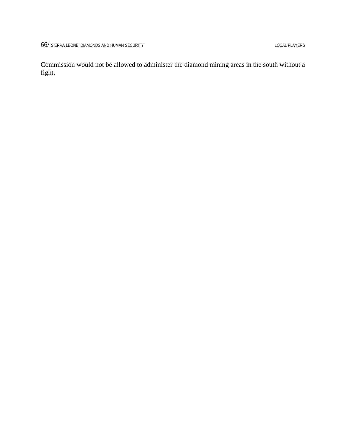Commission would not be allowed to administer the diamond mining areas in the south without a fight.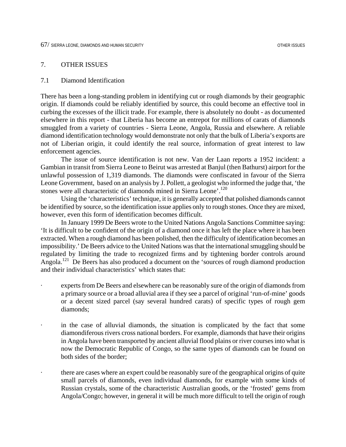### 7. OTHER ISSUES

### 7.1 Diamond Identification

There has been a long-standing problem in identifying cut or rough diamonds by their geographic origin. If diamonds could be reliably identified by source, this could become an effective tool in curbing the excesses of the illicit trade. For example, there is absolutely no doubt - as documented elsewhere in this report - that Liberia has become an entrepot for millions of carats of diamonds smuggled from a variety of countries - Sierra Leone, Angola, Russia and elsewhere. A reliable diamond identification technology would demonstrate not only that the bulk of Liberia's exports are not of Liberian origin, it could identify the real source, information of great interest to law enforcement agencies.

The issue of source identification is not new. Van der Laan reports a 1952 incident: a Gambian in transit from Sierra Leone to Beirut was arrested at Banjul (then Bathurst) airport for the unlawful possession of 1,319 diamonds. The diamonds were confiscated in favour of the Sierra Leone Government, based on an analysis by J. Pollett, a geologist who informed the judge that, 'the stones were all characteristic of diamonds mined in Sierra Leone'.<sup>12[0](#page-98-2)</sup>

Using the 'characteristics' technique, it is generally accepted that polished diamonds cannot be identified by source, so the identification issue applies only to rough stones. Once they are mixed, however, even this form of identification becomes difficult.

In January 1999 De Beers wrote to the United Nations Angola Sanctions Committee saying: 'It is difficult to be confident of the origin of a diamond once it has left the place where it has been extracted. When a rough diamond has been polished, then the difficulty of identification becomes an impossibility.' De Beers advice to the United Nations was that the international smuggling should be regulated by limiting the trade to recognized firms and by tightening border controls around Angola.12[1](#page-98-3) De Beers has also produced a document on the 'sources of rough diamond production and their individual characteristics' which states that:

- experts from De Beers and elsewhere can be reasonably sure of the origin of diamonds from a primary source or a broad alluvial area if they see a parcel of original 'run-of-mine' goods or a decent sized parcel (say several hundred carats) of specific types of rough gem diamonds;
- in the case of alluvial diamonds, the situation is complicated by the fact that some diamondiferous rivers cross national borders. For example, diamonds that have their origins in Angola have been transported by ancient alluvial flood plains or river courses into what is now the Democratic Republic of Congo, so the same types of diamonds can be found on both sides of the border;
	- there are cases where an expert could be reasonably sure of the geographical origins of quite small parcels of diamonds, even individual diamonds, for example with some kinds of Russian crystals, some of the characteristic Australian goods, or the 'frosted' gems from Angola/Congo; however, in general it will be much more difficult to tell the origin of rough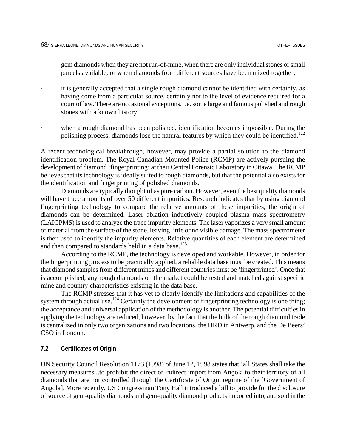gem diamonds when they are not run-of-mine, when there are only individual stones or small parcels available, or when diamonds from different sources have been mixed together;

it is generally accepted that a single rough diamond cannot be identified with certainty, as having come from a particular source, certainly not to the level of evidence required for a court of law. There are occasional exceptions, i.e. some large and famous polished and rough stones with a known history.

when a rough diamond has been polished, identification becomes impossible. During the polishing process, diamonds lose the natural features by which they could be identified.<sup>1[2](#page-98-4)2</sup>

A recent technological breakthrough, however, may provide a partial solution to the diamond identification problem. The Royal Canadian Mounted Police (RCMP) are actively pursuing the development of diamond 'fingerprinting' at their Central Forensic Laboratory in Ottawa. The RCMP believes that its technology is ideally suited to rough diamonds, but that the potential also exists for the identification and fingerprinting of polished diamonds.

Diamonds are typically thought of as pure carbon. However, even the best quality diamonds will have trace amounts of over 50 different impurities. Research indicates that by using diamond fingerprinting technology to compare the relative amounts of these impurities, the origin of diamonds can be determined. Laser ablation inductively coupled plasma mass spectrometry (LAICPMS) is used to analyze the trace impurity elements. The laser vaporizes a very small amount of material from the surface of the stone, leaving little or no visible damage. The mass spectrometer is then used to identify the impurity elements. Relative quantities of each element are determined and then compared to standards held in a data base.<sup>12[3](#page-98-5)</sup>

According to the RCMP, the technology is developed and workable. However, in order for the fingerprinting process to be practically applied, a reliable data base must be created. This means that diamond samples from different mines and different countries must be 'fingerprinted'. Once that is accomplished, any rough diamonds on the market could be tested and matched against specific mine and country characteristics existing in the data base.

The RCMP stresses that it has yet to clearly identify the limitations and capabilities of the system through actual use.<sup>124</sup> Certainly the development of fingerprinting technology is one thing; the acceptance and universal application of the methodology is another. The potential difficulties in applying the technology are reduced, however, by the fact that the bulk of the rough diamond trade is centralized in only two organizations and two locations, the HRD in Antwerp, and the De Beers' CSO in London.

## **7.2 Certificates of Origin**

UN Security Council Resolution 1173 (1998) of June 12, 1998 states that 'all States shall take the necessary measures...to prohibit the direct or indirect import from Angola to their territory of all diamonds that are not controlled through the Certificate of Origin regime of the [Government of Angola]. More recently, US Congressman Tony Hall introduced a bill to provide for the disclosure of source of gem-quality diamonds and gem-quality diamond products imported into, and sold in the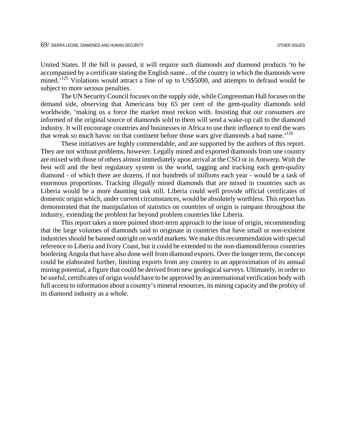United States. If the bill is passed, it will require such diamonds and diamond products 'to be accompanied by a certificate stating the English name... of the country in which the diamonds were mined.<sup>125</sup> Violations would attract a fine of up to US\$5000, and attempts to defraud would be subject to more serious penalties.

The UN Security Council focuses on the supply side, while Congressman Hall focuses on the demand side, observing that Americans buy 65 per cent of the gem-quality diamonds sold worldwide, 'making us a force the market must reckon with. Insisting that our consumers are informed of the original source of diamonds sold to them will send a wake-up call to the diamond industry. It will encourage countries and businesses in Africa to use their influence to end the wars that wreak so much havoc on that continent before those wars give diamonds a bad name.<sup>12[6](#page-98-8)</sup>

These initiatives are highly commendable, and are supported by the authors of this report. They are not without problems, however. Legally mined and exported diamonds from one country are mixed with those of others almost immediately upon arrival at the CSO or in Antwerp. With the best will and the best regulatory system in the world, tagging and tracking each gem-quality diamond - of which there are dozens, if not hundreds of millions each year - would be a task of enormous proportions. Tracking *illegally* mined diamonds that are mixed in countries such as Liberia would be a more daunting task still. Liberia could well provide official certificates of domestic origin which, under current circumstances, would be absolutely worthless. This report has demonstrated that the manipulation of statistics on countries of origin is rampant throughout the industry, extending the problem far beyond problem countries like Liberia.

This report takes a more pointed short-term approach to the issue of origin, recommending that the large volumes of diamonds said to originate in countries that have small or non-existent industries should be banned outright on world markets. We make this recommendation with special reference to Liberia and Ivory Coast, but it could be extended to the non-diamondiferous countries bordering Angola that have also done well from diamond exports. Over the longer term, the concept could be elaborated further, limiting exports from any country to an approximation of its annual mining potential, a figure that could be derived from new geological surveys. Ultimately, in order to be useful, certificates of origin would have to be approved by an international verification body with full access to information about a country's mineral resources, its mining capacity and the probity of its diamond industry as a whole.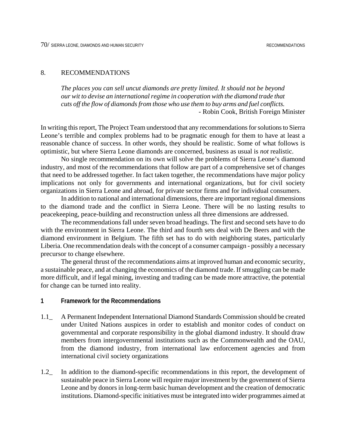### 8. RECOMMENDATIONS

*The places you can sell uncut diamonds are pretty limited. It should not be beyond our wit to devise an international regime in cooperation with the diamond trade that cuts off the flow of diamonds from those who use them to buy arms and fuel conflicts.* - Robin Cook, British Foreign Minister

In writing this report, The Project Team understood that any recommendations for solutions to Sierra Leone's terrible and complex problems had to be pragmatic enough for them to have at least a reasonable chance of success. In other words, they should be realistic. Some of what follows is optimistic, but where Sierra Leone diamonds are concerned, business as usual is *not* realistic.

No single recommendation on its own will solve the problems of Sierra Leone's diamond industry, and most of the recommendations that follow are part of a comprehensive set of changes that need to be addressed together. In fact taken together, the recommendations have major policy implications not only for governments and international organizations, but for civil society organizations in Sierra Leone and abroad, for private sector firms and for individual consumers.

In addition to national and international dimensions, there are important regional dimensions to the diamond trade and the conflict in Sierra Leone. There will be no lasting results to peacekeeping, peace-building and reconstruction unless all three dimensions are addressed.

The recommendations fall under seven broad headings. The first and second sets have to do with the environment in Sierra Leone. The third and fourth sets deal with De Beers and with the diamond environment in Belgium. The fifth set has to do with neighboring states, particularly Liberia. One recommendation deals with the concept of a consumer campaign - possibly a necessary precursor to change elsewhere.

The general thrust of the recommendations aims at improved human and economic security, a sustainable peace, and at changing the economics of the diamond trade. If smuggling can be made more difficult, and if legal mining, investing and trading can be made more attractive, the potential for change can be turned into reality.

#### **1 Framework for the Recommendations**

- 1.1\_ A Permanent Independent International Diamond Standards Commission should be created under United Nations auspices in order to establish and monitor codes of conduct on governmental and corporate responsibility in the global diamond industry. It should draw members from intergovernmental institutions such as the Commonwealth and the OAU, from the diamond industry, from international law enforcement agencies and from international civil society organizations
- 1.2\_ In addition to the diamond-specific recommendations in this report, the development of sustainable peace in Sierra Leone will require major investment by the government of Sierra Leone and by donors in long-term basic human development and the creation of democratic institutions. Diamond-specific initiatives must be integrated into wider programmes aimed at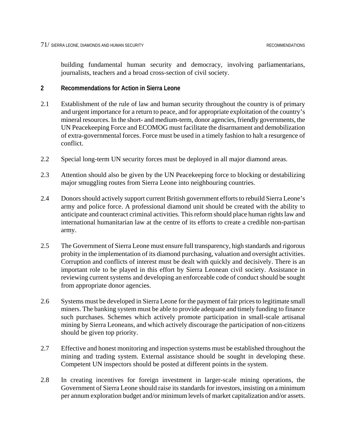building fundamental human security and democracy, involving parliamentarians, journalists, teachers and a broad cross-section of civil society.

## **2 Recommendations for Action in Sierra Leone**

- 2.1 Establishment of the rule of law and human security throughout the country is of primary and urgent importance for a return to peace, and for appropriate exploitation of the country's mineral resources. In the short- and medium-term, donor agencies, friendly governments, the UN Peacekeeping Force and ECOMOG must facilitate the disarmament and demobilization of extra-governmental forces. Force must be used in a timely fashion to halt a resurgence of conflict.
- 2.2 Special long-term UN security forces must be deployed in all major diamond areas.
- 2.3 Attention should also be given by the UN Peacekeeping force to blocking or destabilizing major smuggling routes from Sierra Leone into neighbouring countries.
- 2.4 Donors should actively support current British government efforts to rebuild Sierra Leone's army and police force. A professional diamond unit should be created with the ability to anticipate and counteract criminal activities. This reform should place human rights law and international humanitarian law at the centre of its efforts to create a credible non-partisan army.
- 2.5 The Government of Sierra Leone must ensure full transparency, high standards and rigorous probity in the implementation of its diamond purchasing, valuation and oversight activities. Corruption and conflicts of interest must be dealt with quickly and decisively. There is an important role to be played in this effort by Sierra Leonean civil society. Assistance in reviewing current systems and developing an enforceable code of conduct should be sought from appropriate donor agencies.
- 2.6 Systems must be developed in Sierra Leone for the payment of fair prices to legitimate small miners. The banking system must be able to provide adequate and timely funding to finance such purchases. Schemes which actively promote participation in small-scale artisanal mining by Sierra Leoneans, and which actively discourage the participation of non-citizens should be given top priority.
- 2.7 Effective and honest monitoring and inspection systems must be established throughout the mining and trading system. External assistance should be sought in developing these. Competent UN inspectors should be posted at different points in the system.
- 2.8 In creating incentives for foreign investment in larger-scale mining operations, the Government of Sierra Leone should raise its standards for investors, insisting on a minimum per annum exploration budget and/or minimum levels of market capitalization and/or assets.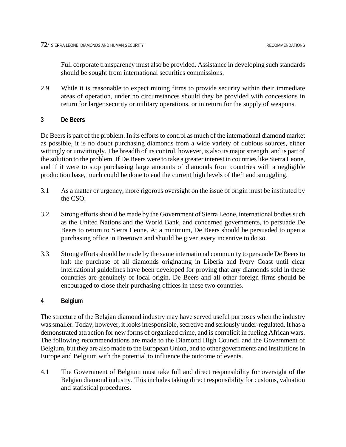Full corporate transparency must also be provided. Assistance in developing such standards should be sought from international securities commissions.

2.9 While it is reasonable to expect mining firms to provide security within their immediate areas of operation, under no circumstances should they be provided with concessions in return for larger security or military operations, or in return for the supply of weapons.

## **3 De Beers**

De Beers is part of the problem. In its efforts to control as much of the international diamond market as possible, it is no doubt purchasing diamonds from a wide variety of dubious sources, either wittingly or unwittingly. The breadth of its control, however, is also its major strength, and is part of the solution to the problem. If De Beers were to take a greater interest in countries like Sierra Leone, and if it were to stop purchasing large amounts of diamonds from countries with a negligible production base, much could be done to end the current high levels of theft and smuggling.

- 3.1 As a matter or urgency, more rigorous oversight on the issue of origin must be instituted by the CSO.
- 3.2 Strong efforts should be made by the Government of Sierra Leone, international bodies such as the United Nations and the World Bank, and concerned governments, to persuade De Beers to return to Sierra Leone. At a minimum, De Beers should be persuaded to open a purchasing office in Freetown and should be given every incentive to do so.
- 3.3 Strong efforts should be made by the same international community to persuade De Beers to halt the purchase of all diamonds originating in Liberia and Ivory Coast until clear international guidelines have been developed for proving that any diamonds sold in these countries are genuinely of local origin. De Beers and all other foreign firms should be encouraged to close their purchasing offices in these two countries.

## **4 Belgium**

The structure of the Belgian diamond industry may have served useful purposes when the industry was smaller. Today, however, it looks irresponsible, secretive and seriously under-regulated. It has a demonstrated attraction for new forms of organized crime, and is complicit in fueling African wars. The following recommendations are made to the Diamond High Council and the Government of Belgium, but they are also made to the European Union, and to other governments and institutions in Europe and Belgium with the potential to influence the outcome of events.

4.1 The Government of Belgium must take full and direct responsibility for oversight of the Belgian diamond industry. This includes taking direct responsibility for customs, valuation and statistical procedures.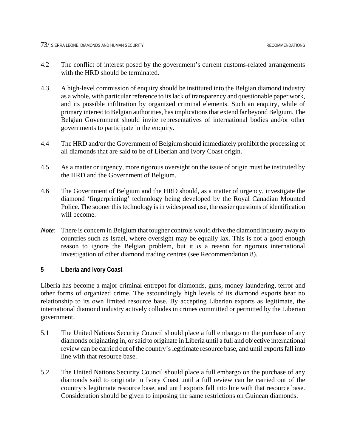- 4.2 The conflict of interest posed by the government's current customs-related arrangements with the HRD should be terminated.
- 4.3 A high-level commission of enquiry should be instituted into the Belgian diamond industry as a whole, with particular reference to its lack of transparency and questionable paper work, and its possible infiltration by organized criminal elements. Such an enquiry, while of primary interest to Belgian authorities, has implications that extend far beyond Belgium. The Belgian Government should invite representatives of international bodies and/or other governments to participate in the enquiry.
- 4.4 The HRD and/or the Government of Belgium should immediately prohibit the processing of all diamonds that are said to be of Liberian and Ivory Coast origin.
- 4.5 As a matter or urgency, more rigorous oversight on the issue of origin must be instituted by the HRD and the Government of Belgium.
- 4.6 The Government of Belgium and the HRD should, as a matter of urgency, investigate the diamond 'fingerprinting' technology being developed by the Royal Canadian Mounted Police. The sooner this technology is in widespread use, the easier questions of identification will become.
- *Note*: There is concern in Belgium that tougher controls would drive the diamond industry away to countries such as Israel, where oversight may be equally lax. This is not a good enough reason to ignore the Belgian problem, but it *is* a reason for rigorous international investigation of other diamond trading centres (see Recommendation 8).

#### **5 Liberia and Ivory Coast**

Liberia has become a major criminal entrepot for diamonds, guns, money laundering, terror and other forms of organized crime. The astoundingly high levels of its diamond exports bear no relationship to its own limited resource base. By accepting Liberian exports as legitimate, the international diamond industry actively colludes in crimes committed or permitted by the Liberian government.

- 5.1 The United Nations Security Council should place a full embargo on the purchase of any diamonds originating in, or said to originate in Liberia until a full and objective international review can be carried out of the country's legitimate resource base, and until exports fall into line with that resource base.
- 5.2 The United Nations Security Council should place a full embargo on the purchase of any diamonds said to originate in Ivory Coast until a full review can be carried out of the country's legitimate resource base, and until exports fall into line with that resource base. Consideration should be given to imposing the same restrictions on Guinean diamonds.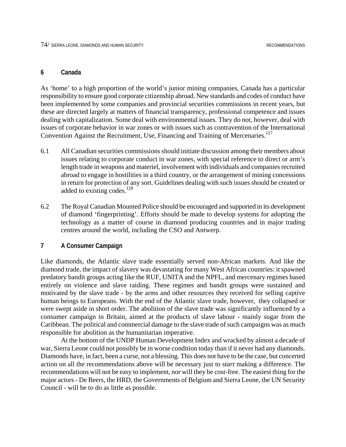#### **6 Canada**

As 'home' to a high proportion of the world's junior mining companies, Canada has a particular responsibility to ensure good corporate citizenship abroad. New standards and codes of conduct have been implemented by some companies and provincial securities commissions in recent years, but these are directed largely at matters of financial transparency, professional competence and issues dealing with capitalization. Some deal with environmental issues. They do not, however, deal with issues of corporate behavior in war zones or with issues such as contravention of the International Convention Against the Recruitment, Use, Financing and Training of Mercenaries.<sup>12[7](#page-98-9)</sup>

- 6.1 All Canadian securities commissions should initiate discussion among their members about issues relating to corporate conduct in war zones, with special reference to direct or arm's length trade in weapons and materiel, involvement with individuals and companies recruited abroad to engage in hostilities in a third country, or the arrangement of mining concessions in return for protection of any sort. Guidelines dealing with such issues should be created or added to existing codes.<sup>12[8](#page-98-10)</sup>
- 6.2 The Royal Canadian Mounted Police should be encouraged and supported in its development of diamond 'fingerprinting'. Efforts should be made to develop systems for adopting the technology as a matter of course in diamond producing countries and in major trading centres around the world, including the CSO and Antwerp.

#### **7 A Consumer Campaign**

Like diamonds, the Atlantic slave trade essentially served non-African markets. And like the diamond trade, the impact of slavery was devastating for many West African countries: it spawned predatory bandit groups acting like the RUF, UNITA and the NPFL, and mercenary regimes based entirely on violence and slave raiding. These regimes and bandit groups were sustained and motivated by the slave trade - by the arms and other resources they received for selling captive human beings to Europeans. With the end of the Atlantic slave trade, however, they collapsed or were swept aside in short order. The abolition of the slave trade was significantly influenced by a consumer campaign in Britain, aimed at the products of slave labour - mainly sugar from the Caribbean. The political and commercial damage to the slave trade of such campaigns was as much responsible for abolition as the humanitarian imperative.

At the bottom of the UNDP Human Development Index and wracked by almost a decade of war, Sierra Leone could not possibly be in worse condition today than if it never had any diamonds. Diamonds have, in fact, been a curse, not a blessing. This does not have to be the case, but concerted action on all the recommendations above will be necessary just to *start* making a difference. The recommendations will not be easy to implement, nor will they be cost-free. The easiest thing for the major actors - De Beers, the HRD, the Governments of Belgium and Sierra Leone, the UN Security Council - will be to do as little as possible.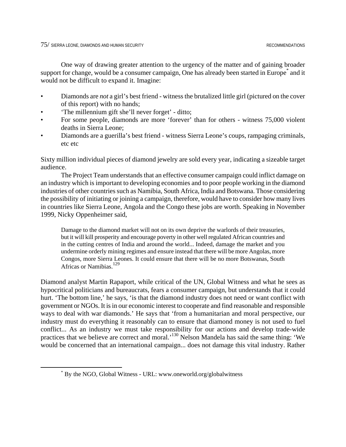One way of drawing greater attention to the urgency of the matter and of gaining broader support for change, would be a consumer campaign, One has already been started in Europe<sup>[\\*](#page-82-0)</sup> and it would not be difficult to expand it. Imagine:

- Diamonds are *not* a girl's best friend witness the brutalized little girl (pictured on the cover of this report) with no hands;
- 'The millennium gift she'll never forget' ditto;
- For some people, diamonds are more 'forever' than for others witness 75,000 violent deaths in Sierra Leone;
- Diamonds are a guerilla's best friend witness Sierra Leone's coups, rampaging criminals, etc etc

Sixty million individual pieces of diamond jewelry are sold every year, indicating a sizeable target audience.

The Project Team understands that an effective consumer campaign could inflict damage on an industry which is important to developing economies and to poor people working in the diamond industries of other countries such as Namibia, South Africa, India and Botswana. Those considering the possibility of initiating or joining a campaign, therefore, would have to consider how many lives in countries like Sierra Leone, Angola and the Congo these jobs are worth. Speaking in November 1999, Nicky Oppenheimer said,

Damage to the diamond market will not on its own deprive the warlords of their treasuries, but it will kill prosperity and encourage poverty in other well regulated African countries and in the cutting centres of India and around the world... Indeed, damage the market and you undermine orderly mining regimes and ensure instead that there will be more Angolas, more Congos, more Sierra Leones. It could ensure that there will be no more Botswanas, South Africas or Namibias.<sup>12[9](#page-98-11)</sup>

Diamond analyst Martin Rapaport, while critical of the UN, Global Witness and what he sees as hypocritical politicians and bureaucrats, fears a consumer campaign, but understands that it could hurt. 'The bottom line,' he says, 'is that the diamond industry does not need or want conflict with government or NGOs. It is in our economic interest to cooperate and find reasonable and responsible ways to deal with war diamonds.' He says that 'from a humanitarian and moral perspective, our industry must do everything it reasonably can to ensure that diamond money is not used to fuel conflict... As an industry we must take responsibility for our actions and develop trade-wide practices that we believe are correct and moral.'13[0](#page-98-12) Nelson Mandela has said the same thing: 'We would be concerned that an international campaign... does not damage this vital industry. Rather

 $\overline{a}$ 

<span id="page-82-0"></span><sup>\*</sup> By the NGO, Global Witness - URL: www.oneworld.org/globalwitness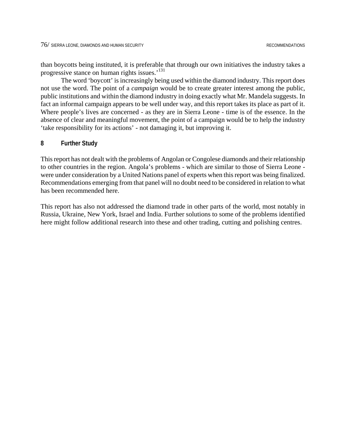than boycotts being instituted, it is preferable that through our own initiatives the industry takes a progressive stance on human rights issues.'1[31](#page-98-13)

The word 'boycott' is increasingly being used within the diamond industry. This report does not use the word. The point of a *campaign* would be to create greater interest among the public, public institutions and within the diamond industry in doing exactly what Mr. Mandela suggests. In fact an informal campaign appears to be well under way, and this report takes its place as part of it. Where people's lives are concerned - as they are in Sierra Leone - time is of the essence. In the absence of clear and meaningful movement, the point of a campaign would be to help the industry 'take responsibility for its actions' - not damaging it, but improving it.

#### **8 Further Study**

This report has not dealt with the problems of Angolan or Congolese diamonds and their relationship to other countries in the region. Angola's problems - which are similar to those of Sierra Leone were under consideration by a United Nations panel of experts when this report was being finalized. Recommendations emerging from that panel will no doubt need to be considered in relation to what has been recommended here.

This report has also not addressed the diamond trade in other parts of the world, most notably in Russia, Ukraine, New York, Israel and India. Further solutions to some of the problems identified here might follow additional research into these and other trading, cutting and polishing centres.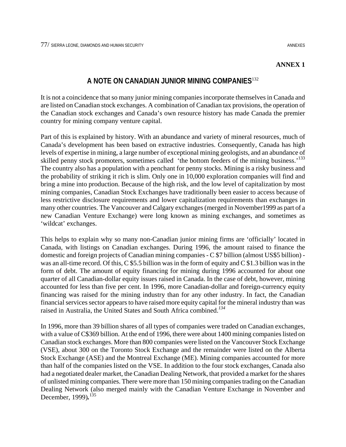### **ANNEX 1**

# **A NOTE ON CANADIAN JUNIOR MINING COMPANIES**13[2](#page-98-14)

It is not a coincidence that so many junior mining companies incorporate themselves in Canada and are listed on Canadian stock exchanges. A combination of Canadian tax provisions, the operation of the Canadian stock exchanges and Canada's own resource history has made Canada the premier country for mining company venture capital.

Part of this is explained by history. With an abundance and variety of mineral resources, much of Canada's development has been based on extractive industries. Consequently, Canada has high levels of expertise in mining, a large number of exceptional mining geologists, and an abundance of skilled penny stock promoters, sometimes called 'the bottom feeders of the mining business.<sup>133</sup> The country also has a population with a penchant for penny stocks. Mining is a risky business and the probability of striking it rich is slim. Only one in 10,000 exploration companies will find and bring a mine into production. Because of the high risk, and the low level of capitalization by most mining companies, Canadian Stock Exchanges have traditionally been easier to access because of less restrictive disclosure requirements and lower capitalization requirements than exchanges in many other countries. The Vancouver and Calgary exchanges (merged in November1999 as part of a new Canadian Venture Exchange) were long known as mining exchanges, and sometimes as 'wildcat' exchanges.

This helps to explain why so many non-Canadian junior mining firms are 'officially' located in Canada, with listings on Canadian exchanges. During 1996, the amount raised to finance the domestic and foreign projects of Canadian mining companies - C \$7 billion (almost US\$5 billion) was an all-time record. Of this, C \$5.5 billion was in the form of equity and C \$1.3 billion was in the form of debt. The amount of equity financing for mining during 1996 accounted for about one quarter of all Canadian-dollar equity issues raised in Canada. In the case of debt, however, mining accounted for less than five per cent. In 1996, more Canadian-dollar and foreign-currency equity financing was raised for the mining industry than for any other industry. In fact, the Canadian financial services sector appears to have raised more equity capital for the mineral industry than was raised in Australia, the United States and South Africa combined.*13[4](#page-98-16)*

In 1996, more than 39 billion shares of all types of companies were traded on Canadian exchanges, with a value of C\$369 billion. At the end of 1996, there were about 1400 mining companies listed on Canadian stock exchanges. More than 800 companies were listed on the Vancouver Stock Exchange (VSE), about 300 on the Toronto Stock Exchange and the remainder were listed on the Alberta Stock Exchange (ASE) and the Montreal Exchange (ME). Mining companies accounted for more than half of the companies listed on the VSE. In addition to the four stock exchanges, Canada also had a negotiated dealer market, the Canadian Dealing Network, that provided a market for the shares of unlisted mining companies. There were more than 150 mining companies trading on the Canadian Dealing Network (also merged mainly with the Canadian Venture Exchange in November and December, 1999)*.* 13[5](#page-98-17)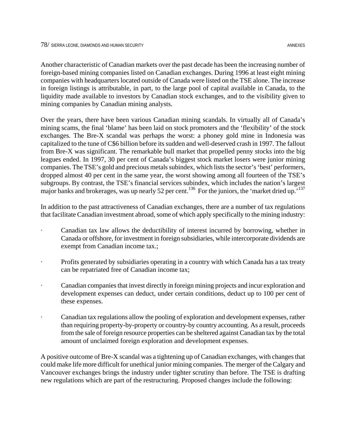Another characteristic of Canadian markets over the past decade has been the increasing number of foreign-based mining companies listed on Canadian exchanges. During 1996 at least eight mining companies with headquarters located outside of Canada were listed on the TSE alone. The increase in foreign listings is attributable, in part, to the large pool of capital available in Canada, to the liquidity made available to investors by Canadian stock exchanges, and to the visibility given to mining companies by Canadian mining analysts.

Over the years, there have been various Canadian mining scandals. In virtually all of Canada's mining scams, the final 'blame' has been laid on stock promoters and the 'flexibility' of the stock exchanges. The Bre-X scandal was perhaps the worst: a phoney gold mine in Indonesia was capitalized to the tune of C\$6 billion before its sudden and well-deserved crash in 1997. The fallout from Bre-X was significant. The remarkable bull market that propelled penny stocks into the big leagues ended. In 1997, 30 per cent of Canada's biggest stock market losers were junior mining companies. The TSE's gold and precious metals subindex, which lists the sector's 'best' performers, dropped almost 40 per cent in the same year, the worst showing among all fourteen of the TSE's subgroups. By contrast, the TSE's financial services subindex, which includes the nation's largest major banks and brokerages, was up nearly 52 per cent.<sup>136</sup> For the juniors, the 'market dried up.<sup>513[7](#page-98-19)</sup>

In addition to the past attractiveness of Canadian exchanges, there are a number of tax regulations that facilitate Canadian investment abroad, some of which apply specifically to the mining industry:

- Canadian tax law allows the deductibility of interest incurred by borrowing, whether in Canada or offshore, for investment in foreign subsidiaries, while intercorporate dividends are exempt from Canadian income tax.;
- Profits generated by subsidiaries operating in a country with which Canada has a tax treaty can be repatriated free of Canadian income tax;
- · Canadian companies that invest directly in foreign mining projects and incur exploration and development expenses can deduct, under certain conditions, deduct up to 100 per cent of these expenses.
- · Canadian tax regulations allow the pooling of exploration and development expenses, rather than requiring property-by-property or country-by country accounting. As a result, proceeds from the sale of foreign resource properties can be sheltered against Canadian tax by the total amount of unclaimed foreign exploration and development expenses.

A positive outcome of Bre-X scandal was a tightening up of Canadian exchanges, with changes that could make life more difficult for unethical junior mining companies. The merger of the Calgary and Vancouver exchanges brings the industry under tighter scrutiny than before. The TSE is drafting new regulations which are part of the restructuring. Proposed changes include the following: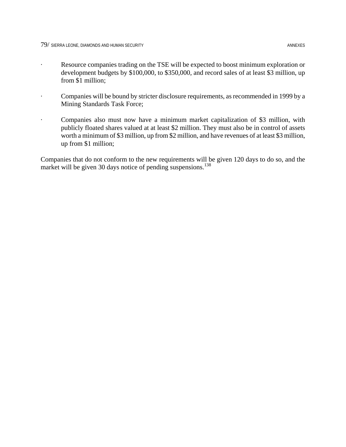- · Companies will be bound by stricter disclosure requirements, as recommended in 1999 by a Mining Standards Task Force;
- · Companies also must now have a minimum market capitalization of \$3 million, with publicly floated shares valued at at least \$2 million. They must also be in control of assets worth a minimum of \$3 million, up from \$2 million, and have revenues of at least \$3 million, up from \$1 million;

Companies that do not conform to the new requirements will be given 120 days to do so, and the market will be given 30 days notice of pending suspensions.<sup>13[8](#page-98-20)</sup>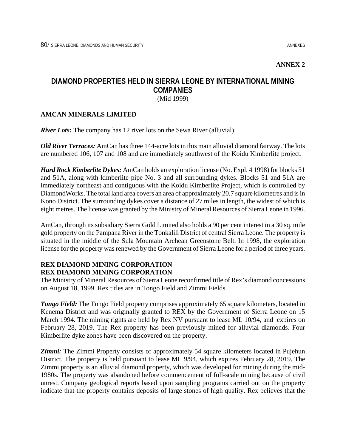## **ANNEX 2**

# **DIAMOND PROPERTIES HELD IN SIERRA LEONE BY INTERNATIONAL MINING COMPANIES** (Mid 1999)

## **AMCAN MINERALS LIMITED**

*River Lots:* The company has 12 river lots on the Sewa River (alluvial).

*Old River Terraces:* AmCan has three 144-acre lots in this main alluvial diamond fairway. The lots are numbered 106, 107 and 108 and are immediately southwest of the Koidu Kimberlite project.

*Hard Rock Kimberlite Dykes:* AmCan holds an exploration license (No. Expl. 4 1998) for blocks 51 and 51A, along with kimberlite pipe No. 3 and all surrounding dykes. Blocks 51 and 51A are immediately northeast and contiguous with the Koidu Kimberlite Project, which is controlled by DiamondWorks. The total land area covers an area of approximately 20.7 square kilometres and is in Kono District. The surrounding dykes cover a distance of 27 miles in length, the widest of which is eight metres. The license was granted by the Ministry of Mineral Resources of Sierra Leone in 1996.

AmCan, through its subsidiary Sierra Gold Limited also holds a 90 per cent interest in a 30 sq. mile gold property on the Pampana River in the Tonkalili District of central Sierra Leone. The property is situated in the middle of the Sula Mountain Archean Greenstone Belt. In 1998, the exploration license for the property was renewed by the Government of Sierra Leone for a period of three years.

# **REX DIAMOND MINING CORPORATION REX DIAMOND MINING CORPORATION**

The Ministry of Mineral Resources of Sierra Leone reconfirmed title of Rex's diamond concessions on August 18, 1999. Rex titles are in Tongo Field and Zimmi Fields.

*Tongo Field:* The Tongo Field property comprises approximately 65 square kilometers, located in Kenema District and was originally granted to REX by the Government of Sierra Leone on 15 March 1994. The mining rights are held by Rex NV pursuant to lease ML 10/94, and expires on February 28, 2019. The Rex property has been previously mined for alluvial diamonds. Four Kimberlite dyke zones have been discovered on the property.

**Zimmi:** The Zimmi Property consists of approximately 54 square kilometers located in Pujehun District. The property is held pursuant to lease ML 9/94, which expires February 28, 2019. The Zimmi property is an alluvial diamond property, which was developed for mining during the mid-1980s. The property was abandoned before commencement of full-scale mining because of civil unrest. Company geological reports based upon sampling programs carried out on the property indicate that the property contains deposits of large stones of high quality. Rex believes that the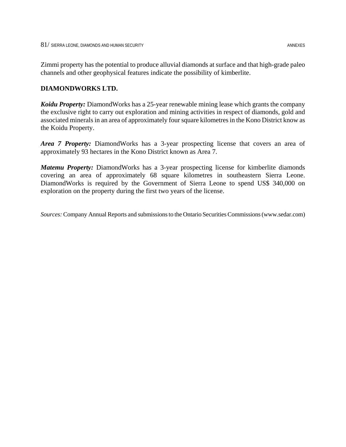Zimmi property has the potential to produce alluvial diamonds at surface and that high-grade paleo channels and other geophysical features indicate the possibility of kimberlite.

# **DIAMONDWORKS LTD.**

*Koidu Property:* DiamondWorks has a 25-year renewable mining lease which grants the company the exclusive right to carry out exploration and mining activities in respect of diamonds, gold and associated minerals in an area of approximately four square kilometres in the Kono District know as the Koidu Property.

*Area 7 Property:* DiamondWorks has a 3-year prospecting license that covers an area of approximately 93 hectares in the Kono District known as Area 7.

*Matemu Property:* DiamondWorks has a 3-year prospecting license for kimberlite diamonds covering an area of approximately 68 square kilometres in southeastern Sierra Leone. DiamondWorks is required by the Government of Sierra Leone to spend US\$ 340,000 on exploration on the property during the first two years of the license.

*Sources:* Company Annual Reports and submissions to the Ontario Securities Commissions (www.sedar.com)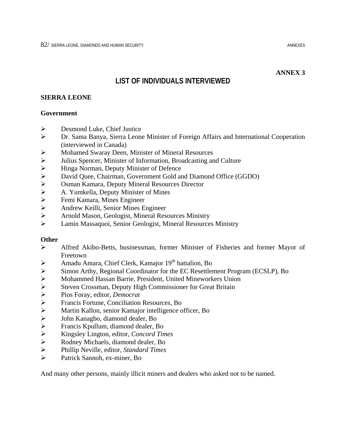### **ANNEX 3**

# **LIST OF INDIVIDUALS INTERVIEWED**

#### **SIERRA LEONE**

#### **Government**

- $\triangleright$  Desmond Luke, Chief Justice
- ¾ Dr. Sama Banya, Sierra Leone Minister of Foreign Affairs and International Cooperation (interviewed in Canada)
- ¾ Mohamed Swaray Deen, Minister of Mineral Resources
- ▶ <br/>\nJulius Spencer, Minister of Information, Broadcasting and Culture<br/>\nHinga Norman, Deputy Minister of Defense
- 
- → Hinga Norman, Deputy Minister of Defence<br>
→ David Quee, Chairman, Government Gold ar<br>
→ Osman Kamara, Deputy Mineral Resources I<br>
→ A. Yumkella, Deputy Minister of Mines David Quee, Chairman, Government Gold and Diamond Office (GGDO)
- ¾ Osman Kamara, Deputy Mineral Resources Director
- → A. Yumkella, Deputy Minister of Mines<br>
→ Femi Kamara, Mines Engineer
- ¾ Femi Kamara, Mines Engineer
- ¾ Andrew Keilli, Senior Mines Engineer
- ¾ Arnold Mason, Geologist, Mineral Resources Ministry
- ¾ Lamin Massaquoi, Senior Geologist, Mineral Resources Ministry

#### **Other**

- ¾ Alfred Akibo-Betts, businessman, former Minister of Fisheries and former Mayor of Freetown
- $\triangleright$  Amadu Amara, Chief Clerk, Kamajor 19<sup>th</sup> battalion, Bo
- ¾ Simon Arthy, Regional Coordinator for the EC Resettlement Program (ECSLP), Bo
- → Mohammed Hassan Barrie, President, United Mineworkers Union<br>
→ Steven Crossman, Deputy High Commissioner for Great Britain<br>
→ Fios Foray, editor, *Democrat*<br>
→ Francis Fortune, Conciliation Resources, Bo<br>
→ Martin Kallo
- Steven Crossman, Deputy High Commissioner for Great Britain
- ¾ Pios Foray, editor, *Democrat*
- ¾ Francis Fortune, Conciliation Resources, Bo
- ¾ Martin Kallon, senior Kamajor intelligence officer, Bo
- John Kanagbo, diamond dealer, Bo
- $\triangleright$  Francis Kpullum, diamond dealer, Bo<br> $\triangleright$  Kingsley Lington, editor, *Concord Tin*
- ¾ Kingsley Lington, editor, *Concord Times*
- ¾ Rodney Michaels, diamond dealer, Bo
- ¾ Phillip Neville, editor, *Standard Times*
- ¾ Patrick Sannoh, ex-miner, Bo

And many other persons, mainly illicit miners and dealers who asked not to be named.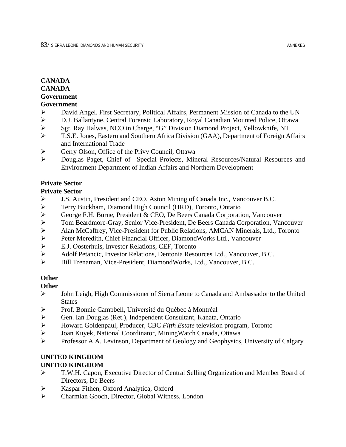# **CANADA CANADA Government**

## **Government**

- ¾ David Angel, First Secretary, Political Affairs, Permanent Mission of Canada to the UN
- ¾ D.J. Ballantyne, Central Forensic Laboratory, Royal Canadian Mounted Police, Ottawa
- ¾ Sgt. Ray Halwas, NCO in Charge, "G" Division Diamond Project, Yellowknife, NT
- ¾ T.S.E. Jones, Eastern and Southern Africa Division (GAA), Department of Foreign Affairs and International Trade
- ¾ Gerry Olson, Office of the Privy Council, Ottawa
- ¾ Douglas Paget, Chief of Special Projects, Mineral Resources/Natural Resources and Environment Department of Indian Affairs and Northern Development

# **Private Sector**

# **Private Sector**

- ¾ J.S. Austin, President and CEO, Aston Mining of Canada Inc., Vancouver B.C.
- ¾ Terry Buckham, Diamond High Council (HRD), Toronto, Ontario
- ¾ George F.H. Burne, President & CEO, De Beers Canada Corporation, Vancouver
- 
- ¾ Tom Beardmore-Gray, Senior Vice-President, De Beers Canada Corporation, Vancouver ¾ Alan McCaffrey, Vice-President for Public Relations, AMCAN Minerals, Ltd., Toronto
- Peter Meredith, Chief Financial Officer, DiamondWorks Ltd., Vancouver
- ¾ E.J. Oosterhuis, Investor Relations, CEF, Toronto
- ¾ Adolf Petancic, Investor Relations, Dentonia Resources Ltd., Vancouver, B.C.
- ¾ Bill Trenaman, Vice-President, DiamondWorks, Ltd., Vancouver, B.C.

# **Other**

# **Other**

- ¾ John Leigh, High Commissioner of Sierra Leone to Canada and Ambassador to the United **States**
- ¾ Prof. Bonnie Campbell, Université du Québec à Montréal
- ¾ Gen. Ian Douglas (Ret.), Independent Consultant, Kanata, Ontario
- ¾ Howard Goldenpaul, Producer, CBC *Fifth Estate* television program, Toronto
- ¾ Joan Kuyek, National Coordinator, MiningWatch Canada, Ottawa
- ¾ Professor A.A. Levinson, Department of Geology and Geophysics, University of Calgary

## **UNITED KINGDOM UNITED KINGDOM**

- ¾ T.W.H. Capon, Executive Director of Central Selling Organization and Member Board of Directors, De Beers
- ¾ Kaspar Fithen, Oxford Analytica, Oxford
- ¾ Charmian Gooch, Director, Global Witness, London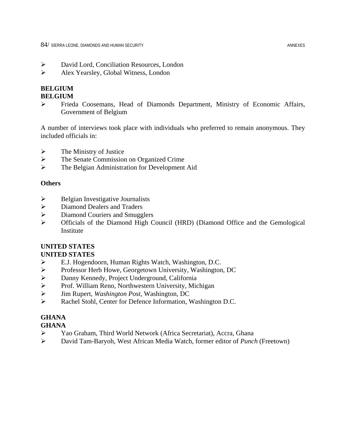- ¾ David Lord, Conciliation Resources, London
- ¾ Alex Yearsley, Global Witness, London

# **BELGIUM**

# **BELGIUM**

¾ Frieda Coosemans, Head of Diamonds Department, Ministry of Economic Affairs, Government of Belgium

A number of interviews took place with individuals who preferred to remain anonymous. They included officials in:

- $\triangleright$  The Ministry of Justice
- ¾ The Senate Commission on Organized Crime
- ¾ The Belgian Administration for Development Aid

# **Others**

- $\triangleright$  Belgian Investigative Journalists
- ¾ Diamond Dealers and Traders
- ¾ Diamond Couriers and Smugglers
- ¾ Officials of the Diamond High Council (HRD) (Diamond Office and the Gemological Institute

# **UNITED STATES**

# **UNITED STATES**

- ¾ E.J. Hogendoorn, Human Rights Watch, Washington, D.C.
- ¾ Professor Herb Howe, Georgetown University, Washington, DC
- ¾ Danny Kennedy, Project Underground, California
- ¾ Prof. William Reno, Northwestern University, Michigan
- ¾ Jim Rupert, *Washington Post*, Washington, DC
- ¾ Rachel Stohl, Center for Defence Information, Washington D.C.

# **GHANA**

# **GHANA**

- ¾ Yao Graham, Third World Network (Africa Secretariat), Accra, Ghana
- ¾ David Tam-Baryoh, West African Media Watch, former editor of *Punch* (Freetown)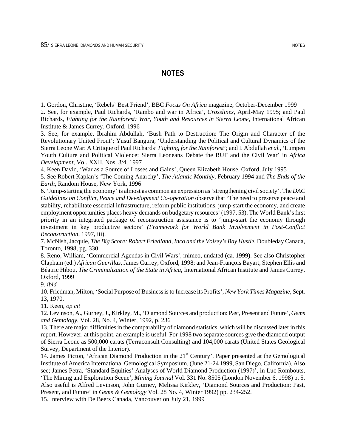# **NOTES**

4. Keen David, 'War as a Source of Losses and Gains', Queen Elizabeth House, Oxford, July 1995

5. See Robert Kaplan's 'The Coming Anarchy', *The Atlantic Monthly*, February 1994 and *The Ends of the Earth*, Random House, New York, 1996

6. 'Jump-starting the economy' is almost as common an expression as 'strengthening civil society'. The *DAC Guidelines on Conflict, Peace and Development Co-operation* observe that 'The need to preserve peace and stability, rehabilitate essential infrastructure, reform public institutions, jump-start the economy, and create employment opportunities places heavy demands on budgetary resources' (1997, 53). The World Bank's first priority in an integrated package of reconstruction assistance is to 'jump-start the economy through investment in key productive sectors' *(Framework for World Bank Involvement in Post-Conflict Reconstruction*, 1997, iii).

7. McNish, Jacquie, *The Big Score: Robert Friedland, Inco and the Voisey's Bay Hustle*, Doubleday Canada, Toronto, 1998, pg. 330.

8. Reno, William, 'Commercial Agendas in Civil Wars', mimeo, undated (ca. 1999). See also Christopher Clapham (ed.) *African Guerillas*, James Currey, Oxford, 1998; and Jean-François Bayart, Stephen Ellis and Béatric Hibou, *The Criminalization of the State in Africa*, International African Institute and James Currey, Oxford, 1999

9. *ibid*

1

10. Friedman, Milton, 'Social Purpose of Business is to Increase its Profits', *New York Times Magazine*, Sept. 13, 1970.

11. Keen, *op cit*

12. Levinson, A., Gurney, J., Kirkley, M., 'Diamond Sources and production: Past, Present and Future', *Gems and Gemology*, Vol. 28, No. 4, Winter, 1992, p. 236

13. There are major difficulties in the comparability of diamond statistics, which will be discussed later in this report. However, at this point, an example is useful. For 1998 two separate sources give the diamond output of Sierra Leone as 500,000 carats (Terraconsult Consulting) and 104,000 carats (United States Geological Survey, Department of the Interior).

14. James Picton, 'African Diamond Production in the 21<sup>st</sup> Century'. Paper presented at the Gemological Institute of America International Gemological Symposium, (June 21-24 1999, San Diego, California). Also see; James Petra, 'Standard Equities' Analyses of World Diamond Production (1997)', in Luc Rombouts, 'The Mining and Exploration Scene'*, Mining Journal* Vol. 331 No. 8505 (London November 6, 1998) p. 5. Also useful is Alfred Levinson, John Gurney, Melissa Kirkley, 'Diamond Sources and Production: Past, Present, and Future' in *Gems & Gemology* Vol. 28 No. 4, Winter 1992) pp. 234-252.

15. Interview with De Beers Canada, Vancouver on July 21, 1999

<sup>1.</sup> Gordon, Christine, 'Rebels' Best Friend', BBC *Focus On Africa* magazine, October-December 1999 2. See, for example, Paul Richards, 'Rambo and war in Africa', *Crosslines*, April-May 1995; and Paul Richards, *Fighting for the Rainforest: War, Youth and Resources in Sierra Leone*, International African Institute & James Currey, Oxford, 1996

<sup>3.</sup> See, for example, Ibrahim Abdullah, 'Bush Path to Destruction: The Origin and Character of the Revolutionary United Front'; Yusuf Bangura, 'Understanding the Political and Cultural Dynamics of the Sierra Leone War: A Critique of Paul Richards' *Fighting for the Rainforest*'; and I. Abdullah *et al.*, 'Lumpen Youth Culture and Political Violence: Sierra Leoneans Debate the RUF and the Civil War' in *Africa Development*, Vol. XXII, Nos. 3/4, 1997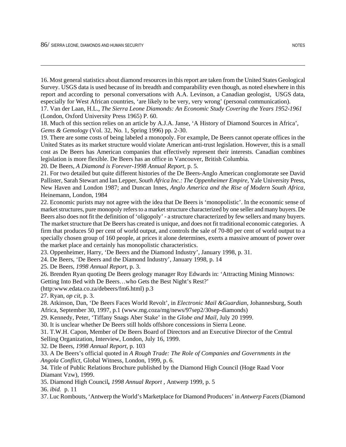$\overline{a}$ 

16. Most general statistics about diamond resources in this report are taken from the United States Geological Survey. USGS data is used because of its breadth and comparability even though, as noted elsewhere in this report and according to personal conversations with A.A. Levinson, a Canadian geologist, USGS data, especially for West African countries, 'are likely to be very, very wrong' (personal communication).

17. Van der Laan, H.L., *The Sierra Leone Diamonds: An Economic Study Covering the Years 1952-1961* (London, Oxford University Press 1965) P. 60.

18. Much of this section relies on an article by A.J.A. Janse, 'A History of Diamond Sources in Africa', *Gems & Gemology* (Vol. 32, No. 1, Spring 1996) pp. 2-30.

19. There are some costs of being labeled a monopoly. For example, De Beers cannot operate offices in the United States as its market structure would violate American anti-trust legislation. However, this is a small cost as De Beers has American companies that effectively represent their interests. Canadian combines legislation is more flexible. De Beers has an office in Vancouver, British Columbia.

20. De Beers, *A Diamond is Forever-1998 Annual Report*, p. 5.

21. For two detailed but quite different histories of the De Beers-Anglo American conglomorate see David Pallister, Sarah Stewart and Ian Lepper, *South Africa Inc.: The Oppenheimer Empire,* Yale University Press, New Haven and London 1987; and Duncan Innes, *Anglo America and the Rise of Modern South Africa,* Heinemann, London, 1984

22. Economic purists may not agree with the idea that De Beers is 'monopolistic'. In the economic sense of market structures, pure monopoly refers to a market structure characterized by one seller and many buyers. De Beers also does not fit the definition of 'oligopoly' - a structure characterized by few sellers and many buyers. The market structure that De Beers has created is unique, and does not fit traditional economic categories. A firm that produces 50 per cent of world output, and controls the sale of 70-80 per cent of world output to a specially chosen group of 160 people, at prices it alone determines, exerts a massive amount of power over the market place and certainly has monopolistic characteristics.

23. Oppenheimer, Harry, 'De Beers and the Diamond Industry', January 1998, p. 31.

24. De Beers, 'De Beers and the Diamond Industry', January 1998, p. 14

25. De Beers*, 1998 Annual Report*, p. 3.

26. Brenden Ryan quoting De Beers geology manager Roy Edwards in: 'Attracting Mining Minnows: Getting Into Bed with De Beers…who Gets the Best Night's Rest?'

(http:www.edata.co.za/debeers/fm6.html) p.3

27. Ryan, *op cit*, p. 3.

28. Atkinson, Dan, 'De Beers Faces World Revolt', in *Electronic Mail &Guardian*, Johannesburg, South Africa, September 30, 1997, p.1 (www.mg.coza/mg/news/97sep2/30sep-diamonds)

29. Kennedy, Peter, 'Tiffany Snags Aber Stake' in the *Globe and Mail*, July 20 1999.

30. It is unclear whether De Beers still holds offshore concessions in Sierra Leone.

31. T.W.H. Capon, Member of De Beers Board of Directors and an Executive Director of the Central Selling Organization, Interview, London, July 16, 1999.

32. De Beers*, 1998 Annual Report*, p. 103

33. A De Beers's official quoted in *A Rough Trade: The Role of Companies and Governments in the Angola Conflict*, Global Witness, London, 1999, p. 6.

34. Title of Public Relations Brochure published by the Diamond High Council (Hoge Raad Voor Diamant Vzw), 1999.

35. Diamond High Council*, 1998 Annual Report* , Antwerp 1999, p. 5

36. *ibid.* p. 11

37. Luc Rombouts, 'Antwerp the World's Marketplace for Diamond Producers' in *Antwerp Facets* (Diamond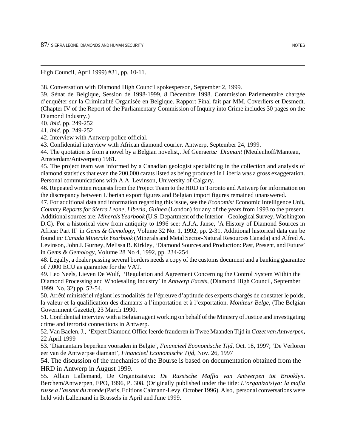High Council, April 1999) #31, pp. 10-11.

38. Conversation with Diamond High Council spokesperson, September 2, 1999.

39. Sénat de Belgique, Session de 1998-1999, 8 Décembre 1998. Commission Parlementaire chargée d'enquêter sur la Criminalité Organisée en Belgique. Rapport Final fait par MM. Coverliers et Desmedt. (Chapter IV of the Report of the Parliamentary Commission of Inquiry into Crime includes 30 pages on the Diamond Industry.)

40. *ibid*. pp. 249-252

 $\overline{a}$ 

41. *ibid*. pp. 249-252

42. Interview with Antwerp police official.

43. Confidential interview with African diamond courier. Antwerp, September 24, 1999.

44. The quotation is from a novel by a Belgian novelist,. Jef Geeraerts*: Diamant* (Meulenhoff/Manteau, Amsterdam/Antwerpen) 1981.

45. The project team was informed by a Canadian geologist specializing in the collection and analysis of diamond statistics that even the 200,000 carats listed as being produced in Liberia was a gross exaggeration. Personal communications with A.A. Levinson, University of Calgary.

46. Repeated written requests from the Project Team to the HRD in Toronto and Antwerp for information on the discrepancy between Liberian export figures and Belgian import figures remained unanswered.

47. For additional data and information regarding this issue, see the *Economist* Economic Intelligence Unit*, Country Reports for Sierra Leone, Liberia, Guinea* (London) for any of the years from 1993 to the present. Additional sources are: *Minerals Yearbook* (U.S. Department of the Interior – Geological Survey, Washington D.C). For a historical view from antiquity to 1996 see: A.J.A. Janse, 'A History of Diamond Sources in Africa: Part II' in *Gems & Gemology*, Volume 32 No. 1, 1992, pp. 2-31. Additional historical data can be found in*: Canada Minerals Yearbook* (Minerals and Metal Sector-Natural Resources Canada) and Alfred A. Levinson, John J. Gurney, Melissa B. Kirkley, 'Diamond Sources and Production: Past, Present, and Future' in *Gems & Gemology*, Volume 28 No 4, 1992, pp. 234-254

48. Legally, a dealer passing several borders needs a copy of the customs document and a banking guarantee of 7,000 ECU as guarantee for the VAT.

49. Leo Neels, Lieven De Wulf, 'Regulation and Agreement Concerning the Control System Within the Diamond Processing and Wholesaling Industry' in *Antwerp Facets*, (Diamond High Council, September 1999, No. 32) pp. 52-54.

50. Arrêté ministériel réglant les modalités de l'épreuve d'aptitude des experts chargés de constater le poids, la valeur et la qualification des diamants a l'importation et à l'exportation. *Moniteur Belge*, (The Belgian Government Gazette), 23 March 1990.

51. Confidential interview with a Belgian agent working on behalf of the Ministry of Justice and investigating crime and terrorist connections in Antwerp.

52. Van Baelen, J., 'Expert Diamond Office leerde frauderen in Twee Maanden Tijd in *Gazet van Antwerpen***,** 22 April 1999

53. 'Diamantairs beperken vooraden in Belgie', *Financieel Economische Tijd*, Oct. 18, 1997; 'De Verloren eer van de Antwerpse diamant', *Financieel Economische Tijd*, Nov. 26, 1997

54. The discussion of the mechanics of the Bourse is based on documentation obtained from the HRD in Antwerp in August 1999.

55. Allain Lallemand, De Organizatsiya: *De Russische Maffia van Antwerpen tot Brooklyn*. Berchem/Antwerpen, EPO, 1996, P. 308. (Originally published under the title: *L'organizatsiya: la mafia russe a l'assaut du monde* (Paris, Editions Calmann-Levy, October 1996). Also, personal conversations were held with Lallemand in Brussels in April and June 1999.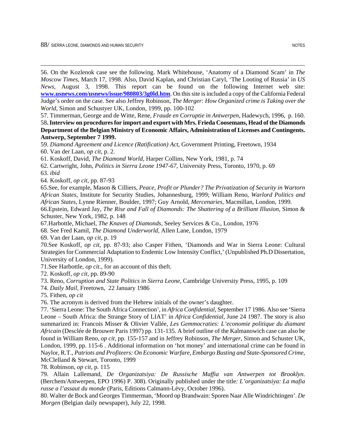56. On the Kozlenok case see the following. Mark Whitehouse, 'Anatomy of a Diamond Scam' in *The Moscow Times*, March 17, 1998. Also, David Kaplan, and Christian Caryl, 'The Looting of Russia' in *US News*, August 3, 1998. This report can be found on the following Internet web site: **www.usnews.com/usnews/issue/980803/3g0ld.htm**. On this site is included a copy of the California Federal Judge's order on the case. See also Jeffrey Robinson, *The Merger: How Organized crime is Taking over the World*, Simon and Schustyer UK, London, 1999, pp. 100-102

57. Timmerman, George and de Witte, Rene, *Fraude en Corruptie in Antwerpen*, Hadewych, 1996, p. 160. 58**. Interview on procedures for import and export with Mrs. Frieda Coosemans, Head of the Diamonds Department of the Belgian Ministry of Economic Affairs, Administration of Licenses and Contingents. Antwerp, September 7 1999.**

59. *Diamond Agreement and Licence (Ratification) Act*, Government Printing, Freetown, 1934

60. Van der Laan, *op cit,* p. 2.

61. Koskoff, David, *The Diamond World,* Harper Collins, New York, 1981, p. 74

62. Cartwright, John, *Politics in Sierra Leone 1947-67*, University Press, Toronto, 1970, p. 69

63. *ibid*

 $\overline{a}$ 

64. Koskoff, *op cit*, pp. 87-93

65.See, for example, Mason & Cilliers, *Peace, Profit or Plunder? The Privatization of Security in Wartorn African States*, Institute for Security Studies, Johannesburg, 1999; William Reno, *Warlord Politics and African States,* Lynne Rienner, Boulder, 1997; Guy Arnold, *Mercenaries,* Macmillan, London, 1999.

66.Epstein, Edward Jay, *The Rise and Fall of Diamonds: The Shattering of a Brilliant Illusion*, Simon & Schuster, New York, 1982, p. 148

67.Harbottle, Michael, *The Knaves of Diamonds*, Seeley Services & Co., London, 1976

68. See Fred Kamil, *The Diamond Underworld*, Allen Lane, London, 1979

69. Van der Laan, *op cit,* p. 19

70.See Koskoff, *op cit,* pp. 87-93; also Casper Fithen, 'Diamonds and War in Sierra Leone: Cultural Strategies for Commercial Adaptation to Endemic Low Intensity Conflict,' (Unpublished Ph.D Dissertation, University of London, 1999).

71.See Harbottle, *op cit*., for an account of this theft.

72. Koskoff, *op cit,* pp. 89-90

73. Reno, *Corruption and State Politics in Sierra Leone,* Cambridge University Press, 1995, p. 109

74. *Daily Mail,* Freetown, 22 January 1986

75. Fithen, *op cit*

76. The acronym is derived from the Hebrew initials of the owner's daughter.

77. 'Sierra Leone: The South Africa Connection', in *Africa Confidential*, September 17 1986. Also see 'Sierra Leone – South Africa: the Strange Story of LIAT' in *Africa Confidential*, June 24 1987. The story is also summarized in: Francois Misser & Olivier Vallée, *Les Gemmocraties: L'economie politique du diamant Africain* (Desclée de Brouwer Paris 1997) pp. 131-135. A brief outline of the Kalmanowich case can also be found in William Reno, *op cit,* pp. 155-157 and in Jeffrey Robinson, *The Merger*, Simon and Schuster UK, London, 1999, pp. 115-6 . Additional information on 'hot money' and international crime can be found in Naylor, R.T., *Patriots and Profiteers: On Economic Warfare, Embargo Busting and State-Sponsored Crime,* McClelland & Stewart, Toronto, 1999

78. Robinson, *op cit,* p. 115

79. Allain Lallemand*, De Organizatsiya: De Russische Maffia van Antwerpen tot Brooklyn*. (Berchem/Antwerpen, EPO 1996) P. 308). Originally published under the title*: L'organizatsiya: La mafia russe a l'assaut du monde* (Paris, Editions Calmann-Lévy, October 1996).

80. Walter de Bock and Georges Timmerman, 'Moord op Brandwain: Sporen Naar Alle Windrichtingen'. *De Morgen* (Belgian daily newspaper), July 22, 1998.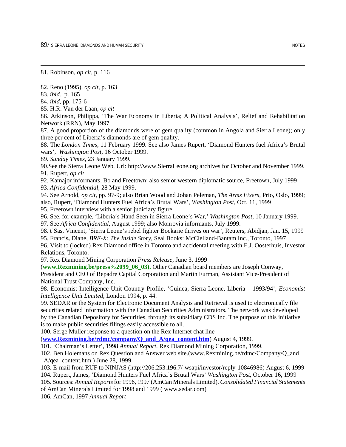89/ SIFRRA LEONE, DIAMONDS AND HUMAN SECURITY NOTES

81. Robinson, *op cit,* p. 116

82. Reno (1995), *op cit,* p. 163

83. *ibid.,* p. 165

 $\overline{a}$ 

84. *ibid,* pp. 175-6

85. H.R. Van der Laan, *op cit*

86. Atkinson, Philippa, 'The War Economy in Liberia; A Political Analysis', Relief and Rehabilitation Network (RRN), May 1997

87. A good proportion of the diamonds were of gem quality (common in Angola and Sierra Leone); only three per cent of Liberia's diamonds are of gem quality.

88. The *London Times*, 11 February 1999. See also James Rupert, 'Diamond Hunters fuel Africa's Brutal wars', *Washington Post*, 16 October 1999.

89. *Sunday Times*, 23 January 1999.

90.See the Sierra Leone Web, Url: http://www.SierraLeone.org archives for October and November 1999. 91. Rupert, *op cit*

92. Kamajor informants, Bo and Freetown; also senior western diplomatic source, Freetown, July 1999 93. *Africa Confidential*, 28 May 1999.

94. See Arnold, *op cit,* pp. 97-9; also Brian Wood and Johan Peleman, *The Arms Fixers,* Prio, Oslo, 1999; also, Rupert, 'Diamond Hunters Fuel Africa's Brutal Wars', *Washington Post*, Oct. 11, 1999

95. Freetown interview with a senior judiciary figure.

96. See, for example, 'Liberia's Hand Seen in Sierra Leone's War,' *Washington Post*, 10 January 1999.

97. See *Africa Confidential*, August 1999; also Monrovia informants, July 1999.

98. t'Sas, Vincent, 'Sierra Leone's rebel fighter Bockarie thrives on war', Reuters, Abidjan, Jan. 15, 1999

95. Francis**,** Diane, *BRE-X: The Inside Story,* Seal Books: McClelland-Bantam Inc., Toronto, 1997

96. Visit to (locked) Rex Diamond office in Toronto and accidental meeting with E.J. Oosterhuis, Investor Relations, Toronto.

97. Rex Diamond Mining Corporation *Press Release*, June 3, 1999

(**www.Rexmining.be/press%2099\_06\_03).** Other Canadian board members are Joseph Conway,

President and CEO of Repadre Capital Corporation and Martin Furman, Assistant Vice-President of National Trust Company, Inc.

98. Economist Intelligence Unit Country Profile, 'Guinea, Sierra Leone, Liberia – 1993/94', *Economist Intelligence Unit Limited*, London 1994, p. 44.

99. SEDAR or the System for Electronic Document Analysis and Retrieval is used to electronically file securities related information with the Canadian Securities Administrators. The network was developed by the Canadian Depository for Securities, through its subsidiary CDS Inc. The purpose of this initiative is to make public securities filings easily accessible to all.

100. Serge Muller response to a question on the Rex Internet chat line

(**www.Rexmining.be/rdmc/company/Q\_and\_A/qea\_content.htm**) August 4, 1999.

101. 'Chairman's Letter', 1998 *Annual Report*, Rex Diamond Mining Corporation, 1999.

102. Ben Holemans on Rex Question and Answer web site.(www.Rexmining.be/rdmc/Company/Q\_and \_A/qea\_content.htm.) June 28, 1999.

103. E-mail from RUF to NINJAS (http://206.253.196.7/-wsapi/investor/reply-10846986) August 6, 1999

104. Rupert, James, 'Diamond Hunters Fuel Africa's Brutal Wars' *Washington Post,* October 16, 1999

105. Sources: *Annual Reports* for 1996, 1997 (AmCan Minerals Limited). *Consolidated Financial Statements* of AmCan Minerals Limited for 1998 and 1999 ( www.sedar.com)

106. AmCan, 1997 *Annual Report*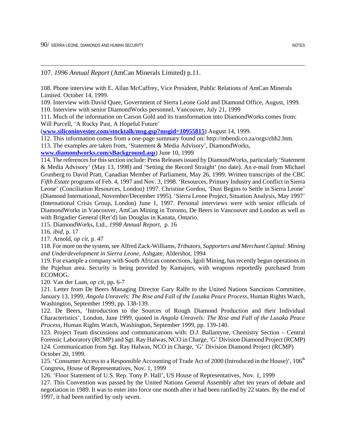107. *1996 Annual Report* (AmCan Minerals Limited) p.11.

108. Phone interview with E. Allan McCaffrey, Vice President, Public Relations of AmCan Minerals Limited. October 14, 1999.

109. Interview with David Quee, Government of Sierra Leone Gold and Diamond Office, August, 1999. 110. Interview with senior DiamondWorks personnel, Vancouver, July 21, 1999

111. Much of the information on Carson Gold and its transformation into DiamondWorks comes from: Will Purcell, 'A Rocky Past, A Hopeful Future'

(**www.siliconinvester.com/stocktalk/msg.gsp?msgid=10955815**) August 14, 1999.

112. This information comes from a one-page summary found on: http://mbendi.co.za/orgs/cbh2.htm.

113. The examples are taken from, 'Statement & Media Advisory', DiamondWorks,

**www.diamondworks.com/sBackground.asp**) June 10, 1999

114. The references for this section include: Press Releases issued by DiamondWorks, particularly 'Statement & Media Advisory' (May 13, 1998) and 'Setting the Record Straight' (no date). An e-mail from Michael Grunberg to David Pratt, Canadian Member of Parliament, May 26, 1999. Written transcripts of the CBC *Fifth Estate* programs of Feb. 4, 1997 and Nov. 3, 1998. 'Resources, Primary Industry and Conflict in Sierra Leone' (Conciliation Resources, London) 1997. Christine Gordon, 'Dust Begins to Settle in Sierra Leone' (Diamond International, November/December 1995). 'Sierra Leone Project, Situation Analysis, May 1997' (International Crisis Group, London) June 1, 1997. Personal interviews were with senior officials of DiamondWorks in Vancouver, AmCan Mining in Toronto, De Beers in Vancouver and London as well as with Brigadier General (Ret'd) Ian Douglas in Kanata, Ontario.

115. DiamondWorks, Ltd., *1998 Annual Report*, p. 16

116. *ibid,* p. 17

 $\overline{a}$ 

117. Arnold, *op cit,* p. 47

118. For more on the system, see Alfred Zack-Williams, *Tributors, Supporters and Merchant Capital: Mining and Underdevelopment in Sierra Leone,* Ashgate, Aldershot, 1994

119. For example a company with South African connections, Igoli Mining, has recently begun operations in the Pujehun area. Security is being provided by Kamajors, with weapons reportedly purchased from ECOMOG.

120. Van der Laan, *op cit,* pp. 6-7

121. Letter from De Beers Managing Director Gary Ralfe to the United Nations Sanctions Committee, January 13, 1999, *Angola Unravels: The Rise and Fall of the Lusaka Peace Process*, Human Rights Watch, Washington, September 1999, pp. 138-139.

122. De Beers, 'Introduction to the Sources of Rough Diamond Production and their Individual Characteristics', London, June 1999, quoted in *Angola Unravels: The Rise and Fall of the Lusaka Peace Process*, Human Rights Watch, Washington, September 1999, pp. 139-140.

123. Project Team discussions and communications with: D.J. Ballantyne, Chemistry Section – Central Forensic Laboratory (RCMP) and Sgt. Ray Halwas, NCO in Charge, 'G' Division Diamond Project (RCMP) 124. Communication from Sgt. Ray Halwas, NCO in Charge, 'G' Division Diamond Project (RCMP) October 20, 1999.

125. 'Consumer Access to a Responsible Accounting of Trade Act of 2000 (Introduced in the House)', 106<sup>th</sup> Congress, House of Representatives, Nov. 1, 1999

126. 'Floor Statement of U.S. Rep. Tony P. Hall', US House of Representatives, Nov. 1, 1999

127. This Convention was passed by the United Nations General Assembly after ten years of debate and negotiation in 1989. It was to enter into force one month after it had been ratified by 22 states. By the end of 1997, it had been ratified by only seven.